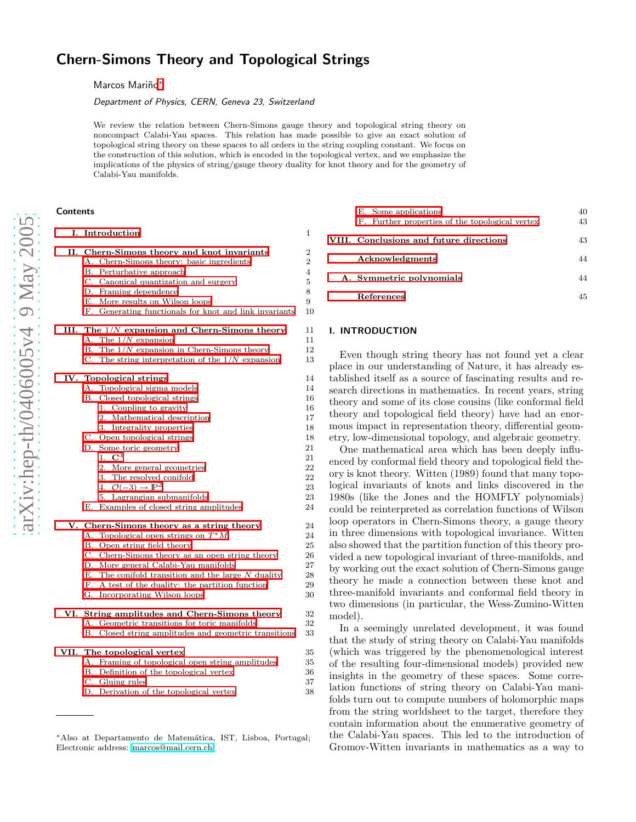# Chern-Simons Theory and Topological Strings

Marcos Mariño<sup>\*</sup>

Department of Physics, CERN, Geneva 23, Switzerland

We review the relation between Chern-Simons gauge theory and topological string theory on noncompact Calabi-Yau spaces. This relation has made possible to give an exact solution of topological string theory on these spaces to all orders in the string coupling constant. We focus on the construction of this solution, which is encoded in the topological vertex, and we emphasize the implications of the physics of string/gauge theory duality for knot theory and for the geometry of Calabi-Yau manifolds.

## Contents

| I. Introduction                                                                                                                                                                                                                                                                                                                                                                                                                                 | 1                                                                                |
|-------------------------------------------------------------------------------------------------------------------------------------------------------------------------------------------------------------------------------------------------------------------------------------------------------------------------------------------------------------------------------------------------------------------------------------------------|----------------------------------------------------------------------------------|
| II. Chern-Simons theory and knot invariants<br>A. Chern-Simons theory: basic ingredients<br>B. Perturbative approach<br>C. Canonical quantization and surgery<br>D. Framing dependence                                                                                                                                                                                                                                                          | $\overline{2}$<br>$\overline{2}$<br>$\overline{4}$<br>5<br>8                     |
| E. More results on Wilson loops<br>F. Generating functionals for knot and link invariants                                                                                                                                                                                                                                                                                                                                                       | 9<br>10                                                                          |
| III. The $1/N$ expansion and Chern-Simons theory<br>A. The $1/N$ expansion<br>B. The $1/N$ expansion in Chern-Simons theory<br>C. The string interpretation of the $1/N$ expansion                                                                                                                                                                                                                                                              | 11<br>11<br>12<br>13                                                             |
| IV. Topological strings<br>A. Topological sigma models<br>B. Closed topological strings<br>1. Coupling to gravity<br>2. Mathematical description<br>3. Integrality properties<br>C. Open topological strings<br>D. Some toric geometry<br>1. $\mathbf{C}^3$<br>2. More general geometries<br>3. The resolved conifold<br>4. $\mathcal{O}(-3) \rightarrow \mathbb{P}^2$<br>5. Lagrangian submanifolds<br>E. Examples of closed string amplitudes | 14<br>14<br>16<br>16<br>17<br>18<br>18<br>21<br>21<br>22<br>22<br>23<br>23<br>24 |
| V. Chern-Simons theory as a string theory<br>A. Topological open strings on $T^*M$<br>B. Open string field theory                                                                                                                                                                                                                                                                                                                               | 24<br>24<br>25                                                                   |

- [C. Chern-Simons theory as an open string theory](#page-25-0) 26
- [D. More general Calabi-Yau manifolds](#page-26-0) 27
- [E. The conifold transition and the large](#page-27-0) N duality 28
- [F. A test of the duality: the partition function](#page-28-0) 29
- [G. Incorporating Wilson loops](#page-29-0) 30

## [VI. String amplitudes and Chern-Simons theory](#page-31-0) 32

- [A. Geometric transitions for toric manifolds](#page-31-1) 32<br>B. Closed string amplitudes and geometric transitions 33
- [B. Closed string amplitudes and geometric transitions](#page-32-0)

### [VII. The topological vertex](#page-34-0) 35

- [A. Framing of topological open string amplitudes](#page-34-1) 35
- [B. Definition of the topological vertex](#page-35-0) 36
- [C. Gluing rules](#page-36-0) 37
- [D. Derivation of the topological vertex](#page-37-0) 38

| E. Some applications                            | 40 |
|-------------------------------------------------|----|
| F. Further properties of the topological vertex | 43 |
| VIII. Conclusions and future directions         | 43 |
| Acknowledgments                                 | 44 |
| A. Symmetric polynomials                        | 44 |
| References                                      | 45 |
|                                                 |    |

## <span id="page-0-1"></span>I. INTRODUCTION

Even though string theory has not found yet a clear place in our understanding of Nature, it has already established itself as a source of fascinating results and research directions in mathematics. In recent years, string theory and some of its close cousins (like conformal field theory and topological field theory) have had an enormous impact in representation theory, differential geometry, low-dimensional topology, and algebraic geometry.

One mathematical area which has been deeply influenced by conformal field theory and topological field theory is knot theory. Witten (1989) found that many topological invariants of knots and links discovered in the 1980s (like the Jones and the HOMFLY polynomials) could be reinterpreted as correlation functions of Wilson loop operators in Chern-Simons theory, a gauge theory in three dimensions with topological invariance. Witten also showed that the partition function of this theory provided a new topological invariant of three-manifolds, and by working out the exact solution of Chern-Simons gauge theory he made a connection between these knot and three-manifold invariants and conformal field theory in two dimensions (in particular, the Wess-Zumino-Witten model).

In a seemingly unrelated development, it was found that the study of string theory on Calabi-Yau manifolds (which was triggered by the phenomenological interest of the resulting four-dimensional models) provided new insights in the geometry of these spaces. Some correlation functions of string theory on Calabi-Yau manifolds turn out to compute numbers of holomorphic maps from the string worldsheet to the target, therefore they contain information about the enumerative geometry of the Calabi-Yau spaces. This led to the introduction of Gromov-Witten invariants in mathematics as a way to

<span id="page-0-0"></span><sup>\*</sup>Also at Departamento de Matemática, IST, Lisboa, Portugal; Electronic address: [marcos@mail.cern.ch](mailto:marcos@mail.cern.ch)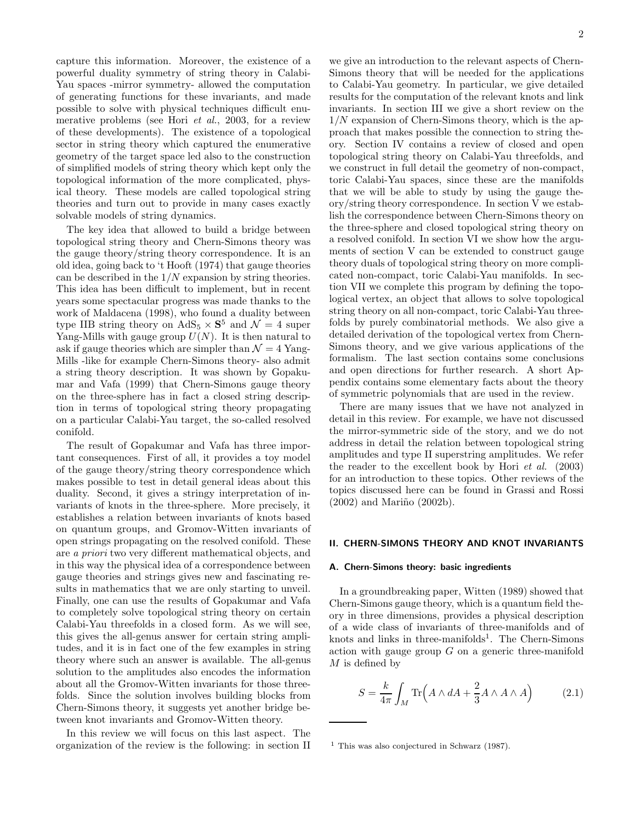capture this information. Moreover, the existence of a powerful duality symmetry of string theory in Calabi-Yau spaces -mirror symmetry- allowed the computation of generating functions for these invariants, and made possible to solve with physical techniques difficult enumerative problems (see Hori et al., 2003, for a review of these developments). The existence of a topological sector in string theory which captured the enumerative geometry of the target space led also to the construction of simplified models of string theory which kept only the topological information of the more complicated, physical theory. These models are called topological string theories and turn out to provide in many cases exactly solvable models of string dynamics.

The key idea that allowed to build a bridge between topological string theory and Chern-Simons theory was the gauge theory/string theory correspondence. It is an old idea, going back to 't Hooft (1974) that gauge theories can be described in the  $1/N$  expansion by string theories. This idea has been difficult to implement, but in recent years some spectacular progress was made thanks to the work of Maldacena (1998), who found a duality between type IIB string theory on  $AdS_5 \times S^5$  and  $\mathcal{N}=4$  super Yang-Mills with gauge group  $U(N)$ . It is then natural to ask if gauge theories which are simpler than  $\mathcal{N} = 4$  Yang-Mills -like for example Chern-Simons theory- also admit a string theory description. It was shown by Gopakumar and Vafa (1999) that Chern-Simons gauge theory on the three-sphere has in fact a closed string description in terms of topological string theory propagating on a particular Calabi-Yau target, the so-called resolved conifold.

The result of Gopakumar and Vafa has three important consequences. First of all, it provides a toy model of the gauge theory/string theory correspondence which makes possible to test in detail general ideas about this duality. Second, it gives a stringy interpretation of invariants of knots in the three-sphere. More precisely, it establishes a relation between invariants of knots based on quantum groups, and Gromov-Witten invariants of open strings propagating on the resolved conifold. These are a priori two very different mathematical objects, and in this way the physical idea of a correspondence between gauge theories and strings gives new and fascinating results in mathematics that we are only starting to unveil. Finally, one can use the results of Gopakumar and Vafa to completely solve topological string theory on certain Calabi-Yau threefolds in a closed form. As we will see, this gives the all-genus answer for certain string amplitudes, and it is in fact one of the few examples in string theory where such an answer is available. The all-genus solution to the amplitudes also encodes the information about all the Gromov-Witten invariants for those threefolds. Since the solution involves building blocks from Chern-Simons theory, it suggests yet another bridge between knot invariants and Gromov-Witten theory.

In this review we will focus on this last aspect. The organization of the review is the following: in section II

we give an introduction to the relevant aspects of Chern-Simons theory that will be needed for the applications to Calabi-Yau geometry. In particular, we give detailed results for the computation of the relevant knots and link invariants. In section III we give a short review on the  $1/N$  expansion of Chern-Simons theory, which is the approach that makes possible the connection to string theory. Section IV contains a review of closed and open topological string theory on Calabi-Yau threefolds, and we construct in full detail the geometry of non-compact, toric Calabi-Yau spaces, since these are the manifolds that we will be able to study by using the gauge theory/string theory correspondence. In section V we establish the correspondence between Chern-Simons theory on the three-sphere and closed topological string theory on a resolved conifold. In section VI we show how the arguments of section V can be extended to construct gauge theory duals of topological string theory on more complicated non-compact, toric Calabi-Yau manifolds. In section VII we complete this program by defining the topological vertex, an object that allows to solve topological string theory on all non-compact, toric Calabi-Yau threefolds by purely combinatorial methods. We also give a detailed derivation of the topological vertex from Chern-Simons theory, and we give various applications of the formalism. The last section contains some conclusions and open directions for further research. A short Appendix contains some elementary facts about the theory of symmetric polynomials that are used in the review.

There are many issues that we have not analyzed in detail in this review. For example, we have not discussed the mirror-symmetric side of the story, and we do not address in detail the relation between topological string amplitudes and type II superstring amplitudes. We refer the reader to the excellent book by Hori et al. (2003) for an introduction to these topics. Other reviews of the topics discussed here can be found in Grassi and Rossi  $(2002)$  and Mariño  $(2002b)$ .

#### <span id="page-1-1"></span><span id="page-1-0"></span>II. CHERN-SIMONS THEORY AND KNOT INVARIANTS

#### A. Chern-Simons theory: basic ingredients

In a groundbreaking paper, Witten (1989) showed that Chern-Simons gauge theory, which is a quantum field theory in three dimensions, provides a physical description of a wide class of invariants of three-manifolds and of knots and links in three-manifolds<sup>1</sup>. The Chern-Simons action with gauge group  $G$  on a generic three-manifold  $M$  is defined by

<span id="page-1-2"></span>
$$
S = \frac{k}{4\pi} \int_M \text{Tr}\left(A \wedge dA + \frac{2}{3}A \wedge A \wedge A\right) \tag{2.1}
$$

<sup>1</sup> This was also conjectured in Schwarz (1987).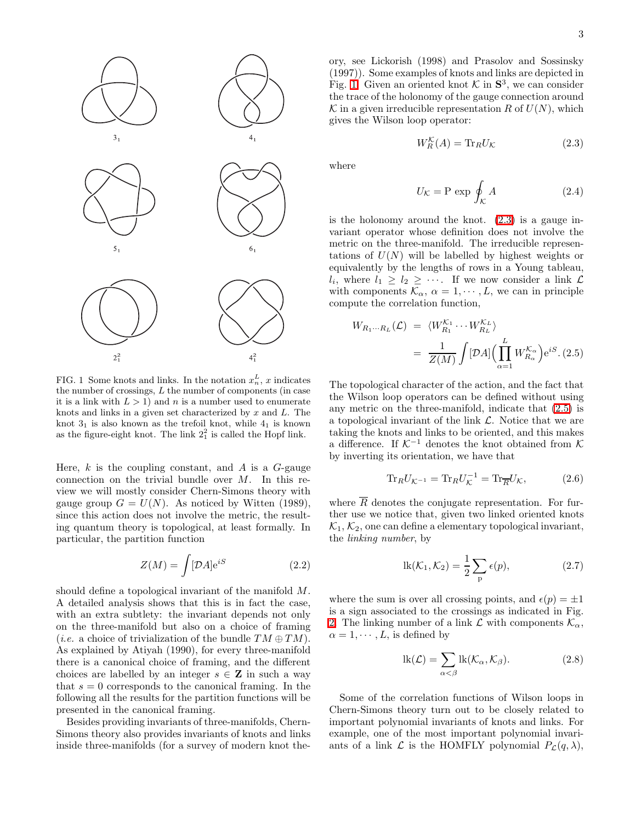

<span id="page-2-0"></span>FIG. 1 Some knots and links. In the notation  $x_n^L$ , x indicates the number of crossings, L the number of components (in case it is a link with  $L > 1$ ) and n is a number used to enumerate knots and links in a given set characterized by  $x$  and  $L$ . The knot  $3<sub>1</sub>$  is also known as the trefoil knot, while  $4<sub>1</sub>$  is known as the figure-eight knot. The link  $2<sub>1</sub><sup>2</sup>$  is called the Hopf link.

Here,  $k$  is the coupling constant, and  $A$  is a  $G$ -gauge connection on the trivial bundle over  $M$ . In this review we will mostly consider Chern-Simons theory with gauge group  $G = U(N)$ . As noticed by Witten (1989), since this action does not involve the metric, the resulting quantum theory is topological, at least formally. In particular, the partition function

<span id="page-2-3"></span>
$$
Z(M) = \int [\mathcal{D}A] \mathrm{e}^{iS} \tag{2.2}
$$

should define a topological invariant of the manifold M. A detailed analysis shows that this is in fact the case, with an extra subtlety: the invariant depends not only on the three-manifold but also on a choice of framing (*i.e.* a choice of trivialization of the bundle  $TM \oplus TM$ ). As explained by Atiyah (1990), for every three-manifold there is a canonical choice of framing, and the different choices are labelled by an integer  $s \in \mathbb{Z}$  in such a way that  $s = 0$  corresponds to the canonical framing. In the following all the results for the partition functions will be presented in the canonical framing.

Besides providing invariants of three-manifolds, Chern-Simons theory also provides invariants of knots and links inside three-manifolds (for a survey of modern knot theory, see Lickorish (1998) and Prasolov and Sossinsky (1997)). Some examples of knots and links are depicted in Fig. [1.](#page-2-0) Given an oriented knot  $K$  in  $S^3$ , we can consider the trace of the holonomy of the gauge connection around  $K$  in a given irreducible representation R of  $U(N)$ , which gives the Wilson loop operator:

<span id="page-2-1"></span>
$$
W_R^{\mathcal{K}}(A) = \text{Tr}_R U_{\mathcal{K}} \tag{2.3}
$$

where

$$
U_{\mathcal{K}} = \mathcal{P} \exp \oint_{\mathcal{K}} A \tag{2.4}
$$

is the holonomy around the knot. [\(2.3\)](#page-2-1) is a gauge invariant operator whose definition does not involve the metric on the three-manifold. The irreducible representations of  $U(N)$  will be labelled by highest weights or equivalently by the lengths of rows in a Young tableau,  $l_i$ , where  $l_1 \geq l_2 \geq \cdots$ . If we now consider a link  $\mathcal{L}$ with components  $\mathcal{K}_{\alpha}$ ,  $\alpha = 1, \dots, L$ , we can in principle compute the correlation function,

<span id="page-2-2"></span>
$$
W_{R_1\cdots R_L}(\mathcal{L}) = \langle W_{R_1}^{\mathcal{K}_1} \cdots W_{R_L}^{\mathcal{K}_L} \rangle
$$
  
= 
$$
\frac{1}{Z(M)} \int [\mathcal{D}A] \Big(\prod_{\alpha=1}^L W_{R_\alpha}^{\mathcal{K}_\alpha}\Big) e^{iS} . (2.5)
$$

The topological character of the action, and the fact that the Wilson loop operators can be defined without using any metric on the three-manifold, indicate that [\(2.5\)](#page-2-2) is a topological invariant of the link  $\mathcal{L}$ . Notice that we are taking the knots and links to be oriented, and this makes a difference. If  $K^{-1}$  denotes the knot obtained from  $K$ by inverting its orientation, we have that

<span id="page-2-4"></span>
$$
\text{Tr}_R U_{\mathcal{K}^{-1}} = \text{Tr}_R U_{\mathcal{K}}^{-1} = \text{Tr}_{\overline{R}} U_{\mathcal{K}},\tag{2.6}
$$

<span id="page-2-5"></span>where  $\overline{R}$  denotes the conjugate representation. For further use we notice that, given two linked oriented knots  $\mathcal{K}_1, \mathcal{K}_2$ , one can define a elementary topological invariant, the linking number, by

$$
lk(K_1, K_2) = \frac{1}{2} \sum_{p} \epsilon(p), \qquad (2.7)
$$

where the sum is over all crossing points, and  $\epsilon(p) = \pm 1$ is a sign associated to the crossings as indicated in Fig. [2.](#page-3-1) The linking number of a link  $\mathcal L$  with components  $\mathcal K_{\alpha}$ ,  $\alpha = 1, \cdots, L$ , is defined by

$$
lk(\mathcal{L}) = \sum_{\alpha < \beta} lk(\mathcal{K}_{\alpha}, \mathcal{K}_{\beta}). \tag{2.8}
$$

Some of the correlation functions of Wilson loops in Chern-Simons theory turn out to be closely related to important polynomial invariants of knots and links. For example, one of the most important polynomial invariants of a link  $\mathcal L$  is the HOMFLY polynomial  $P_{\mathcal L}(q,\lambda)$ ,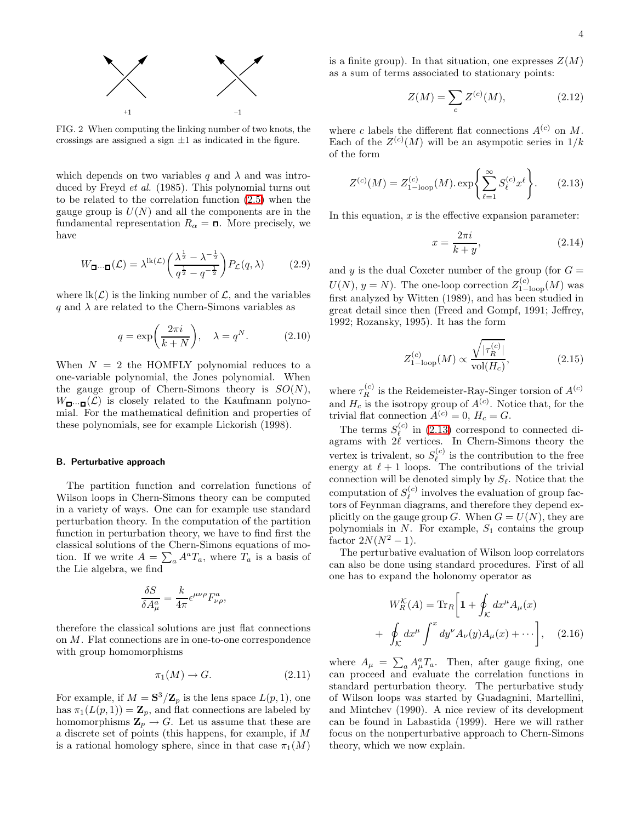

<span id="page-3-1"></span>FIG. 2 When computing the linking number of two knots, the crossings are assigned a sign  $\pm 1$  as indicated in the figure.

which depends on two variables q and  $\lambda$  and was introduced by Freyd et al. (1985). This polynomial turns out to be related to the correlation function [\(2.5\)](#page-2-2) when the gauge group is  $U(N)$  and all the components are in the fundamental representation  $R_{\alpha} = \alpha$ . More precisely, we have

$$
W_{\mathbf{D}\cdots\mathbf{D}}(\mathcal{L}) = \lambda^{\mathrm{lk}(\mathcal{L})} \left(\frac{\lambda^{\frac{1}{2}} - \lambda^{-\frac{1}{2}}}{q^{\frac{1}{2}} - q^{-\frac{1}{2}}}\right) P_{\mathcal{L}}(q, \lambda) \tag{2.9}
$$

where  $\text{lk}(\mathcal{L})$  is the linking number of  $\mathcal{L}$ , and the variables q and  $\lambda$  are related to the Chern-Simons variables as

$$
q = \exp\left(\frac{2\pi i}{k+N}\right), \quad \lambda = q^N. \tag{2.10}
$$

When  $N = 2$  the HOMFLY polynomial reduces to a one-variable polynomial, the Jones polynomial. When the gauge group of Chern-Simons theory is  $SO(N)$ ,  $W_{\square \cdots \square}(\mathcal{L})$  is closely related to the Kaufmann polynomial. For the mathematical definition and properties of these polynomials, see for example Lickorish (1998).

#### <span id="page-3-0"></span>B. Perturbative approach

The partition function and correlation functions of Wilson loops in Chern-Simons theory can be computed in a variety of ways. One can for example use standard perturbation theory. In the computation of the partition function in perturbation theory, we have to find first the classical solutions of the Chern-Simons equations of motion. If we write  $A = \sum_a A^a T_a$ , where  $T_a$  is a basis of the Lie algebra, we find

$$
\frac{\delta S}{\delta A^a_\mu} = \frac{k}{4\pi} \epsilon^{\mu\nu\rho} F^a_{\nu\rho},
$$

therefore the classical solutions are just flat connections on M. Flat connections are in one-to-one correspondence with group homomorphisms

$$
\pi_1(M) \to G. \tag{2.11}
$$

For example, if  $M = \mathbf{S}^3/\mathbf{Z}_p$  is the lens space  $L(p, 1)$ , one has  $\pi_1(L(p, 1)) = \mathbb{Z}_p$ , and flat connections are labeled by homomorphisms  $\mathbb{Z}_p \to G$ . Let us assume that these are a discrete set of points (this happens, for example, if M is a rational homology sphere, since in that case  $\pi_1(M)$ 

is a finite group). In that situation, one expresses  $Z(M)$ as a sum of terms associated to stationary points:

$$
Z(M) = \sum_{c} Z^{(c)}(M), \tag{2.12}
$$

<span id="page-3-2"></span>where c labels the different flat connections  $A^{(c)}$  on M. Each of the  $Z^{(c)}(M)$  will be an asympotic series in  $1/k$ of the form

$$
Z^{(c)}(M) = Z_{1-\text{loop}}^{(c)}(M) \cdot \exp\left\{\sum_{\ell=1}^{\infty} S_{\ell}^{(c)} x^{\ell}\right\}.
$$
 (2.13)

In this equation,  $x$  is the effective expansion parameter:

$$
x = \frac{2\pi i}{k+y},\tag{2.14}
$$

<span id="page-3-3"></span>and y is the dual Coxeter number of the group (for  $G =$  $U(N)$ ,  $y = N$ ). The one-loop correction  $Z_{1-\text{loop}}^{(c)}(M)$  was first analyzed by Witten (1989), and has been studied in great detail since then (Freed and Gompf, 1991; Jeffrey, 1992; Rozansky, 1995). It has the form

<span id="page-3-4"></span>
$$
Z_{1-\text{loop}}^{(c)}(M) \propto \frac{\sqrt{|\tau_R^{(c)}|}}{\text{vol}(H_c)},\tag{2.15}
$$

where  $\tau_R^{(c)}$  is the Reidemeister-Ray-Singer torsion of  $A^{(c)}$ and  $H_c$  is the isotropy group of  $A^{(c)}$ . Notice that, for the trivial flat connection  $A^{(c)} = 0$ ,  $H_c = G$ .

The terms  $S_{\ell}^{(c)}$  in [\(2.13\)](#page-3-2) correspond to connected di-The terms  $S_{\ell}$  in (2.15) correspond to connected diagrams with  $2\ell$  vertices. In Chern-Simons theory the vertex is trivalent, so  $S_{\ell}^{(c)}$  $\ell^{(c)}$  is the contribution to the free energy at  $\ell + 1$  loops. The contributions of the trivial connection will be denoted simply by  $S_{\ell}$ . Notice that the computation of  $S_{\ell}^{(c)}$  $\ell$ <sup>(c)</sup> involves the evaluation of group factors of Feynman diagrams, and therefore they depend explicitly on the gauge group G. When  $G = U(N)$ , they are polynomials in  $N$ . For example,  $S_1$  contains the group factor  $2N(N^2-1)$ .

The perturbative evaluation of Wilson loop correlators can also be done using standard procedures. First of all one has to expand the holonomy operator as

$$
W_R^{\mathcal{K}}(A) = \text{Tr}_R \bigg[ 1 + \oint_{\mathcal{K}} dx^{\mu} A_{\mu}(x) + \oint_{\mathcal{K}} dx^{\mu} \int^x dy^{\nu} A_{\nu}(y) A_{\mu}(x) + \cdots \bigg], \quad (2.16)
$$

where  $A_{\mu} = \sum_{a} A_{\mu}^{a} T_{a}$ . Then, after gauge fixing, one can proceed and evaluate the correlation functions in standard perturbation theory. The perturbative study of Wilson loops was started by Guadagnini, Martellini, and Mintchev (1990). A nice review of its development can be found in Labastida (1999). Here we will rather focus on the nonperturbative approach to Chern-Simons theory, which we now explain.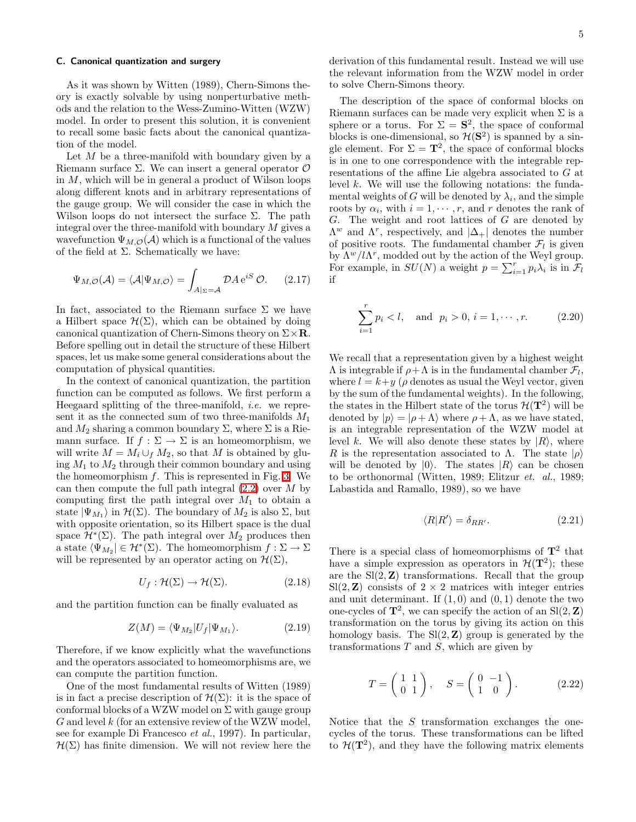#### <span id="page-4-0"></span>C. Canonical quantization and surgery

As it was shown by Witten (1989), Chern-Simons theory is exactly solvable by using nonperturbative methods and the relation to the Wess-Zumino-Witten (WZW) model. In order to present this solution, it is convenient to recall some basic facts about the canonical quantization of the model.

Let  $M$  be a three-manifold with boundary given by a Riemann surface  $\Sigma$ . We can insert a general operator  $\mathcal O$ in M, which will be in general a product of Wilson loops along different knots and in arbitrary representations of the gauge group. We will consider the case in which the Wilson loops do not intersect the surface  $\Sigma$ . The path integral over the three-manifold with boundary M gives a wavefunction  $\Psi_{M,\mathcal{O}}(\mathcal{A})$  which is a functional of the values of the field at  $\Sigma$ . Schematically we have:

$$
\Psi_{M,\mathcal{O}}(\mathcal{A}) = \langle \mathcal{A} | \Psi_{M,\mathcal{O}} \rangle = \int_{A|_{\Sigma} = \mathcal{A}} \mathcal{D}A e^{iS} \mathcal{O}.
$$
 (2.17)

In fact, associated to the Riemann surface  $\Sigma$  we have a Hilbert space  $\mathcal{H}(\Sigma)$ , which can be obtained by doing canonical quantization of Chern-Simons theory on  $\Sigma \times \mathbf{R}$ . Before spelling out in detail the structure of these Hilbert spaces, let us make some general considerations about the computation of physical quantities.

In the context of canonical quantization, the partition function can be computed as follows. We first perform a Heegaard splitting of the three-manifold, i.e. we represent it as the connected sum of two three-manifolds  $M_1$ and  $M_2$  sharing a common boundary  $\Sigma$ , where  $\Sigma$  is a Riemann surface. If  $f : \Sigma \to \Sigma$  is an homeomorphism, we will write  $M = M_i \cup_f M_2$ , so that M is obtained by gluing  $M_1$  to  $M_2$  through their common boundary and using the homeomorphism f. This is represented in Fig. [3.](#page-5-0) We can then compute the full path integral  $(2.2)$  over M by computing first the path integral over  $M_1$  to obtain a state  $|\Psi_{M_1}\rangle$  in  $\mathcal{H}(\Sigma)$ . The boundary of  $M_2$  is also  $\Sigma$ , but with opposite orientation, so its Hilbert space is the dual space  $\mathcal{H}^*(\Sigma)$ . The path integral over  $M_2$  produces then a state  $\langle \Psi_{M_2} | \in \mathcal{H}^*(\Sigma)$ . The homeomorphism  $f : \Sigma \to \Sigma$ will be represented by an operator acting on  $\mathcal{H}(\Sigma)$ ,

<span id="page-4-1"></span>
$$
U_f: \mathcal{H}(\Sigma) \to \mathcal{H}(\Sigma). \tag{2.18}
$$

and the partition function can be finally evaluated as

$$
Z(M) = \langle \Psi_{M_2} | U_f | \Psi_{M_1} \rangle. \tag{2.19}
$$

Therefore, if we know explicitly what the wavefunctions and the operators associated to homeomorphisms are, we can compute the partition function.

One of the most fundamental results of Witten (1989) is in fact a precise description of  $\mathcal{H}(\Sigma)$ : it is the space of conformal blocks of a WZW model on  $\Sigma$  with gauge group  $G$  and level  $k$  (for an extensive review of the WZW model, see for example Di Francesco et al., 1997). In particular,  $\mathcal{H}(\Sigma)$  has finite dimension. We will not review here the

derivation of this fundamental result. Instead we will use the relevant information from the WZW model in order to solve Chern-Simons theory.

The description of the space of conformal blocks on Riemann surfaces can be made very explicit when  $\Sigma$  is a sphere or a torus. For  $\Sigma = S^2$ , the space of conformal blocks is one-dimensional, so  $\mathcal{H}(\mathbf{S}^2)$  is spanned by a single element. For  $\Sigma = \mathbf{T}^2$ , the space of conformal blocks is in one to one correspondence with the integrable representations of the affine Lie algebra associated to G at level  $k$ . We will use the following notations: the fundamental weights of G will be denoted by  $\lambda_i$ , and the simple roots by  $\alpha_i$ , with  $i = 1, \dots, r$ , and r denotes the rank of G. The weight and root lattices of G are denoted by  $\Lambda^w$  and  $\Lambda^r$ , respectively, and  $|\Delta_+|$  denotes the number of positive roots. The fundamental chamber  $\mathcal{F}_l$  is given by  $\Lambda^w / l \Lambda^r$ , modded out by the action of the Weyl group. For example, in  $SU(N)$  a weight  $p = \sum_{i=1}^{r} p_i \lambda_i$  is in  $\mathcal{F}_l$ if

$$
\sum_{i=1}^{r} p_i < l, \quad \text{and} \quad p_i > 0, \, i = 1, \cdots, r. \tag{2.20}
$$

We recall that a representation given by a highest weight  $\Lambda$  is integrable if  $\rho + \Lambda$  is in the fundamental chamber  $\mathcal{F}_l$ , where  $l = k+y$  ( $\rho$  denotes as usual the Weyl vector, given by the sum of the fundamental weights). In the following, the states in the Hilbert state of the torus  $\mathcal{H}(\mathbf{T}^2)$  will be denoted by  $|p\rangle = |\rho + \Lambda\rangle$  where  $\rho + \Lambda$ , as we have stated, is an integrable representation of the WZW model at level k. We will also denote these states by  $|R\rangle$ , where R is the representation associated to  $\Lambda$ . The state  $|\rho\rangle$ will be denoted by  $|0\rangle$ . The states  $|R\rangle$  can be chosen to be orthonormal (Witten, 1989; Elitzur et. al., 1989; Labastida and Ramallo, 1989), so we have

$$
\langle R|R'\rangle = \delta_{RR'}.\tag{2.21}
$$

There is a special class of homeomorphisms of  $\mathbf{T}^2$  that have a simple expression as operators in  $\mathcal{H}(\mathbf{T}^2)$ ; these are the  $SI(2, Z)$  transformations. Recall that the group  $\text{SI}(2, \mathbf{Z})$  consists of  $2 \times 2$  matrices with integer entries and unit determinant. If  $(1,0)$  and  $(0,1)$  denote the two one-cycles of  $\mathbf{T}^2$ , we can specify the action of an  $\text{SI}(2, \mathbf{Z})$ transformation on the torus by giving its action on this homology basis. The  $SI(2, Z)$  group is generated by the transformations  $T$  and  $S$ , which are given by

$$
T = \begin{pmatrix} 1 & 1 \\ 0 & 1 \end{pmatrix}, \quad S = \begin{pmatrix} 0 & -1 \\ 1 & 0 \end{pmatrix}.
$$
 (2.22)

Notice that the S transformation exchanges the onecycles of the torus. These transformations can be lifted to  $\mathcal{H}(\mathbf{T}^2)$ , and they have the following matrix elements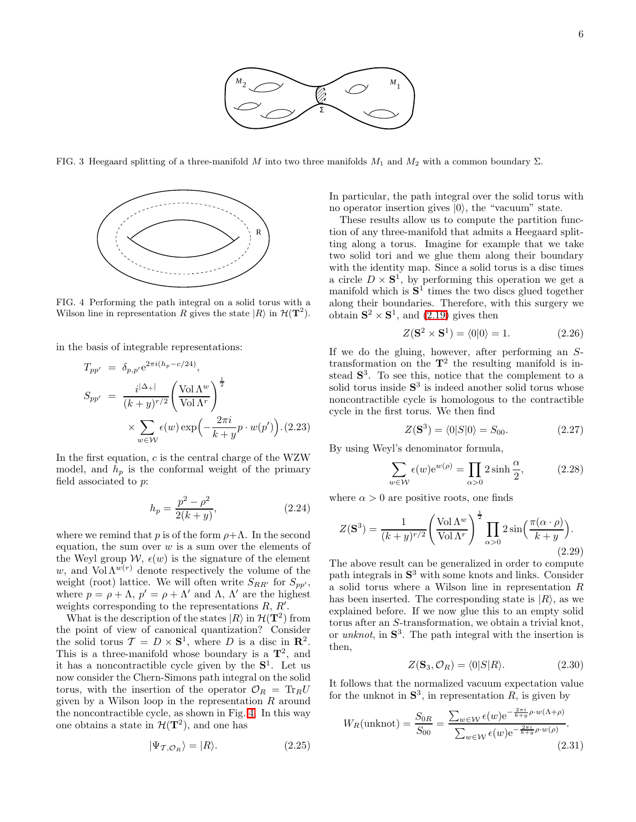

<span id="page-5-0"></span>FIG. 3 Heegaard splitting of a three-manifold M into two three manifolds  $M_1$  and  $M_2$  with a common boundary  $\Sigma$ .



<span id="page-5-1"></span>FIG. 4 Performing the path integral on a solid torus with a Wilson line in representation R gives the state  $|R\rangle$  in  $\mathcal{H}(\mathbf{T}^2)$ .

<span id="page-5-3"></span>in the basis of integrable representations:

$$
T_{pp'} = \delta_{p,p'} e^{2\pi i (h_p - c/24)},
$$
  
\n
$$
S_{pp'} = \frac{i^{|\Delta_+|}}{(k+y)^{r/2}} \left(\frac{\text{Vol }\Lambda^w}{\text{Vol }\Lambda^r}\right)^{\frac{1}{2}}
$$
  
\n
$$
\times \sum_{w \in \mathcal{W}} \epsilon(w) \exp\left(-\frac{2\pi i}{k+y} p \cdot w(p')\right). (2.23)
$$

<span id="page-5-4"></span>In the first equation,  $c$  is the central charge of the WZW model, and  $h_p$  is the conformal weight of the primary field associated to p:

$$
h_p = \frac{p^2 - \rho^2}{2(k+y)},
$$
\n(2.24)

where we remind that p is of the form  $\rho + \Lambda$ . In the second equation, the sum over  $w$  is a sum over the elements of the Weyl group  $W$ ,  $\epsilon(w)$  is the signature of the element w, and Vol  $\Lambda^{w(r)}$  denote respectively the volume of the weight (root) lattice. We will often write  $S_{RR'}$  for  $S_{pp'}$ , where  $p = \rho + \Lambda$ ,  $p' = \rho + \Lambda'$  and  $\Lambda$ ,  $\Lambda'$  are the highest weights corresponding to the representations  $R, R'$ .

What is the description of the states  $|R\rangle$  in  $\mathcal{H}(\mathbf{T}^2)$  from the point of view of canonical quantization? Consider the solid torus  $\mathcal{T} = D \times \mathbf{S}^1$ , where D is a disc in  $\mathbf{R}^2$ . This is a three-manifold whose boundary is a  $\mathbf{T}^2$ , and it has a noncontractible cycle given by the  $S^1$ . Let us now consider the Chern-Simons path integral on the solid torus, with the insertion of the operator  $\mathcal{O}_R = \text{Tr}_R U$ given by a Wilson loop in the representation  $R$  around the noncontractible cycle, as shown in Fig. [4.](#page-5-1) In this way one obtains a state in  $\mathcal{H}(\mathbf{T}^2)$ , and one has

$$
|\Psi_{\mathcal{T},\mathcal{O}_R}\rangle = |R\rangle. \tag{2.25}
$$

In particular, the path integral over the solid torus with no operator insertion gives  $|0\rangle$ , the "vacuum" state.

These results allow us to compute the partition function of any three-manifold that admits a Heegaard splitting along a torus. Imagine for example that we take two solid tori and we glue them along their boundary with the identity map. Since a solid torus is a disc times a circle  $D \times S^1$ , by performing this operation we get a manifold which is  $S^1$  times the two discs glued together along their boundaries. Therefore, with this surgery we obtain  $S^2 \times S^1$ , and [\(2.19\)](#page-4-1) gives then

$$
Z(\mathbf{S}^2 \times \mathbf{S}^1) = \langle 0|0 \rangle = 1. \tag{2.26}
$$

If we do the gluing, however, after performing an Stransformation on the  $T^2$  the resulting manifold is instead  $S^3$ . To see this, notice that the complement to a solid torus inside  $S^3$  is indeed another solid torus whose noncontractible cycle is homologous to the contractible cycle in the first torus. We then find

<span id="page-5-2"></span>
$$
Z(\mathbf{S}^3) = \langle 0|S|0 \rangle = S_{00}.\tag{2.27}
$$

By using Weyl's denominator formula,

<span id="page-5-5"></span>
$$
\sum_{w \in \mathcal{W}} \epsilon(w) e^{w(\rho)} = \prod_{\alpha > 0} 2 \sinh \frac{\alpha}{2}, \quad (2.28)
$$

where  $\alpha > 0$  are positive roots, one finds

$$
Z(\mathbf{S}^3) = \frac{1}{(k+y)^{r/2}} \left(\frac{\text{Vol}\,\Lambda^w}{\text{Vol}\,\Lambda^r}\right)^{\frac{1}{2}} \prod_{\alpha>0} 2\sin\left(\frac{\pi(\alpha \cdot \rho)}{k+y}\right). \tag{2.29}
$$

The above result can be generalized in order to compute path integrals in S <sup>3</sup> with some knots and links. Consider a solid torus where a Wilson line in representation R has been inserted. The corresponding state is  $|R\rangle$ , as we explained before. If we now glue this to an empty solid torus after an S-transformation, we obtain a trivial knot, or *unknot*, in  $S^3$ . The path integral with the insertion is then,

$$
Z(\mathbf{S}_3, \mathcal{O}_R) = \langle 0|S|R\rangle.
$$
 (2.30)

It follows that the normalized vacuum expectation value for the unknot in  $S^3$ , in representation R, is given by

$$
W_R(\text{unknot}) = \frac{S_{0R}}{S_{00}} = \frac{\sum_{w \in \mathcal{W}} \epsilon(w) e^{-\frac{2\pi i}{k+y} \rho \cdot w(\Lambda + \rho)}}{\sum_{w \in \mathcal{W}} \epsilon(w) e^{-\frac{2\pi i}{k+y} \rho \cdot w(\rho)}}.
$$
\n(2.31)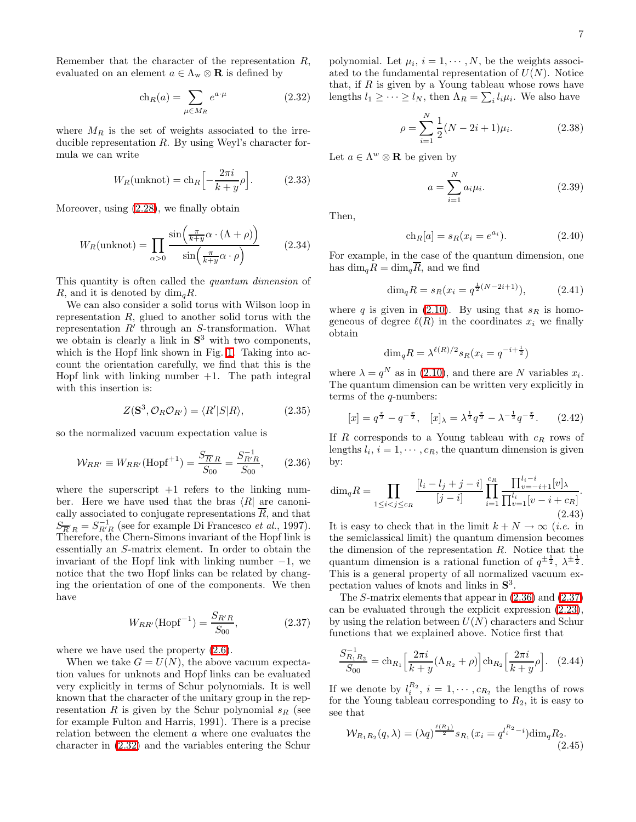Remember that the character of the representation R, evaluated on an element  $a \in \Lambda_w \otimes \mathbf{R}$  is defined by

<span id="page-6-0"></span>
$$
\operatorname{ch}_R(a) = \sum_{\mu \in M_R} e^{a \cdot \mu} \tag{2.32}
$$

where  $M_R$  is the set of weights associated to the irreducible representation  $R$ . By using Weyl's character formula we can write

$$
W_R(\text{unknot}) = \text{ch}_R \Big[ -\frac{2\pi i}{k+y} \rho \Big]. \tag{2.33}
$$

Moreover, using [\(2.28\)](#page-5-2), we finally obtain

$$
W_R(\text{unknot}) = \prod_{\alpha>0} \frac{\sin\left(\frac{\pi}{k+y}\alpha \cdot (\Lambda + \rho)\right)}{\sin\left(\frac{\pi}{k+y}\alpha \cdot \rho\right)} \tag{2.34}
$$

This quantity is often called the quantum dimension of R, and it is denoted by  $\dim_q R$ .

We can also consider a solid torus with Wilson loop in representation  $R$ , glued to another solid torus with the representation  $R'$  through an  $S$ -transformation. What we obtain is clearly a link in  $S<sup>3</sup>$  with two components, which is the Hopf link shown in Fig. [1.](#page-2-0) Taking into account the orientation carefully, we find that this is the Hopf link with linking number  $+1$ . The path integral with this insertion is:

<span id="page-6-1"></span>
$$
Z(\mathbf{S}^3, \mathcal{O}_R \mathcal{O}_{R'}) = \langle R' | S | R \rangle, \tag{2.35}
$$

so the normalized vacuum expectation value is

$$
W_{RR'} \equiv W_{RR'}(\text{Hopf}^{+1}) = \frac{S_{\overline{R}'R}}{S_{00}} = \frac{S_{R'R}^{-1}}{S_{00}},\qquad(2.36)
$$

where the superscript  $+1$  refers to the linking number. Here we have used that the bras  $\langle R|$  are canonically associated to conjugate representations  $\overline{R}$ , and that  $S_{\overline{R}'}R = S_{R'R}^{-1}$  (see for example Di Francesco *et al.*, 1997). Therefore, the Chern-Simons invariant of the Hopf link is essentially an S-matrix element. In order to obtain the invariant of the Hopf link with linking number  $-1$ , we notice that the two Hopf links can be related by changing the orientation of one of the components. We then have

$$
W_{RR'}(\text{Hopf}^{-1}) = \frac{S_{R'R}}{S_{00}},\tag{2.37}
$$

<span id="page-6-2"></span>where we have used the property [\(2.6\)](#page-2-4).

When we take  $G = U(N)$ , the above vacuum expectation values for unknots and Hopf links can be evaluated very explicitly in terms of Schur polynomials. It is well known that the character of the unitary group in the representation R is given by the Schur polynomial  $s_R$  (see for example Fulton and Harris, 1991). There is a precise relation between the element a where one evaluates the character in [\(2.32\)](#page-6-0) and the variables entering the Schur

polynomial. Let  $\mu_i$ ,  $i = 1, \dots, N$ , be the weights associated to the fundamental representation of  $U(N)$ . Notice that, if  $R$  is given by a Young tableau whose rows have lengths  $l_1 \geq \cdots \geq l_N$ , then  $\Lambda_R = \sum_i l_i \mu_i$ . We also have

$$
\rho = \sum_{i=1}^{N} \frac{1}{2} (N - 2i + 1)\mu_i.
$$
 (2.38)

Let  $a \in \Lambda^w \otimes \mathbf{R}$  be given by

$$
a = \sum_{i=1}^{N} a_i \mu_i.
$$
 (2.39)

Then,

$$
ch_R[a] = s_R(x_i = e^{a_i}).
$$
\n(2.40)

For example, in the case of the quantum dimension, one has  $\dim_q R = \dim_q \overline{R}$ , and we find

$$
\dim_q R = s_R(x_i = q^{\frac{1}{2}(N-2i+1)}),\tag{2.41}
$$

where q is given in [\(2.10\)](#page-3-3). By using that  $s_R$  is homogeneous of degree  $\ell(R)$  in the coordinates  $x_i$  we finally obtain

$$
\dim_q R = \lambda^{\ell(R)/2} s_R(x_i = q^{-i + \frac{1}{2}})
$$

where  $\lambda = q^N$  as in [\(2.10\)](#page-3-3), and there are N variables  $x_i$ . The quantum dimension can be written very explicitly in terms of the q-numbers:

$$
[x] = q^{\frac{x}{2}} - q^{-\frac{x}{2}}, \quad [x]_{\lambda} = \lambda^{\frac{1}{2}} q^{\frac{x}{2}} - \lambda^{-\frac{1}{2}} q^{-\frac{x}{2}}.
$$
 (2.42)

If  $R$  corresponds to a Young tableau with  $c_R$  rows of lengths  $l_i$ ,  $i = 1, \dots, c_R$ , the quantum dimension is given by:

$$
\dim_q R = \prod_{1 \le i < j \le c_R} \frac{[l_i - l_j + j - i]}{[j - i]} \prod_{i=1}^{c_R} \frac{\prod_{v=-i+1}^{l_i - i} [v]_\lambda}{\prod_{v=1}^{l_i} [v - i + c_R]}.
$$
\n(2.43)

It is easy to check that in the limit  $k + N \rightarrow \infty$  (*i.e.* in the semiclassical limit) the quantum dimension becomes the dimension of the representation R. Notice that the quantum dimension is a rational function of  $q^{\pm \frac{1}{2}}$ ,  $\lambda^{\pm \frac{1}{2}}$ . This is a general property of all normalized vacuum expectation values of knots and links in  $S^3$ .

The S-matrix elements that appear in [\(2.36\)](#page-6-1) and [\(2.37\)](#page-6-2) can be evaluated through the explicit expression [\(2.23\)](#page-5-3), by using the relation between  $U(N)$  characters and Schur functions that we explained above. Notice first that

$$
\frac{S_{R_1R_2}^{-1}}{S_{00}} = \text{ch}_{R_1} \left[ \frac{2\pi i}{k+y} (\Lambda_{R_2} + \rho) \right] \text{ch}_{R_2} \left[ \frac{2\pi i}{k+y} \rho \right]. \tag{2.44}
$$

<span id="page-6-3"></span>If we denote by  $l_i^{R_2}$ ,  $i = 1, \dots, c_{R_2}$  the lengths of rows for the Young tableau corresponding to  $R_2$ , it is easy to see that

$$
\mathcal{W}_{R_1R_2}(q,\lambda) = (\lambda q)^{\frac{\ell(R_1)}{2}} s_{R_1}(x_i = q^{l_i^{R_2}-i}) \dim_q R_2.
$$
\n(2.45)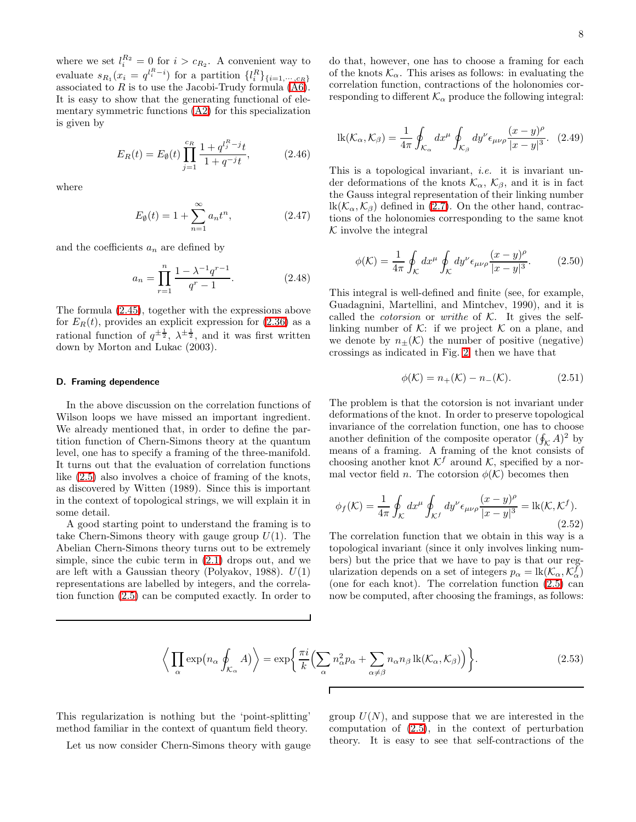<span id="page-7-2"></span>where we set  $l_i^{R_2} = 0$  for  $i > c_{R_2}$ . A convenient way to evaluate  $s_{R_1}(x_i = q^{l_i^R - i})$  for a partition  $\{l_i^R\}_{i=1,\dots,c_R\}}$ associated to  $R$  is to use the Jacobi-Trudy formula  $(A6)$ . It is easy to show that the generating functional of elementary symmetric functions [\(A2\)](#page-43-3) for this specialization is given by

$$
E_R(t) = E_{\emptyset}(t) \prod_{j=1}^{c_R} \frac{1 + q^{l_j^R - j} t}{1 + q^{-j} t},
$$
 (2.46)

where

<span id="page-7-1"></span>
$$
E_{\emptyset}(t) = 1 + \sum_{n=1}^{\infty} a_n t^n,
$$
 (2.47)

and the coefficients  $a_n$  are defined by

$$
a_n = \prod_{r=1}^n \frac{1 - \lambda^{-1} q^{r-1}}{q^r - 1}.
$$
 (2.48)

The formula [\(2.45\)](#page-6-3), together with the expressions above for  $E_R(t)$ , provides an explicit expression for  $(2.36)$  as a rational function of  $q^{\pm \frac{1}{2}}$ ,  $\lambda^{\pm \frac{1}{2}}$ , and it was first written down by Morton and Lukac (2003).

#### <span id="page-7-0"></span>D. Framing dependence

In the above discussion on the correlation functions of Wilson loops we have missed an important ingredient. We already mentioned that, in order to define the partition function of Chern-Simons theory at the quantum level, one has to specify a framing of the three-manifold. It turns out that the evaluation of correlation functions like [\(2.5\)](#page-2-2) also involves a choice of framing of the knots, as discovered by Witten (1989). Since this is important in the context of topological strings, we will explain it in some detail.

A good starting point to understand the framing is to take Chern-Simons theory with gauge group  $U(1)$ . The Abelian Chern-Simons theory turns out to be extremely simple, since the cubic term in  $(2.1)$  drops out, and we are left with a Gaussian theory (Polyakov, 1988).  $U(1)$ representations are labelled by integers, and the correlation function [\(2.5\)](#page-2-2) can be computed exactly. In order to

do that, however, one has to choose a framing for each of the knots  $\mathcal{K}_{\alpha}$ . This arises as follows: in evaluating the correlation function, contractions of the holonomies corresponding to different  $\mathcal{K}_{\alpha}$  produce the following integral:

$$
lk(\mathcal{K}_{\alpha}, \mathcal{K}_{\beta}) = \frac{1}{4\pi} \oint_{\mathcal{K}_{\alpha}} dx^{\mu} \oint_{\mathcal{K}_{\beta}} dy^{\nu} \epsilon_{\mu\nu\rho} \frac{(x - y)^{\rho}}{|x - y|^3}.
$$
 (2.49)

This is a topological invariant, *i.e.* it is invariant under deformations of the knots  $\mathcal{K}_{\alpha}$ ,  $\mathcal{K}_{\beta}$ , and it is in fact the Gauss integral representation of their linking number lk( $\mathcal{K}_{\alpha}, \mathcal{K}_{\beta}$ ) defined in [\(2.7\)](#page-2-5). On the other hand, contractions of the holonomies corresponding to the same knot  $K$  involve the integral

$$
\phi(\mathcal{K}) = \frac{1}{4\pi} \oint_{\mathcal{K}} dx^{\mu} \oint_{\mathcal{K}} dy^{\nu} \epsilon_{\mu\nu\rho} \frac{(x-y)^{\rho}}{|x-y|^3}.
$$
 (2.50)

This integral is well-defined and finite (see, for example, Guadagnini, Martellini, and Mintchev, 1990), and it is called the *cotorsion* or *writhe* of  $K$ . It gives the selflinking number of K: if we project K on a plane, and we denote by  $n_{\pm}(\mathcal{K})$  the number of positive (negative) crossings as indicated in Fig. [2,](#page-3-1) then we have that

$$
\phi(\mathcal{K}) = n_+(\mathcal{K}) - n_-(\mathcal{K}).\tag{2.51}
$$

The problem is that the cotorsion is not invariant under deformations of the knot. In order to preserve topological invariance of the correlation function, one has to choose another definition of the composite operator  $(\oint_{\mathcal{K}} A)^2$  by means of a framing. A framing of the knot consists of choosing another knot  $K^f$  around K, specified by a normal vector field n. The cotorsion  $\phi(\mathcal{K})$  becomes then

$$
\phi_f(\mathcal{K}) = \frac{1}{4\pi} \oint_{\mathcal{K}} dx^{\mu} \oint_{\mathcal{K}^f} dy^{\nu} \epsilon_{\mu\nu\rho} \frac{(x-y)^{\rho}}{|x-y|^3} = \text{lk}(\mathcal{K}, \mathcal{K}^f). \tag{2.52}
$$

The correlation function that we obtain in this way is a topological invariant (since it only involves linking numbers) but the price that we have to pay is that our regularization depends on a set of integers  $p_{\alpha} = \text{lk}(\mathcal{K}_{\alpha}, \mathcal{K}_{\alpha}^f)$ (one for each knot). The correlation function [\(2.5\)](#page-2-2) can now be computed, after choosing the framings, as follows:

$$
\left\langle \prod_{\alpha} \exp(n_{\alpha} \oint_{\mathcal{K}_{\alpha}} A) \right\rangle = \exp \left\{ \frac{\pi i}{k} \left( \sum_{\alpha} n_{\alpha}^{2} p_{\alpha} + \sum_{\alpha \neq \beta} n_{\alpha} n_{\beta} \operatorname{lk}(\mathcal{K}_{\alpha}, \mathcal{K}_{\beta}) \right) \right\}.
$$
 (2.53)

This regularization is nothing but the 'point-splitting' method familiar in the context of quantum field theory.

group  $U(N)$ , and suppose that we are interested in the computation of [\(2.5\)](#page-2-2), in the context of perturbation theory. It is easy to see that self-contractions of the

Let us now consider Chern-Simons theory with gauge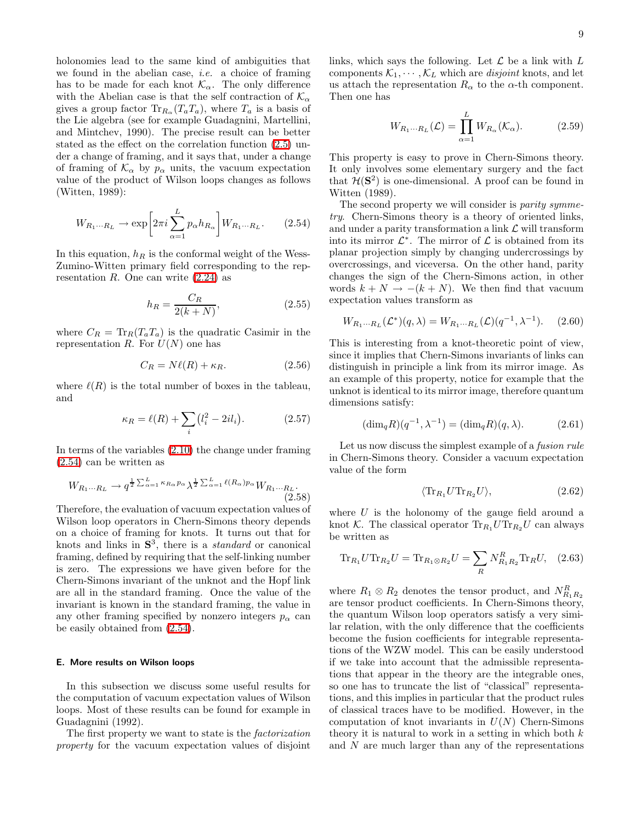holonomies lead to the same kind of ambiguities that we found in the abelian case, *i.e.* a choice of framing has to be made for each knot  $\mathcal{K}_{\alpha}$ . The only difference with the Abelian case is that the self contraction of  $\mathcal{K}_{\alpha}$ gives a group factor  $\text{Tr}_{R_{\alpha}}(T_a T_a)$ , where  $T_a$  is a basis of the Lie algebra (see for example Guadagnini, Martellini, and Mintchev, 1990). The precise result can be better stated as the effect on the correlation function [\(2.5\)](#page-2-2) under a change of framing, and it says that, under a change of framing of  $\mathcal{K}_{\alpha}$  by  $p_{\alpha}$  units, the vacuum expectation value of the product of Wilson loops changes as follows (Witten, 1989):

<span id="page-8-1"></span>
$$
W_{R_1\cdots R_L} \to \exp\bigg[2\pi i \sum_{\alpha=1}^L p_\alpha h_{R_\alpha}\bigg] W_{R_1\cdots R_L}.\tag{2.54}
$$

In this equation,  $h_R$  is the conformal weight of the Wess-Zumino-Witten primary field corresponding to the representation  $R$ . One can write  $(2.24)$  as

$$
h_R = \frac{C_R}{2(k+N)},\tag{2.55}
$$

where  $C_R = \text{Tr}_R(T_a T_a)$  is the quadratic Casimir in the representation  $R$ . For  $U(N)$  one has

$$
C_R = N\ell(R) + \kappa_R. \tag{2.56}
$$

<span id="page-8-3"></span>where  $\ell(R)$  is the total number of boxes in the tableau, and

$$
\kappa_R = \ell(R) + \sum_i (l_i^2 - 2il_i).
$$
 (2.57)

<span id="page-8-4"></span>In terms of the variables [\(2.10\)](#page-3-3) the change under framing [\(2.54\)](#page-8-1) can be written as

$$
W_{R_1\cdots R_L} \to q^{\frac{1}{2}\sum_{\alpha=1}^L \kappa_{R_\alpha} p_\alpha} \lambda^{\frac{1}{2}\sum_{\alpha=1}^L \ell(R_\alpha) p_\alpha} W_{R_1\cdots R_L}.
$$
\n(2.58)

Therefore, the evaluation of vacuum expectation values of Wilson loop operators in Chern-Simons theory depends on a choice of framing for knots. It turns out that for knots and links in  $S^3$ , there is a *standard* or canonical framing, defined by requiring that the self-linking number is zero. The expressions we have given before for the Chern-Simons invariant of the unknot and the Hopf link are all in the standard framing. Once the value of the invariant is known in the standard framing, the value in any other framing specified by nonzero integers  $p_{\alpha}$  can be easily obtained from [\(2.54\)](#page-8-1).

#### <span id="page-8-0"></span>E. More results on Wilson loops

In this subsection we discuss some useful results for the computation of vacuum expectation values of Wilson loops. Most of these results can be found for example in Guadagnini (1992).

The first property we want to state is the factorization property for the vacuum expectation values of disjoint <span id="page-8-2"></span>links, which says the following. Let  $\mathcal L$  be a link with  $L$ components  $\mathcal{K}_1, \cdots, \mathcal{K}_L$  which are *disjoint* knots, and let us attach the representation  $R_{\alpha}$  to the  $\alpha$ -th component. Then one has

$$
W_{R_1\cdots R_L}(\mathcal{L}) = \prod_{\alpha=1}^L W_{R_\alpha}(\mathcal{K}_\alpha). \tag{2.59}
$$

This property is easy to prove in Chern-Simons theory. It only involves some elementary surgery and the fact that  $\mathcal{H}(\mathbf{S}^2)$  is one-dimensional. A proof can be found in Witten (1989).

The second property we will consider is parity symmetry. Chern-Simons theory is a theory of oriented links, and under a parity transformation a link  $\mathcal L$  will transform into its mirror  $\mathcal{L}^*$ . The mirror of  $\mathcal L$  is obtained from its planar projection simply by changing undercrossings by overcrossings, and viceversa. On the other hand, parity changes the sign of the Chern-Simons action, in other words  $k + N \rightarrow -(k + N)$ . We then find that vacuum expectation values transform as

$$
W_{R_1\cdots R_L}(\mathcal{L}^*)(q,\lambda) = W_{R_1\cdots R_L}(\mathcal{L})(q^{-1},\lambda^{-1}).
$$
 (2.60)

This is interesting from a knot-theoretic point of view, since it implies that Chern-Simons invariants of links can distinguish in principle a link from its mirror image. As an example of this property, notice for example that the unknot is identical to its mirror image, therefore quantum dimensions satisfy:

$$
(\dim_q R)(q^{-1}, \lambda^{-1}) = (\dim_q R)(q, \lambda). \tag{2.61}
$$

Let us now discuss the simplest example of a *fusion rule* in Chern-Simons theory. Consider a vacuum expectation value of the form

$$
\langle \text{Tr}_{R_1} U \text{Tr}_{R_2} U \rangle, \tag{2.62}
$$

where  $U$  is the holonomy of the gauge field around a knot  $K$ . The classical operator  $\text{Tr}_{R_1}U\text{Tr}_{R_2}U$  can always be written as

$$
\text{Tr}_{R_1} U \text{Tr}_{R_2} U = \text{Tr}_{R_1 \otimes R_2} U = \sum_{R} N_{R_1 R_2}^R \text{Tr}_R U, \quad (2.63)
$$

where  $R_1 \otimes R_2$  denotes the tensor product, and  $N_{R_1R_2}^R$ are tensor product coefficients. In Chern-Simons theory, the quantum Wilson loop operators satisfy a very similar relation, with the only difference that the coefficients become the fusion coefficients for integrable representations of the WZW model. This can be easily understood if we take into account that the admissible representations that appear in the theory are the integrable ones, so one has to truncate the list of "classical" representations, and this implies in particular that the product rules of classical traces have to be modified. However, in the computation of knot invariants in  $U(N)$  Chern-Simons theory it is natural to work in a setting in which both  $k$ and  $N$  are much larger than any of the representations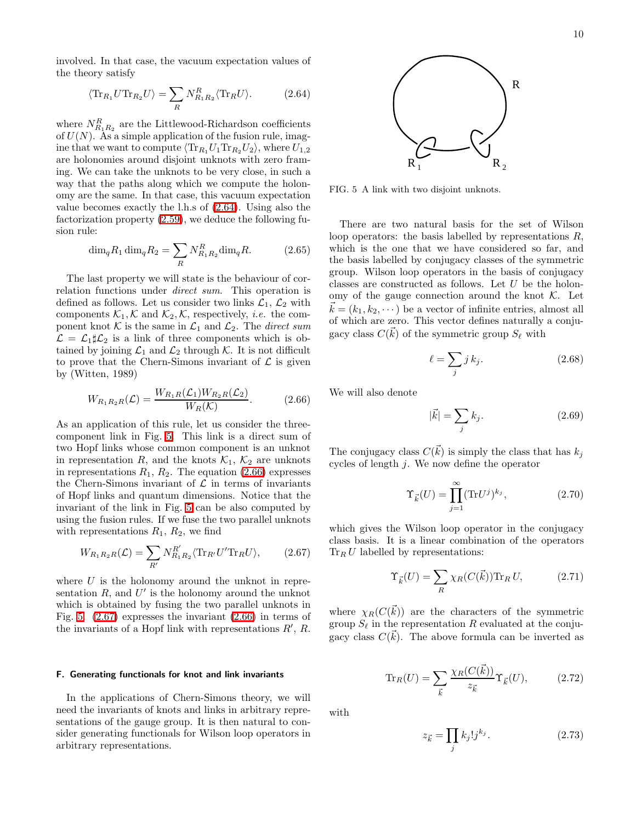<span id="page-9-1"></span>involved. In that case, the vacuum expectation values of the theory satisfy

$$
\langle \text{Tr}_{R_1} U \text{Tr}_{R_2} U \rangle = \sum_R N_{R_1 R_2}^R \langle \text{Tr}_R U \rangle. \tag{2.64}
$$

where  $N_{R_1R_2}^R$  are the Littlewood-Richardson coefficients of  $U(N)$ . As a simple application of the fusion rule, imagine that we want to compute  $\langle \text{Tr}_{R_1} U_1 \text{Tr}_{R_2} U_2 \rangle$ , where  $U_{1,2}$ are holonomies around disjoint unknots with zero framing. We can take the unknots to be very close, in such a way that the paths along which we compute the holonomy are the same. In that case, this vacuum expectation value becomes exactly the l.h.s of [\(2.64\)](#page-9-1). Using also the factorization property [\(2.59\)](#page-8-2), we deduce the following fusion rule:

$$
\dim_q R_1 \dim_q R_2 = \sum_R N_{R_1 R_2}^R \dim_q R. \tag{2.65}
$$

The last property we will state is the behaviour of correlation functions under direct sum. This operation is defined as follows. Let us consider two links  $\mathcal{L}_1, \mathcal{L}_2$  with components  $\mathcal{K}_1, \mathcal{K}$  and  $\mathcal{K}_2, \mathcal{K}$ , respectively, *i.e.* the component knot K is the same in  $\mathcal{L}_1$  and  $\mathcal{L}_2$ . The *direct sum*  $\mathcal{L} = \mathcal{L}_1 \sharp \mathcal{L}_2$  is a link of three components which is obtained by joining  $\mathcal{L}_1$  and  $\mathcal{L}_2$  through  $\mathcal{K}$ . It is not difficult to prove that the Chern-Simons invariant of  $\mathcal L$  is given by (Witten, 1989)

<span id="page-9-3"></span>
$$
W_{R_1R_2R}(\mathcal{L}) = \frac{W_{R_1R}(\mathcal{L}_1)W_{R_2R}(\mathcal{L}_2)}{W_R(\mathcal{K})}.
$$
 (2.66)

As an application of this rule, let us consider the threecomponent link in Fig. [5.](#page-9-2) This link is a direct sum of two Hopf links whose common component is an unknot in representation R, and the knots  $\mathcal{K}_1$ ,  $\mathcal{K}_2$  are unknots in representations  $R_1, R_2$ . The equation [\(2.66\)](#page-9-3) expresses the Chern-Simons invariant of  $\mathcal L$  in terms of invariants of Hopf links and quantum dimensions. Notice that the invariant of the link in Fig. [5](#page-9-2) can be also computed by using the fusion rules. If we fuse the two parallel unknots with representations  $R_1, R_2$ , we find

<span id="page-9-4"></span>
$$
W_{R_1R_2R}(\mathcal{L}) = \sum_{R'} N_{R_1R_2}^{R'} \langle \text{Tr}_{R'} U' \text{Tr}_{R} U \rangle, \qquad (2.67)
$$

where  $U$  is the holonomy around the unknot in representation  $R$ , and  $U'$  is the holonomy around the unknot which is obtained by fusing the two parallel unknots in Fig. [5.](#page-9-2) [\(2.67\)](#page-9-4) expresses the invariant [\(2.66\)](#page-9-3) in terms of the invariants of a Hopf link with representations  $R'$ ,  $R$ .

#### <span id="page-9-0"></span>F. Generating functionals for knot and link invariants

In the applications of Chern-Simons theory, we will need the invariants of knots and links in arbitrary representations of the gauge group. It is then natural to consider generating functionals for Wilson loop operators in arbitrary representations.



<span id="page-9-2"></span>FIG. 5 A link with two disjoint unknots.

There are two natural basis for the set of Wilson loop operators: the basis labelled by representations  $R$ , which is the one that we have considered so far, and the basis labelled by conjugacy classes of the symmetric group. Wilson loop operators in the basis of conjugacy classes are constructed as follows. Let  $U$  be the holonomy of the gauge connection around the knot  $K$ . Let  $\vec{k} = (k_1, k_2, \dots)$  be a vector of infinite entries, almost all of which are zero. This vector defines naturally a conjugacy class  $C(\vec{k})$  of the symmetric group  $S_{\ell}$  with

$$
\ell = \sum_{j} j k_j. \tag{2.68}
$$

<span id="page-9-7"></span>We will also denote

<span id="page-9-6"></span>
$$
|\vec{k}| = \sum_j k_j. \tag{2.69}
$$

The conjugacy class  $C(\vec{k})$  is simply the class that has  $k_j$ cycles of length j. We now define the operator

$$
\Upsilon_{\vec{k}}(U) = \prod_{j=1}^{\infty} (\text{Tr} U^j)^{k_j},\tag{2.70}
$$

which gives the Wilson loop operator in the conjugacy class basis. It is a linear combination of the operators  $\text{Tr}_R U$  labelled by representations:

<span id="page-9-5"></span>
$$
\Upsilon_{\vec{k}}(U) = \sum_{R} \chi_{R}(C(\vec{k})) \text{Tr}_{R} U, \qquad (2.71)
$$

<span id="page-9-8"></span>where  $\chi_R(C(\vec{k}))$  are the characters of the symmetric group  $S_{\ell}$  in the representation R evaluated at the conjugacy class  $C(\vec{k})$ . The above formula can be inverted as

$$
\text{Tr}_R(U) = \sum_{\vec{k}} \frac{\chi_R(C(\vec{k}))}{z_{\vec{k}}} \Upsilon_{\vec{k}}(U),\tag{2.72}
$$

<span id="page-9-9"></span>with

$$
z_{\vec{k}} = \prod_j k_j! j^{k_j}.
$$
\n(2.73)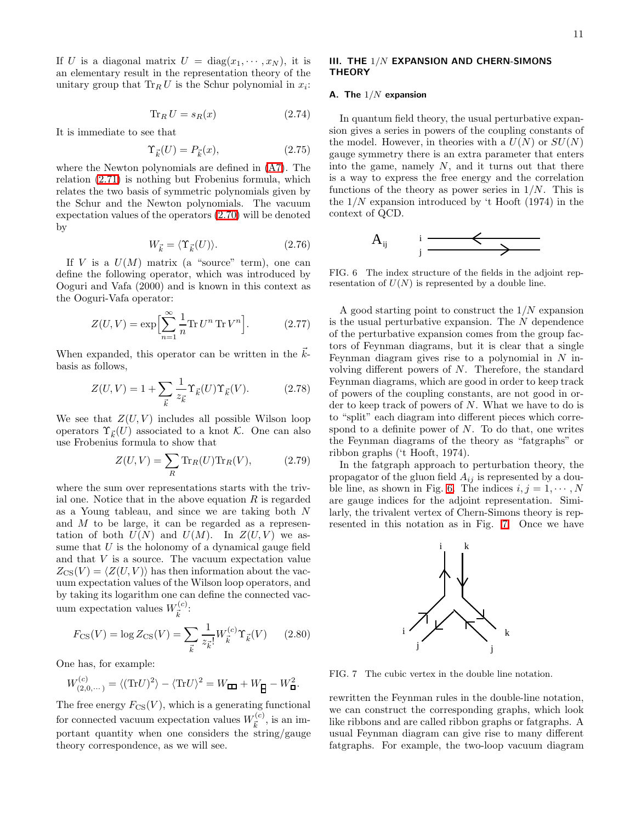If U is a diagonal matrix  $U = diag(x_1, \dots, x_N)$ , it is an elementary result in the representation theory of the unitary group that  $\text{Tr}_R U$  is the Schur polynomial in  $x_i$ :

$$
\operatorname{Tr}_R U = s_R(x) \tag{2.74}
$$

It is immediate to see that

$$
\Upsilon_{\vec{k}}(U) = P_{\vec{k}}(x),\tag{2.75}
$$

where the Newton polynomials are defined in [\(A7\)](#page-44-1). The relation [\(2.71\)](#page-9-5) is nothing but Frobenius formula, which relates the two basis of symmetric polynomials given by the Schur and the Newton polynomials. The vacuum expectation values of the operators [\(2.70\)](#page-9-6) will be denoted by

$$
W_{\vec{k}} = \langle \Upsilon_{\vec{k}}(U) \rangle. \tag{2.76}
$$

If V is a  $U(M)$  matrix (a "source" term), one can define the following operator, which was introduced by Ooguri and Vafa (2000) and is known in this context as the Ooguri-Vafa operator:

<span id="page-10-5"></span>
$$
Z(U,V) = \exp\left[\sum_{n=1}^{\infty} \frac{1}{n} \text{Tr} U^n \text{ Tr} V^n\right].
$$
 (2.77)

When expanded, this operator can be written in the  $\vec{k}$ basis as follows,

$$
Z(U,V) = 1 + \sum_{\vec{k}} \frac{1}{z_{\vec{k}}} \Upsilon_{\vec{k}}(U) \Upsilon_{\vec{k}}(V). \tag{2.78}
$$

We see that  $Z(U, V)$  includes all possible Wilson loop operators  $\Upsilon_{\vec{k}}(U)$  associated to a knot K. One can also use Frobenius formula to show that

<span id="page-10-6"></span>
$$
Z(U,V) = \sum_{R} \text{Tr}_{R}(U)\text{Tr}_{R}(V),\tag{2.79}
$$

where the sum over representations starts with the trivial one. Notice that in the above equation  $R$  is regarded as a Young tableau, and since we are taking both N and M to be large, it can be regarded as a representation of both  $U(N)$  and  $U(M)$ . In  $Z(U, V)$  we assume that  $U$  is the holonomy of a dynamical gauge field and that  $V$  is a source. The vacuum expectation value  $Z_{\text{CS}}(V) = \langle Z(U, V) \rangle$  has then information about the vacuum expectation values of the Wilson loop operators, and by taking its logarithm one can define the connected vacuum expectation values  $W_{\vec{k}}^{(c)}$  $\vec{k}^{(c)}$ :

<span id="page-10-4"></span>
$$
F_{\text{CS}}(V) = \log Z_{\text{CS}}(V) = \sum_{\vec{k}} \frac{1}{z_{\vec{k}}} W_{\vec{k}}^{(c)} \Upsilon_{\vec{k}}(V) \qquad (2.80)
$$

One has, for example:

$$
W_{(2,0,\dots)}^{(c)} = \langle (\text{Tr} U)^2 \rangle - \langle \text{Tr} U \rangle^2 = W_{\mathbf{L} \mathbf{L}} + W_{\mathbf{L}} - W_{\mathbf{L}}^2.
$$

The free energy  $F_{\text{CS}}(V)$ , which is a generating functional for connected vacuum expectation values  $W_{\vec{k}}^{(c)}$  $\vec{k}^{(c)}$ , is an important quantity when one considers the string/gauge theory correspondence, as we will see.

## <span id="page-10-0"></span>III. THE  $1/N$  EXPANSION AND CHERN-SIMONS **THEORY**

#### <span id="page-10-1"></span>A. The  $1/N$  expansion

In quantum field theory, the usual perturbative expansion gives a series in powers of the coupling constants of the model. However, in theories with a  $U(N)$  or  $SU(N)$ gauge symmetry there is an extra parameter that enters into the game, namely  $N$ , and it turns out that there is a way to express the free energy and the correlation functions of the theory as power series in  $1/N$ . This is the  $1/N$  expansion introduced by 't Hooft (1974) in the context of QCD.



<span id="page-10-2"></span>FIG. 6 The index structure of the fields in the adjoint representation of  $U(N)$  is represented by a double line.

A good starting point to construct the  $1/N$  expansion is the usual perturbative expansion. The  $N$  dependence of the perturbative expansion comes from the group factors of Feynman diagrams, but it is clear that a single Feynman diagram gives rise to a polynomial in  $N$  involving different powers of N. Therefore, the standard Feynman diagrams, which are good in order to keep track of powers of the coupling constants, are not good in order to keep track of powers of  $N$ . What we have to do is to "split" each diagram into different pieces which correspond to a definite power of  $N$ . To do that, one writes the Feynman diagrams of the theory as "fatgraphs" or ribbon graphs ('t Hooft, 1974).

In the fatgraph approach to perturbation theory, the propagator of the gluon field  $A_{ij}$  is represented by a dou-ble line, as shown in Fig. [6.](#page-10-2) The indices  $i, j = 1, \dots, N$ are gauge indices for the adjoint representation. Similarly, the trivalent vertex of Chern-Simons theory is represented in this notation as in Fig. [7.](#page-10-3) Once we have



<span id="page-10-3"></span>FIG. 7 The cubic vertex in the double line notation.

rewritten the Feynman rules in the double-line notation, we can construct the corresponding graphs, which look like ribbons and are called ribbon graphs or fatgraphs. A usual Feynman diagram can give rise to many different fatgraphs. For example, the two-loop vacuum diagram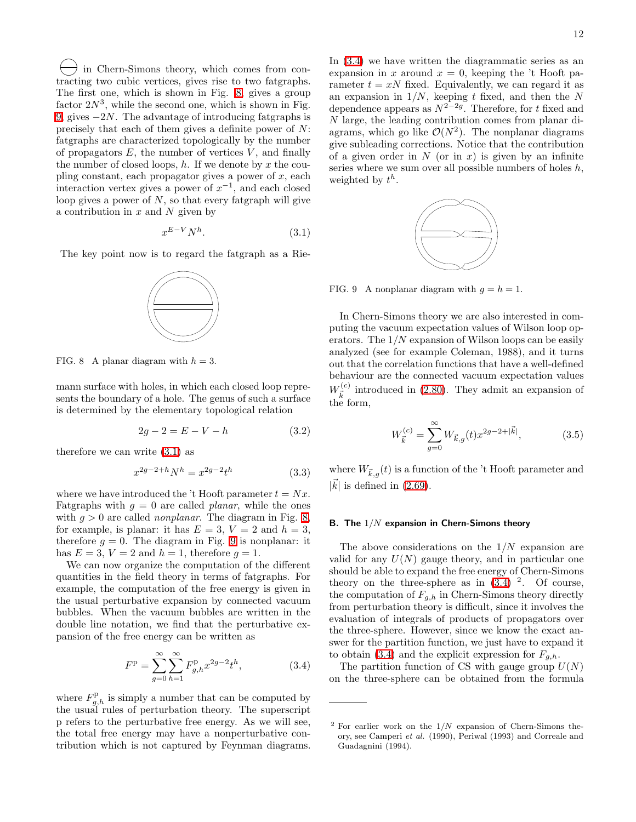$\bigcup$  in Chern-Shihons theory, which comes from con- $\bigcap$ in Chern-Simons theory, which comes from con-The first one, which is shown in Fig. [8,](#page-11-1) gives a group factor  $2N^3$ , while the second one, which is shown in Fig. [9,](#page-11-2) gives  $-2N$ . The advantage of introducing fatgraphs is precisely that each of them gives a definite power of N: fatgraphs are characterized topologically by the number of propagators  $E$ , the number of vertices  $V$ , and finally the number of closed loops,  $h$ . If we denote by  $x$  the coupling constant, each propagator gives a power of  $x$ , each interaction vertex gives a power of  $x^{-1}$ , and each closed loop gives a power of  $N$ , so that every fatgraph will give a contribution in  $x$  and  $N$  given by

<span id="page-11-3"></span>
$$
x^{E-V}N^h. \t\t(3.1)
$$

The key point now is to regard the fatgraph as a Rie-



<span id="page-11-1"></span>FIG. 8 A planar diagram with  $h = 3$ .

mann surface with holes, in which each closed loop represents the boundary of a hole. The genus of such a surface is determined by the elementary topological relation

$$
2g - 2 = E - V - h \tag{3.2}
$$

therefore we can write  $(3.1)$  as

$$
x^{2g-2+h}N^h = x^{2g-2}t^h \tag{3.3}
$$

where we have introduced the 't Hooft parameter  $t = Nx$ . Fatgraphs with  $q = 0$  are called *planar*, while the ones with  $q > 0$  are called *nonplanar*. The diagram in Fig. [8,](#page-11-1) for example, is planar: it has  $E = 3$ ,  $V = 2$  and  $h = 3$ , therefore  $g = 0$ . The diagram in Fig. [9](#page-11-2) is nonplanar: it has  $E = 3$ ,  $V = 2$  and  $h = 1$ , therefore  $q = 1$ .

We can now organize the computation of the different quantities in the field theory in terms of fatgraphs. For example, the computation of the free energy is given in the usual perturbative expansion by connected vacuum bubbles. When the vacuum bubbles are written in the double line notation, we find that the perturbative expansion of the free energy can be written as

<span id="page-11-4"></span>
$$
F^{\rm p} = \sum_{g=0}^{\infty} \sum_{h=1}^{\infty} F_{g,h}^{\rm p} x^{2g-2} t^h, \tag{3.4}
$$

where  $F_{g,h}^{\mathrm{p}}$  is simply a number that can be computed by the usual rules of perturbation theory. The superscript p refers to the perturbative free energy. As we will see, the total free energy may have a nonperturbative contribution which is not captured by Feynman diagrams. In [\(3.4\)](#page-11-4) we have written the diagrammatic series as an expansion in x around  $x = 0$ , keeping the 't Hooft parameter  $t = xN$  fixed. Equivalently, we can regard it as an expansion in  $1/N$ , keeping t fixed, and then the N dependence appears as  $N^{2-2g}$ . Therefore, for t fixed and N large, the leading contribution comes from planar diagrams, which go like  $\mathcal{O}(N^2)$ . The nonplanar diagrams give subleading corrections. Notice that the contribution of a given order in  $N$  (or in  $x$ ) is given by an infinite series where we sum over all possible numbers of holes  $h$ , weighted by  $t^h$ .



<span id="page-11-2"></span>FIG. 9 A nonplanar diagram with  $g = h = 1$ .

<span id="page-11-5"></span>In Chern-Simons theory we are also interested in computing the vacuum expectation values of Wilson loop operators. The  $1/N$  expansion of Wilson loops can be easily analyzed (see for example Coleman, 1988), and it turns out that the correlation functions that have a well-defined behaviour are the connected vacuum expectation values  $W^{(c)}_{\vec{\imath}}$  $\vec{k}^{(c)}$  introduced in [\(2.80\)](#page-10-4). They admit an expansion of  $\th$ <sup> $\kappa$ </sup> form.

$$
W_{\vec{k}}^{(c)} = \sum_{g=0}^{\infty} W_{\vec{k},g}(t) x^{2g-2+|\vec{k}|},
$$
 (3.5)

where  $W_{\vec{k},g}(t)$  is a function of the 't Hooft parameter and  $|\vec{k}|$  is defined in [\(2.69\)](#page-9-7).

#### <span id="page-11-0"></span>B. The  $1/N$  expansion in Chern-Simons theory

The above considerations on the  $1/N$  expansion are valid for any  $U(N)$  gauge theory, and in particular one should be able to expand the free energy of Chern-Simons theory on the three-sphere as in  $(3.4)$  <sup>2</sup>. Of course, the computation of  $F_{q,h}$  in Chern-Simons theory directly from perturbation theory is difficult, since it involves the evaluation of integrals of products of propagators over the three-sphere. However, since we know the exact answer for the partition function, we just have to expand it to obtain [\(3.4\)](#page-11-4) and the explicit expression for  $F_{g,h}$ .

The partition function of CS with gauge group  $U(N)$ on the three-sphere can be obtained from the formula

 $2$  For earlier work on the  $1/N$  expansion of Chern-Simons theory, see Camperi et al. (1990), Periwal (1993) and Correale and Guadagnini (1994).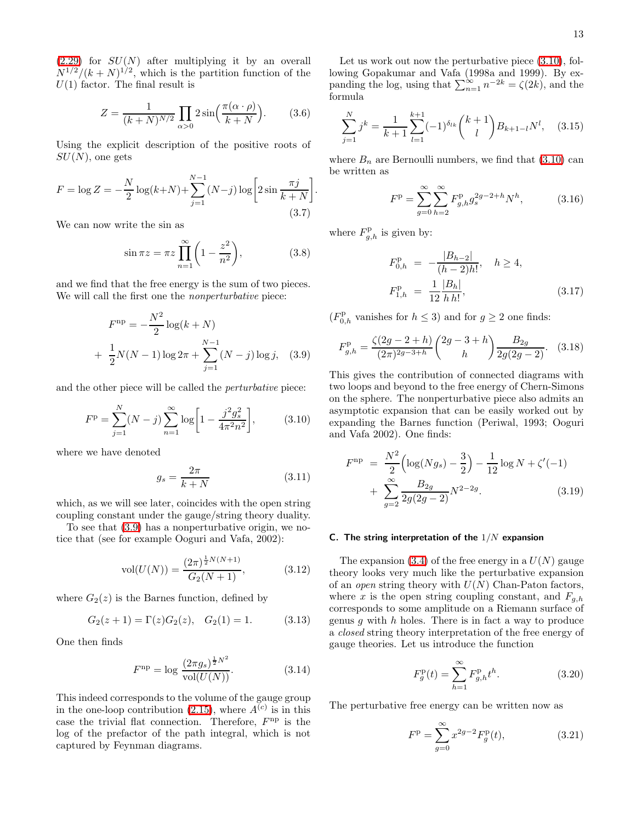$(2.29)$  for  $SU(N)$  after multiplying it by an overall  $N^{1/2}/(k+N)^{1/2}$ , which is the partition function of the  $U(1)$  factor. The final result is

$$
Z = \frac{1}{(k+N)^{N/2}} \prod_{\alpha>0} 2\sin\left(\frac{\pi(\alpha \cdot \rho)}{k+N}\right).
$$
 (3.6)

Using the explicit description of the positive roots of  $SU(N)$ , one gets

$$
F = \log Z = -\frac{N}{2}\log(k+N) + \sum_{j=1}^{N-1} (N-j)\log\left[2\sin\frac{\pi j}{k+N}\right]
$$
\n(3.7)

We can now write the sin as

$$
\sin \pi z = \pi z \prod_{n=1}^{\infty} \left( 1 - \frac{z^2}{n^2} \right),\tag{3.8}
$$

<span id="page-12-1"></span>and we find that the free energy is the sum of two pieces. We will call the first one the nonperturbative piece:

$$
F^{\rm np} = -\frac{N^2}{2} \log(k+N)
$$
  
+  $\frac{1}{2}N(N-1)\log 2\pi + \sum_{j=1}^{N-1} (N-j)\log j$ , (3.9)

and the other piece will be called the perturbative piece:

<span id="page-12-5"></span>
$$
F^{\rm p} = \sum_{j=1}^{N} (N-j) \sum_{n=1}^{\infty} \log \left[ 1 - \frac{j^2 g_s^2}{4\pi^2 n^2} \right],\tag{3.10}
$$

where we have denoted

$$
g_s = \frac{2\pi}{k+N} \tag{3.11}
$$

which, as we will see later, coincides with the open string coupling constant under the gauge/string theory duality.

To see that [\(3.9\)](#page-12-1) has a nonperturbative origin, we notice that (see for example Ooguri and Vafa, 2002):

$$
vol(U(N)) = \frac{(2\pi)^{\frac{1}{2}N(N+1)}}{G_2(N+1)},
$$
\n(3.12)

where  $G_2(z)$  is the Barnes function, defined by

$$
G_2(z+1) = \Gamma(z)G_2(z), \quad G_2(1) = 1. \tag{3.13}
$$

One then finds

$$
F^{\rm np} = \log \frac{(2\pi g_s)^{\frac{1}{2}N^2}}{\text{vol}(U(N))}.
$$
 (3.14)

This indeed corresponds to the volume of the gauge group in the one-loop contribution [\(2.15\)](#page-3-4), where  $A^{(c)}$  is in this case the trivial flat connection. Therefore,  $F<sup>np</sup>$  is the log of the prefactor of the path integral, which is not captured by Feynman diagrams.

Let us work out now the perturbative piece [\(3.10\)](#page-12-2), following Gopakumar and Vafa (1998a and 1999). By expanding the log, using that  $\sum_{n=1}^{\infty} n^{-2k} = \zeta(2k)$ , and the formula

$$
\sum_{j=1}^{N} j^{k} = \frac{1}{k+1} \sum_{l=1}^{k+1} (-1)^{\delta_{lk}} {k+1 \choose l} B_{k+1-l} N^{l}, \quad (3.15)
$$

where  $B_n$  are Bernoulli numbers, we find that  $(3.10)$  can be written as

$$
F^{\rm p} = \sum_{g=0}^{\infty} \sum_{h=2}^{\infty} F_{g,h}^{\rm p} g_s^{2g-2+h} N^h, \tag{3.16}
$$

where  $F_{g,h}^{\mathrm{p}}$  is given by:

.

$$
F_{0,h}^{\text{p}} = -\frac{|B_{h-2}|}{(h-2)h!}, \quad h \ge 4,
$$
  

$$
F_{1,h}^{\text{p}} = \frac{1}{12} \frac{|B_h|}{h h!}, \qquad (3.17)
$$

 $(F_{0,h}^{\mathbf{p}} \text{ vanishes for } h \leq 3)$  and for  $g \geq 2$  one finds:

$$
F_{g,h}^{\rm p} = \frac{\zeta(2g - 2 + h)}{(2\pi)^{2g - 3 + h}} \binom{2g - 3 + h}{h} \frac{B_{2g}}{2g(2g - 2)}.
$$
 (3.18)

<span id="page-12-2"></span>This gives the contribution of connected diagrams with two loops and beyond to the free energy of Chern-Simons on the sphere. The nonperturbative piece also admits an asymptotic expansion that can be easily worked out by expanding the Barnes function (Periwal, 1993; Ooguri and Vafa 2002). One finds:

$$
F^{\rm np} = \frac{N^2}{2} \left( \log(Ng_s) - \frac{3}{2} \right) - \frac{1}{12} \log N + \zeta'(-1) + \sum_{g=2}^{\infty} \frac{B_{2g}}{2g(2g-2)} N^{2-2g}.
$$
 (3.19)

## <span id="page-12-0"></span>C. The string interpretation of the  $1/N$  expansion

The expansion  $(3.4)$  of the free energy in a  $U(N)$  gauge theory looks very much like the perturbative expansion of an *open* string theory with  $U(N)$  Chan-Paton factors, where x is the open string coupling constant, and  $F_{q,h}$ corresponds to some amplitude on a Riemann surface of genus  $g$  with  $h$  holes. There is in fact a way to produce a closed string theory interpretation of the free energy of gauge theories. Let us introduce the function

<span id="page-12-4"></span><span id="page-12-3"></span>
$$
F_g^{\mathbf{p}}(t) = \sum_{h=1}^{\infty} F_{g,h}^{\mathbf{p}} t^h.
$$
 (3.20)

The perturbative free energy can be written now as

$$
F^{\mathbf{p}} = \sum_{g=0}^{\infty} x^{2g-2} F_g^{\mathbf{p}}(t),
$$
 (3.21)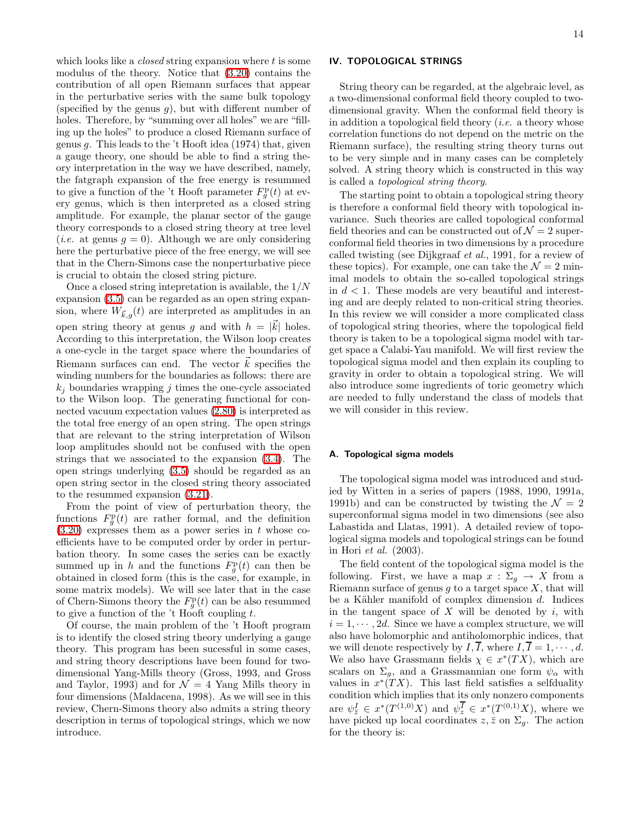which looks like a *closed* string expansion where  $t$  is some modulus of the theory. Notice that [\(3.20\)](#page-12-3) contains the contribution of all open Riemann surfaces that appear in the perturbative series with the same bulk topology (specified by the genus  $g$ ), but with different number of holes. Therefore, by "summing over all holes" we are "filling up the holes" to produce a closed Riemann surface of genus g. This leads to the 't Hooft idea (1974) that, given a gauge theory, one should be able to find a string theory interpretation in the way we have described, namely, the fatgraph expansion of the free energy is resummed to give a function of the 't Hooft parameter  $F_g^{\rm p}(t)$  at every genus, which is then interpreted as a closed string amplitude. For example, the planar sector of the gauge theory corresponds to a closed string theory at tree level (*i.e.* at genus  $g = 0$ ). Although we are only considering here the perturbative piece of the free energy, we will see that in the Chern-Simons case the nonperturbative piece is crucial to obtain the closed string picture.

Once a closed string intepretation is available, the  $1/N$ expansion [\(3.5\)](#page-11-5) can be regarded as an open string expansion, where  $W_{\vec{k},g}(t)$  are interpreted as amplitudes in an open string theory at genus g and with  $h = |\vec{k}|$  holes. According to this interpretation, the Wilson loop creates a one-cycle in the target space where the boundaries of Riemann surfaces can end. The vector  $\vec{k}$  specifies the winding numbers for the boundaries as follows: there are  $k_i$  boundaries wrapping j times the one-cycle associated to the Wilson loop. The generating functional for connected vacuum expectation values [\(2.80\)](#page-10-4) is interpreted as the total free energy of an open string. The open strings that are relevant to the string interpretation of Wilson loop amplitudes should not be confused with the open strings that we associated to the expansion [\(3.4\)](#page-11-4). The open strings underlying [\(3.5\)](#page-11-5) should be regarded as an open string sector in the closed string theory associated to the resummed expansion [\(3.21\)](#page-12-4).

From the point of view of perturbation theory, the functions  $F_g^{\rm p}(t)$  are rather formal, and the definition  $(3.20)$  expresses them as a power series in t whose coefficients have to be computed order by order in perturbation theory. In some cases the series can be exactly summed up in h and the functions  $F_g^{\rm p}(t)$  can then be obtained in closed form (this is the case, for example, in some matrix models). We will see later that in the case of Chern-Simons theory the  $F_g^{\rm p}(t)$  can be also resummed to give a function of the  $\cdot$ <sup>t</sup> Hooft coupling t.

Of course, the main problem of the 't Hooft program is to identify the closed string theory underlying a gauge theory. This program has been sucessful in some cases, and string theory descriptions have been found for twodimensional Yang-Mills theory (Gross, 1993, and Gross and Taylor, 1993) and for  $\mathcal{N} = 4$  Yang Mills theory in four dimensions (Maldacena, 1998). As we will see in this review, Chern-Simons theory also admits a string theory description in terms of topological strings, which we now introduce.

## <span id="page-13-0"></span>IV. TOPOLOGICAL STRINGS

String theory can be regarded, at the algebraic level, as a two-dimensional conformal field theory coupled to twodimensional gravity. When the conformal field theory is in addition a topological field theory  $(i.e.$  a theory whose correlation functions do not depend on the metric on the Riemann surface), the resulting string theory turns out to be very simple and in many cases can be completely solved. A string theory which is constructed in this way is called a topological string theory.

The starting point to obtain a topological string theory is therefore a conformal field theory with topological invariance. Such theories are called topological conformal field theories and can be constructed out of  $\mathcal{N}=2$  superconformal field theories in two dimensions by a procedure called twisting (see Dijkgraaf et al., 1991, for a review of these topics). For example, one can take the  $\mathcal{N} = 2$  minimal models to obtain the so-called topological strings in  $d < 1$ . These models are very beautiful and interesting and are deeply related to non-critical string theories. In this review we will consider a more complicated class of topological string theories, where the topological field theory is taken to be a topological sigma model with target space a Calabi-Yau manifold. We will first review the topological sigma model and then explain its coupling to gravity in order to obtain a topological string. We will also introduce some ingredients of toric geometry which are needed to fully understand the class of models that we will consider in this review.

#### <span id="page-13-1"></span>A. Topological sigma models

The topological sigma model was introduced and studied by Witten in a series of papers (1988, 1990, 1991a, 1991b) and can be constructed by twisting the  $\mathcal{N} = 2$ superconformal sigma model in two dimensions (see also Labastida and Llatas, 1991). A detailed review of topological sigma models and topological strings can be found in Hori et al. (2003).

The field content of the topological sigma model is the following. First, we have a map  $x : \Sigma_g \to X$  from a Riemann surface of genus g to a target space  $X$ , that will be a Kähler manifold of complex dimension  $d$ . Indices in the tangent space of  $X$  will be denoted by  $i$ , with  $i = 1, \dots, 2d$ . Since we have a complex structure, we will also have holomorphic and antiholomorphic indices, that we will denote respectively by  $I, \overline{I}$ , where  $I, \overline{I} = 1, \dots, d$ . We also have Grassmann fields  $\chi \in x^*(TX)$ , which are scalars on  $\Sigma_g$ , and a Grassmannian one form  $\psi_\alpha$  with values in  $x^*(TX)$ . This last field satisfies a selfduality condition which implies that its only nonzero components are  $\psi_{\bar{z}}^I \in x^*(T^{(1,0)}X)$  and  $\psi_z^I \in x^*(T^{(0,1)}X)$ , where we have picked up local coordinates  $z, \bar{z}$  on  $\Sigma_q$ . The action for the theory is: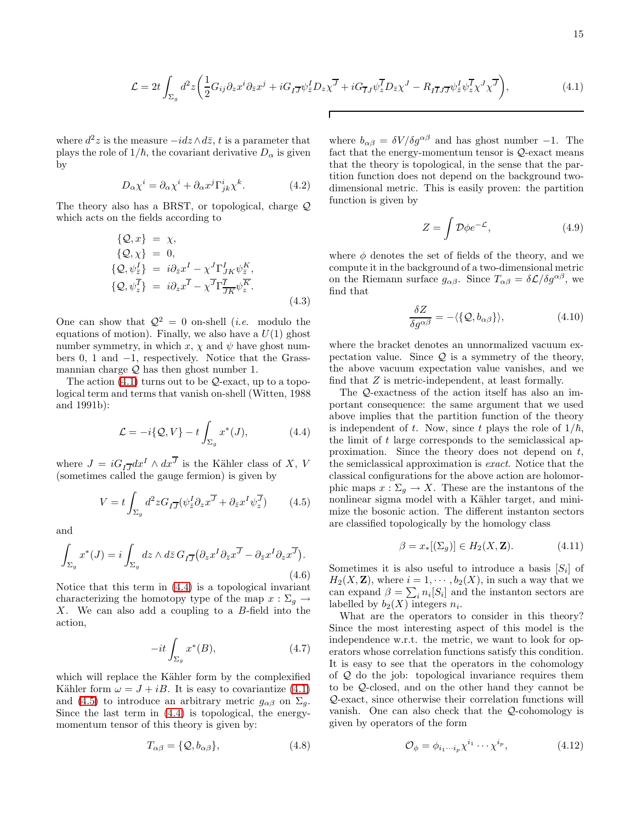$$
\mathcal{L} = 2t \int_{\Sigma_g} d^2 z \left( \frac{1}{2} G_{ij} \partial_z x^i \partial_{\bar{z}} x^j + i G_{I \overline{J}} \psi_{\bar{z}}^I D_z \chi^{\overline{J}} + i G_{\overline{I}J} \psi_{\bar{z}}^{\overline{I}} D_{\bar{z}} \chi^J - R_{I \overline{I}J \overline{J}} \psi_{\bar{z}}^I \psi_{z}^{\overline{I}} \chi^J \chi^{\overline{J}} \right),\tag{4.1}
$$

<span id="page-14-0"></span>where  $d^2z$  is the measure  $-idz \wedge d\bar{z}$ , t is a parameter that plays the role of  $1/\hbar$ , the covariant derivative  $D_{\alpha}$  is given by

$$
D_{\alpha}\chi^{i} = \partial_{\alpha}\chi^{i} + \partial_{\alpha}x^{j}\Gamma^{i}_{jk}\chi^{k}.
$$
 (4.2)

<span id="page-14-4"></span>The theory also has a BRST, or topological, charge Q which acts on the fields according to

$$
\{Q, x\} = \chi,
$$
  
\n
$$
\{Q, \chi\} = 0,
$$
  
\n
$$
\{Q, \psi_z^I\} = i\partial_z x^I - \chi^J \Gamma^I_{JK} \psi_z^K,
$$
  
\n
$$
\{Q, \psi_z^{\overline{I}}\} = i\partial_z x^{\overline{I}} - \chi^{\overline{J}} \Gamma^{\overline{I}}_{\overline{JK}} \psi_z^K.
$$
\n(4.3)

One can show that  $Q^2 = 0$  on-shell *(i.e.* modulo the equations of motion). Finally, we also have a  $U(1)$  ghost number symmetry, in which  $x$ ,  $\chi$  and  $\psi$  have ghost numbers 0, 1 and −1, respectively. Notice that the Grassmannian charge  $Q$  has then ghost number 1.

<span id="page-14-1"></span>The action  $(4.1)$  turns out to be  $Q$ -exact, up to a topological term and terms that vanish on-shell (Witten, 1988 and 1991b):

<span id="page-14-2"></span>
$$
\mathcal{L} = -i\{\mathcal{Q}, V\} - t \int_{\Sigma_g} x^*(J), \tag{4.4}
$$

where  $J = iG_{I\overline{J}}dx^{I} \wedge dx^{J}$  is the Kähler class of X, V (sometimes called the gauge fermion) is given by

$$
V = t \int_{\Sigma_g} d^2 z G_{I\overline{J}} (\psi_{\overline{z}}^I \partial_z x^{\overline{J}} + \partial_{\overline{z}} x^I \psi_z^{\overline{J}})
$$
(4.5)

and

$$
\int_{\Sigma_g} x^*(J) = i \int_{\Sigma_g} dz \wedge d\bar{z} G_{I\overline{J}} (\partial_z x^I \partial_{\bar{z}} x^{\overline{J}} - \partial_{\bar{z}} x^I \partial_z x^{\overline{J}}).
$$
\n(4.6)

Notice that this term in [\(4.4\)](#page-14-1) is a topological invariant characterizing the homotopy type of the map  $x : \Sigma_g \to$ X. We can also add a coupling to a B-field into the action,

$$
-it\int_{\Sigma_g} x^*(B),\tag{4.7}
$$

which will replace the Kähler form by the complexified Kähler form  $\omega = J + iB$ . It is easy to covariantize [\(4.1\)](#page-14-0) and [\(4.5\)](#page-14-2) to introduce an arbitrary metric  $g_{\alpha\beta}$  on  $\Sigma_g$ . Since the last term in [\(4.4\)](#page-14-1) is topological, the energymomentum tensor of this theory is given by:

<span id="page-14-3"></span>
$$
T_{\alpha\beta} = \{ \mathcal{Q}, b_{\alpha\beta} \},\tag{4.8}
$$

where  $b_{\alpha\beta} = \delta V/\delta g^{\alpha\beta}$  and has ghost number -1. The fact that the energy-momentum tensor is Q-exact means that the theory is topological, in the sense that the partition function does not depend on the background twodimensional metric. This is easily proven: the partition function is given by

$$
Z = \int \mathcal{D}\phi e^{-\mathcal{L}},\tag{4.9}
$$

where  $\phi$  denotes the set of fields of the theory, and we compute it in the background of a two-dimensional metric on the Riemann surface  $g_{\alpha\beta}$ . Since  $T_{\alpha\beta} = \delta \mathcal{L}/\delta g^{\alpha\beta}$ , we find that

$$
\frac{\delta Z}{\delta g^{\alpha\beta}} = -\langle \{ \mathcal{Q}, b_{\alpha\beta} \} \rangle, \tag{4.10}
$$

where the bracket denotes an unnormalized vacuum expectation value. Since  $Q$  is a symmetry of the theory, the above vacuum expectation value vanishes, and we find that Z is metric-independent, at least formally.

The Q-exactness of the action itself has also an important consequence: the same argument that we used above implies that the partition function of the theory is independent of t. Now, since t plays the role of  $1/\hbar$ , the limit of t large corresponds to the semiclassical approximation. Since the theory does not depend on t, the semiclassical approximation is exact. Notice that the classical configurations for the above action are holomorphic maps  $x : \Sigma_q \to X$ . These are the instantons of the nonlinear sigma model with a Kähler target, and minimize the bosonic action. The different instanton sectors are classified topologically by the homology class

$$
\beta = x_*[(\Sigma_g)] \in H_2(X, \mathbf{Z}).\tag{4.11}
$$

Sometimes it is also useful to introduce a basis  $[S_i]$  of  $H_2(X, \mathbf{Z})$ , where  $i = 1, \dots, b_2(X)$ , in such a way that we can expand  $\beta = \sum_i n_i [S_i]$  and the instanton sectors are labelled by  $b_2(X)$  integers  $n_i$ .

What are the operators to consider in this theory? Since the most interesting aspect of this model is the independence w.r.t. the metric, we want to look for operators whose correlation functions satisfy this condition. It is easy to see that the operators in the cohomology of  $Q$  do the job: topological invariance requires them to be Q-closed, and on the other hand they cannot be Q-exact, since otherwise their correlation functions will vanish. One can also check that the Q-cohomology is given by operators of the form

$$
\mathcal{O}_{\phi} = \phi_{i_1 \cdots i_p} \chi^{i_1} \cdots \chi^{i_p}, \tag{4.12}
$$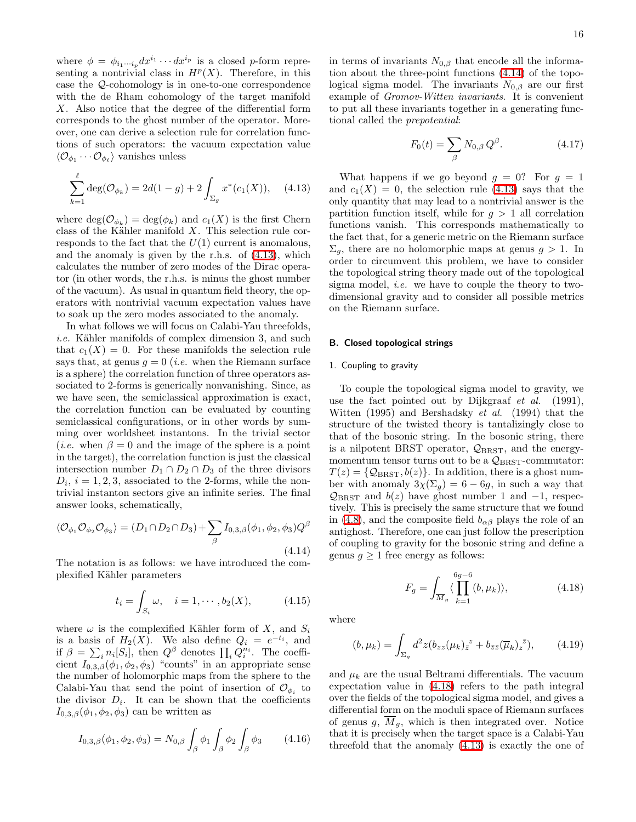where  $\phi = \phi_{i_1 \cdots i_p} dx^{i_1} \cdots dx^{i_p}$  is a closed p-form representing a nontrivial class in  $H^p(X)$ . Therefore, in this case the Q-cohomology is in one-to-one correspondence with the de Rham cohomology of the target manifold X. Also notice that the degree of the differential form corresponds to the ghost number of the operator. Moreover, one can derive a selection rule for correlation functions of such operators: the vacuum expectation value  $\langle \mathcal{O}_{\phi_1} \cdots \mathcal{O}_{\phi_\ell} \rangle$  vanishes unless

<span id="page-15-2"></span>
$$
\sum_{k=1}^{\ell} \deg(\mathcal{O}_{\phi_k}) = 2d(1-g) + 2 \int_{\Sigma_g} x^*(c_1(X)), \quad (4.13)
$$

where  $\deg(\mathcal{O}_{\phi_k}) = \deg(\phi_k)$  and  $c_1(X)$  is the first Chern class of the Kähler manifold  $X$ . This selection rule corresponds to the fact that the  $U(1)$  current is anomalous, and the anomaly is given by the r.h.s. of [\(4.13\)](#page-15-2), which calculates the number of zero modes of the Dirac operator (in other words, the r.h.s. is minus the ghost number of the vacuum). As usual in quantum field theory, the operators with nontrivial vacuum expectation values have to soak up the zero modes associated to the anomaly.

In what follows we will focus on Calabi-Yau threefolds, *i.e.* Kähler manifolds of complex dimension 3, and such that  $c_1(X) = 0$ . For these manifolds the selection rule says that, at genus  $q = 0$  (*i.e.* when the Riemann surface is a sphere) the correlation function of three operators associated to 2-forms is generically nonvanishing. Since, as we have seen, the semiclassical approximation is exact, the correlation function can be evaluated by counting semiclassical configurations, or in other words by summing over worldsheet instantons. In the trivial sector (*i.e.* when  $\beta = 0$  and the image of the sphere is a point in the target), the correlation function is just the classical intersection number  $D_1 \cap D_2 \cap D_3$  of the three divisors  $D_i$ ,  $i = 1, 2, 3$ , associated to the 2-forms, while the nontrivial instanton sectors give an infinite series. The final answer looks, schematically,

<span id="page-15-3"></span>
$$
\langle \mathcal{O}_{\phi_1} \mathcal{O}_{\phi_2} \mathcal{O}_{\phi_3} \rangle = (D_1 \cap D_2 \cap D_3) + \sum_{\beta} I_{0,3,\beta}(\phi_1, \phi_2, \phi_3) Q^{\beta}
$$
\n(4.14)

The notation is as follows: we have introduced the complexified K¨ahler parameters

$$
t_i = \int_{S_i} \omega, \quad i = 1, \cdots, b_2(X), \tag{4.15}
$$

where  $\omega$  is the complexified Kähler form of X, and  $S_i$ is a basis of  $H_2(X)$ . We also define  $Q_i = e^{-t_i}$ , and if  $\beta = \sum_i n_i [S_i]$ , then  $Q^{\beta}$  denotes  $\prod_i Q_i^{n_i}$ . The coefficient  $I_{0,3,\beta}(\phi_1,\phi_2,\phi_3)$  "counts" in an appropriate sense the number of holomorphic maps from the sphere to the Calabi-Yau that send the point of insertion of  $\mathcal{O}_{\phi_i}$  to the divisor  $D_i$ . It can be shown that the coefficients  $I_{0,3,\beta}(\phi_1,\phi_2,\phi_3)$  can be written as

<span id="page-15-5"></span>
$$
I_{0,3,\beta}(\phi_1, \phi_2, \phi_3) = N_{0,\beta} \int_{\beta} \phi_1 \int_{\beta} \phi_2 \int_{\beta} \phi_3 \qquad (4.16)
$$

in terms of invariants  $N_{0,\beta}$  that encode all the information about the three-point functions [\(4.14\)](#page-15-3) of the topological sigma model. The invariants  $N_{0,\beta}$  are our first example of Gromov-Witten invariants. It is convenient to put all these invariants together in a generating functional called the prepotential:

$$
F_0(t) = \sum_{\beta} N_{0,\beta} Q^{\beta}.
$$
 (4.17)

What happens if we go beyond  $g = 0$ ? For  $g = 1$ and  $c_1(X) = 0$ , the selection rule [\(4.13\)](#page-15-2) says that the only quantity that may lead to a nontrivial answer is the partition function itself, while for  $q > 1$  all correlation functions vanish. This corresponds mathematically to the fact that, for a generic metric on the Riemann surface  $\Sigma_g$ , there are no holomorphic maps at genus  $g > 1$ . In order to circumvent this problem, we have to consider the topological string theory made out of the topological sigma model, i.e. we have to couple the theory to twodimensional gravity and to consider all possible metrics on the Riemann surface.

## <span id="page-15-1"></span><span id="page-15-0"></span>B. Closed topological strings

#### 1. Coupling to gravity

To couple the topological sigma model to gravity, we use the fact pointed out by Dijkgraaf et al. (1991), Witten (1995) and Bershadsky *et al.* (1994) that the structure of the twisted theory is tantalizingly close to that of the bosonic string. In the bosonic string, there is a nilpotent BRST operator,  $\mathcal{Q}_{\text{BRST}}$ , and the energymomentum tensor turns out to be a  $\mathcal{Q}_{\mathrm{BRST}}$ -commutator:  $T(z) = \{Q_{\text{BRST}}, b(z)\}\.$  In addition, there is a ghost number with anomaly  $3\chi(\Sigma_g) = 6 - 6g$ , in such a way that  $\mathcal{Q}_{\text{BRST}}$  and  $b(z)$  have ghost number 1 and -1, respectively. This is precisely the same structure that we found in [\(4.8\)](#page-14-3), and the composite field  $b_{\alpha\beta}$  plays the role of an antighost. Therefore, one can just follow the prescription of coupling to gravity for the bosonic string and define a genus  $g \geq 1$  free energy as follows:

<span id="page-15-4"></span>
$$
F_g = \int_{\overline{M}_g} \langle \prod_{k=1}^{6g-6} (b, \mu_k) \rangle, \tag{4.18}
$$

where

$$
(b,\mu_k) = \int_{\Sigma_g} d^2 z (b_{zz}(\mu_k)_{\bar{z}}^z + b_{\bar{z}\bar{z}}(\overline{\mu}_k)_{z}^z), \qquad (4.19)
$$

and  $\mu_k$  are the usual Beltrami differentials. The vacuum expectation value in [\(4.18\)](#page-15-4) refers to the path integral over the fields of the topological sigma model, and gives a differential form on the moduli space of Riemann surfaces of genus  $g, M_q$ , which is then integrated over. Notice that it is precisely when the target space is a Calabi-Yau threefold that the anomaly [\(4.13\)](#page-15-2) is exactly the one of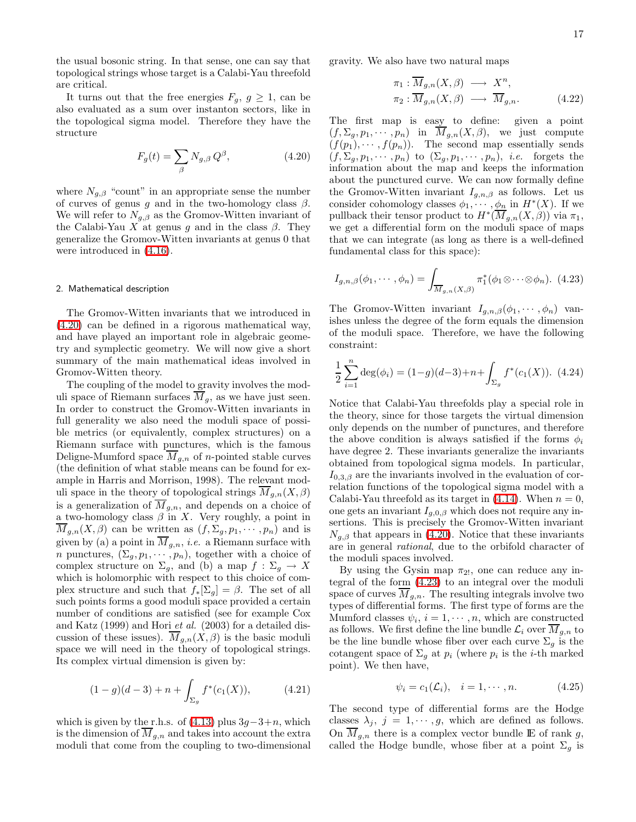the usual bosonic string. In that sense, one can say that topological strings whose target is a Calabi-Yau threefold are critical.

<span id="page-16-1"></span>It turns out that the free energies  $F_g$ ,  $g \geq 1$ , can be also evaluated as a sum over instanton sectors, like in the topological sigma model. Therefore they have the structure

$$
F_g(t) = \sum_{\beta} N_{g,\beta} Q^{\beta},\qquad(4.20)
$$

where  $N_{g,\beta}$  "count" in an appropriate sense the number of curves of genus g and in the two-homology class  $\beta$ . We will refer to  $N_{g,\beta}$  as the Gromov-Witten invariant of the Calabi-Yau X at genus g and in the class  $\beta$ . They generalize the Gromov-Witten invariants at genus 0 that were introduced in [\(4.16\)](#page-15-5).

#### <span id="page-16-0"></span>2. Mathematical description

The Gromov-Witten invariants that we introduced in [\(4.20\)](#page-16-1) can be defined in a rigorous mathematical way, and have played an important role in algebraic geometry and symplectic geometry. We will now give a short summary of the main mathematical ideas involved in Gromov-Witten theory.

The coupling of the model to gravity involves the moduli space of Riemann surfaces  $M<sub>g</sub>$ , as we have just seen. In order to construct the Gromov-Witten invariants in full generality we also need the moduli space of possible metrics (or equivalently, complex structures) on a Riemann surface with punctures, which is the famous Deligne-Mumford space  $\overline{M}_{g,n}$  of *n*-pointed stable curves (the definition of what stable means can be found for example in Harris and Morrison, 1998). The relevant moduli space in the theory of topological strings  $\overline{M}_{q,n}(X,\beta)$ is a generalization of  $\overline{M}_{q,n}$ , and depends on a choice of  $\underline{a}$  two-homology class  $\beta$  in X. Very roughly, a point in  $\overline{M}_{g,n}(X,\beta)$  can be written as  $(f, \Sigma_g, p_1, \cdots, p_n)$  and is given by (a) a point in  $\overline{M}_{g,n}$ , *i.e.* a Riemann surface with *n* punctures,  $(\Sigma_g, p_1, \cdots, p_n)$ , together with a choice of complex structure on  $\Sigma_g$ , and (b) a map  $f : \Sigma_g \to X$ which is holomorphic with respect to this choice of complex structure and such that  $f_*[\Sigma_q] = \beta$ . The set of all such points forms a good moduli space provided a certain number of conditions are satisfied (see for example Cox and Katz (1999) and Hori et al. (2003) for a detailed discussion of these issues).  $M_{g,n}(X,\beta)$  is the basic moduli space we will need in the theory of topological strings. Its complex virtual dimension is given by:

$$
(1-g)(d-3) + n + \int_{\Sigma_g} f^*(c_1(X)), \tag{4.21}
$$

which is given by the r.h.s. of  $(4.13)$  plus  $3g-3+n$ , which is the dimension of  $\overline{M}_{g,n}$  and takes into account the extra moduli that come from the coupling to two-dimensional gravity. We also have two natural maps

$$
\pi_1: \overline{M}_{g,n}(X,\beta) \longrightarrow X^n,
$$
  
\n
$$
\pi_2: \overline{M}_{g,n}(X,\beta) \longrightarrow \overline{M}_{g,n}.
$$
\n(4.22)

The first map is easy to define: given a point  $(f, \Sigma_q, p_1, \cdots, p_n)$  in  $M_{q,n}(X, \beta)$ , we just compute  $(f(p_1), \dots, f(p_n))$ . The second map essentially sends  $(f, \Sigma_q, p_1, \cdots, p_n)$  to  $(\Sigma_q, p_1, \cdots, p_n)$ , *i.e.* forgets the information about the map and keeps the information about the punctured curve. We can now formally define the Gromov-Witten invariant  $I_{g,n,\beta}$  as follows. Let us consider cohomology classes  $\phi_1, \cdots, \phi_n$  in  $H^*(X)$ . If we pullback their tensor product to  $H^*(\overline{M}_{g,n}(X,\beta))$  via  $\pi_1$ , we get a differential form on the moduli space of maps that we can integrate (as long as there is a well-defined fundamental class for this space):

<span id="page-16-2"></span>
$$
I_{g,n,\beta}(\phi_1,\cdots,\phi_n)=\int_{\overline{M}_{g,n}(X,\beta)}\pi_1^*(\phi_1\otimes\cdots\otimes\phi_n). \tag{4.23}
$$

The Gromov-Witten invariant  $I_{g,n,\beta}(\phi_1,\cdots,\phi_n)$  vanishes unless the degree of the form equals the dimension of the moduli space. Therefore, we have the following constraint:

$$
\frac{1}{2}\sum_{i=1}^{n} \deg(\phi_i) = (1-g)(d-3) + n + \int_{\Sigma_g} f^*(c_1(X)). \tag{4.24}
$$

Notice that Calabi-Yau threefolds play a special role in the theory, since for those targets the virtual dimension only depends on the number of punctures, and therefore the above condition is always satisfied if the forms  $\phi_i$ have degree 2. These invariants generalize the invariants obtained from topological sigma models. In particular,  $I_{0,3,\beta}$  are the invariants involved in the evaluation of correlation functions of the topological sigma model with a Calabi-Yau threefold as its target in  $(4.14)$ . When  $n = 0$ , one gets an invariant  $I_{q,0,\beta}$  which does not require any insertions. This is precisely the Gromov-Witten invariant  $N_{q,\beta}$  that appears in [\(4.20\)](#page-16-1). Notice that these invariants are in general rational, due to the orbifold character of the moduli spaces involved.

By using the Gysin map  $\pi_{2!}$ , one can reduce any integral of the form [\(4.23\)](#page-16-2) to an integral over the moduli space of curves  $\overline{M}_{q,n}$ . The resulting integrals involve two types of differential forms. The first type of forms are the Mumford classes  $\psi_i$ ,  $i = 1, \dots, n$ , which are constructed as follows. We first define the line bundle  $\mathcal{L}_i$  over  $\overline{M}_{g,n}$  to be the line bundle whose fiber over each curve  $\Sigma_q$  is the cotangent space of  $\Sigma_g$  at  $p_i$  (where  $p_i$  is the *i*-th marked point). We then have,

$$
\psi_i = c_1(\mathcal{L}_i), \quad i = 1, \cdots, n. \tag{4.25}
$$

The second type of differential forms are the Hodge classes  $\lambda_j$ ,  $j = 1, \dots, g$ , which are defined as follows. On  $\overline{M}_{q,n}$  there is a complex vector bundle E of rank g, called the Hodge bundle, whose fiber at a point  $\Sigma_g$  is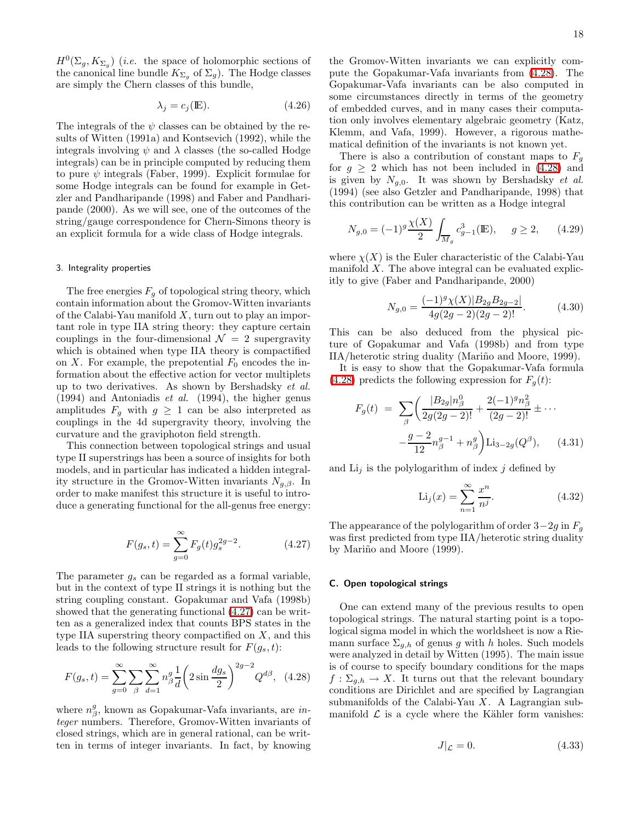$H^0(\Sigma_g, K_{\Sigma_g})$  (*i.e.* the space of holomorphic sections of the canonical line bundle  $K_{\Sigma_g}$  of  $\Sigma_g$ ). The Hodge classes are simply the Chern classes of this bundle,

$$
\lambda_j = c_j(\mathbb{E}).\tag{4.26}
$$

The integrals of the  $\psi$  classes can be obtained by the results of Witten (1991a) and Kontsevich (1992), while the integrals involving  $\psi$  and  $\lambda$  classes (the so-called Hodge integrals) can be in principle computed by reducing them to pure  $\psi$  integrals (Faber, 1999). Explicit formulae for some Hodge integrals can be found for example in Getzler and Pandharipande (1998) and Faber and Pandharipande (2000). As we will see, one of the outcomes of the string/gauge correspondence for Chern-Simons theory is an explicit formula for a wide class of Hodge integrals.

#### <span id="page-17-0"></span>3. Integrality properties

The free energies  $F_q$  of topological string theory, which contain information about the Gromov-Witten invariants of the Calabi-Yau manifold  $X$ , turn out to play an important role in type IIA string theory: they capture certain couplings in the four-dimensional  $\mathcal{N} = 2$  supergravity which is obtained when type IIA theory is compactified on X. For example, the prepotential  $F_0$  encodes the information about the effective action for vector multiplets up to two derivatives. As shown by Bershadsky et al. (1994) and Antoniadis et al. (1994), the higher genus amplitudes  $F_g$  with  $g \geq 1$  can be also interpreted as couplings in the 4d supergravity theory, involving the curvature and the graviphoton field strength.

<span id="page-17-2"></span>This connection between topological strings and usual type II superstrings has been a source of insights for both models, and in particular has indicated a hidden integrality structure in the Gromov-Witten invariants  $N_{g,\beta}$ . In order to make manifest this structure it is useful to introduce a generating functional for the all-genus free energy:

$$
F(g_s, t) = \sum_{g=0}^{\infty} F_g(t) g_s^{2g-2}.
$$
 (4.27)

The parameter  $g_s$  can be regarded as a formal variable, but in the context of type II strings it is nothing but the string coupling constant. Gopakumar and Vafa (1998b) showed that the generating functional [\(4.27\)](#page-17-2) can be written as a generalized index that counts BPS states in the type IIA superstring theory compactified on X, and this leads to the following structure result for  $F(g_s, t)$ :

$$
F(g_s, t) = \sum_{g=0}^{\infty} \sum_{\beta} \sum_{d=1}^{\infty} n_{\beta}^g \frac{1}{d} \left( 2 \sin \frac{dg_s}{2} \right)^{2g-2} Q^{d\beta}, \quad (4.28)
$$

where  $n_{\beta}^{g}$ , known as Gopakumar-Vafa invariants, are *in*teger numbers. Therefore, Gromov-Witten invariants of closed strings, which are in general rational, can be written in terms of integer invariants. In fact, by knowing

the Gromov-Witten invariants we can explicitly compute the Gopakumar-Vafa invariants from [\(4.28\)](#page-17-3). The Gopakumar-Vafa invariants can be also computed in some circumstances directly in terms of the geometry of embedded curves, and in many cases their computation only involves elementary algebraic geometry (Katz, Klemm, and Vafa, 1999). However, a rigorous mathematical definition of the invariants is not known yet.

There is also a contribution of constant maps to  $F_q$ for  $g \geq 2$  which has not been included in [\(4.28\)](#page-17-3) and is given by  $N_{q,0}$ . It was shown by Bershadsky *et al.* (1994) (see also Getzler and Pandharipande, 1998) that this contribution can be written as a Hodge integral

$$
N_{g,0} = (-1)^g \frac{\chi(X)}{2} \int_{\overline{M}_g} c_{g-1}^3(\mathbb{E}), \quad g \ge 2, \quad (4.29)
$$

where  $\chi(X)$  is the Euler characteristic of the Calabi-Yau manifold  $X$ . The above integral can be evaluated explicitly to give (Faber and Pandharipande, 2000)

$$
N_{g,0} = \frac{(-1)^g \chi(X)|B_{2g}B_{2g-2}|}{4g(2g-2)(2g-2)!}.
$$
 (4.30)

This can be also deduced from the physical picture of Gopakumar and Vafa (1998b) and from type IIA/heterotic string duality (Mariño and Moore, 1999).

<span id="page-17-4"></span>It is easy to show that the Gopakumar-Vafa formula  $(4.28)$  predicts the following expression for  $F_q(t)$ :

$$
F_g(t) = \sum_{\beta} \left( \frac{|B_{2g}| n_{\beta}^0}{2g(2g-2)!} + \frac{2(-1)^g n_{\beta}^2}{(2g-2)!} \pm \cdots -\frac{g-2}{12} n_{\beta}^{g-1} + n_{\beta}^g \right) \text{Li}_{3-2g}(Q^{\beta}), \quad (4.31)
$$

and  $Li<sub>j</sub>$  is the polylogarithm of index j defined by

$$
\text{Li}_j(x) = \sum_{n=1}^{\infty} \frac{x^n}{n^j}.
$$
\n(4.32)

The appearance of the polylogarithm of order  $3-2g$  in  $F_g$ was first predicted from type IIA/heterotic string duality by Mariño and Moore (1999).

#### <span id="page-17-1"></span>C. Open topological strings

<span id="page-17-3"></span>One can extend many of the previous results to open topological strings. The natural starting point is a topological sigma model in which the worldsheet is now a Riemann surface  $\Sigma_{g,h}$  of genus g with h holes. Such models were analyzed in detail by Witten (1995). The main issue is of course to specify boundary conditions for the maps  $f: \Sigma_{g,h} \to X$ . It turns out that the relevant boundary conditions are Dirichlet and are specified by Lagrangian submanifolds of the Calabi-Yau  $X$ . A Lagrangian submanifold  $\mathcal L$  is a cycle where the Kähler form vanishes:

$$
J|_{\mathcal{L}} = 0.\t\t(4.33)
$$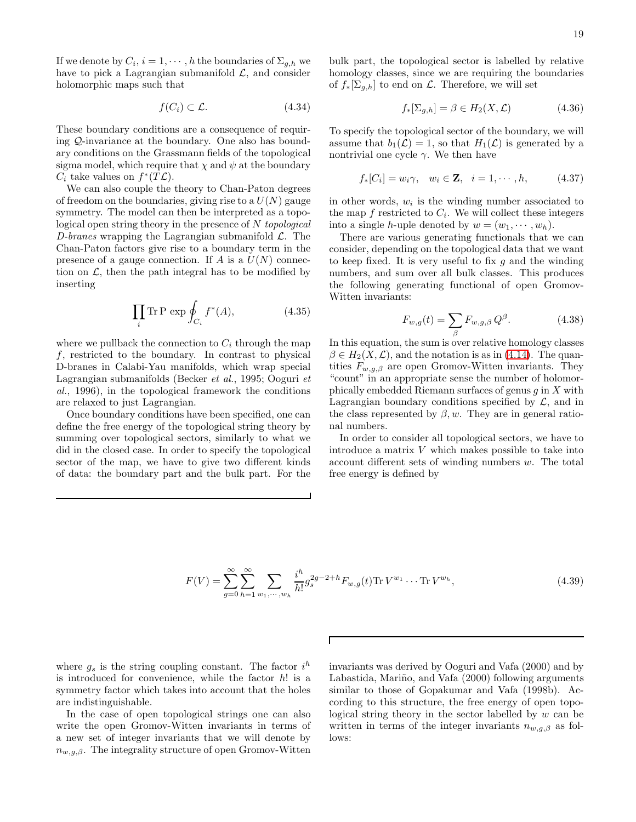If we denote by  $C_i$ ,  $i = 1, \cdots, h$  the boundaries of  $\Sigma_{g,h}$  we have to pick a Lagrangian submanifold  $\mathcal{L}$ , and consider holomorphic maps such that

$$
f(C_i) \subset \mathcal{L}.\tag{4.34}
$$

These boundary conditions are a consequence of requiring Q-invariance at the boundary. One also has boundary conditions on the Grassmann fields of the topological sigma model, which require that  $\chi$  and  $\psi$  at the boundary  $C_i$  take values on  $f^*(T\mathcal{L})$ .

We can also couple the theory to Chan-Paton degrees of freedom on the boundaries, giving rise to a  $U(N)$  gauge symmetry. The model can then be interpreted as a topological open string theory in the presence of N topological D-branes wrapping the Lagrangian submanifold  $\mathcal{L}$ . The Chan-Paton factors give rise to a boundary term in the presence of a gauge connection. If A is a  $U(N)$  connection on  $\mathcal{L}$ , then the path integral has to be modified by inserting

$$
\prod_{i} \text{Tr} \, \text{P} \, \exp \oint_{C_i} f^*(A), \tag{4.35}
$$

<span id="page-18-0"></span>where we pullback the connection to  $C_i$  through the map  $f$ , restricted to the boundary. In contrast to physical D-branes in Calabi-Yau manifolds, which wrap special Lagrangian submanifolds (Becker et al., 1995; Ooguri et al., 1996), in the topological framework the conditions are relaxed to just Lagrangian.

<span id="page-18-1"></span>Once boundary conditions have been specified, one can define the free energy of the topological string theory by summing over topological sectors, similarly to what we did in the closed case. In order to specify the topological sector of the map, we have to give two different kinds of data: the boundary part and the bulk part. For the

bulk part, the topological sector is labelled by relative homology classes, since we are requiring the boundaries of  $f_*[\Sigma_{g,h}]$  to end on  $\mathcal L$ . Therefore, we will set

$$
f_*[\Sigma_{g,h}] = \beta \in H_2(X,\mathcal{L}) \tag{4.36}
$$

To specify the topological sector of the boundary, we will assume that  $b_1(\mathcal{L}) = 1$ , so that  $H_1(\mathcal{L})$  is generated by a nontrivial one cycle  $\gamma$ . We then have

$$
f_*[C_i] = w_i \gamma, \quad w_i \in \mathbf{Z}, \quad i = 1, \cdots, h,
$$
 (4.37)

in other words,  $w_i$  is the winding number associated to the map  $f$  restricted to  $C_i$ . We will collect these integers into a single h-uple denoted by  $w = (w_1, \dots, w_h)$ .

There are various generating functionals that we can consider, depending on the topological data that we want to keep fixed. It is very useful to fix  $g$  and the winding numbers, and sum over all bulk classes. This produces the following generating functional of open Gromov-Witten invariants:

$$
F_{w,g}(t) = \sum_{\beta} F_{w,g,\beta} Q^{\beta}.
$$
 (4.38)

In this equation, the sum is over relative homology classes  $\beta \in H_2(X, \mathcal{L})$ , and the notation is as in [\(4.14\)](#page-15-3). The quantities  $F_{w,q,\beta}$  are open Gromov-Witten invariants. They "count" in an appropriate sense the number of holomorphically embedded Riemann surfaces of genus  $g$  in  $X$  with Lagrangian boundary conditions specified by  $\mathcal{L}$ , and in the class represented by  $\beta$ , w. They are in general rational numbers.

In order to consider all topological sectors, we have to introduce a matrix  $V$  which makes possible to take into account different sets of winding numbers  $w$ . The total free energy is defined by

$$
F(V) = \sum_{g=0}^{\infty} \sum_{h=1}^{\infty} \sum_{w_1, \cdots, w_h} \frac{i^h}{h!} g_s^{2g-2+h} F_{w,g}(t) \text{Tr } V^{w_1} \cdots \text{Tr } V^{w_h},\tag{4.39}
$$

 $\overline{\Gamma}$ 

where  $g_s$  is the string coupling constant. The factor  $i^h$ is introduced for convenience, while the factor  $h!$  is a symmetry factor which takes into account that the holes are indistinguishable.

In the case of open topological strings one can also write the open Gromov-Witten invariants in terms of a new set of integer invariants that we will denote by  $n_{w,q,\beta}$ . The integrality structure of open Gromov-Witten

invariants was derived by Ooguri and Vafa (2000) and by Labastida, Mariño, and Vafa (2000) following arguments similar to those of Gopakumar and Vafa (1998b). According to this structure, the free energy of open topological string theory in the sector labelled by  $w$  can be written in terms of the integer invariants  $n_{w,g,\beta}$  as follows: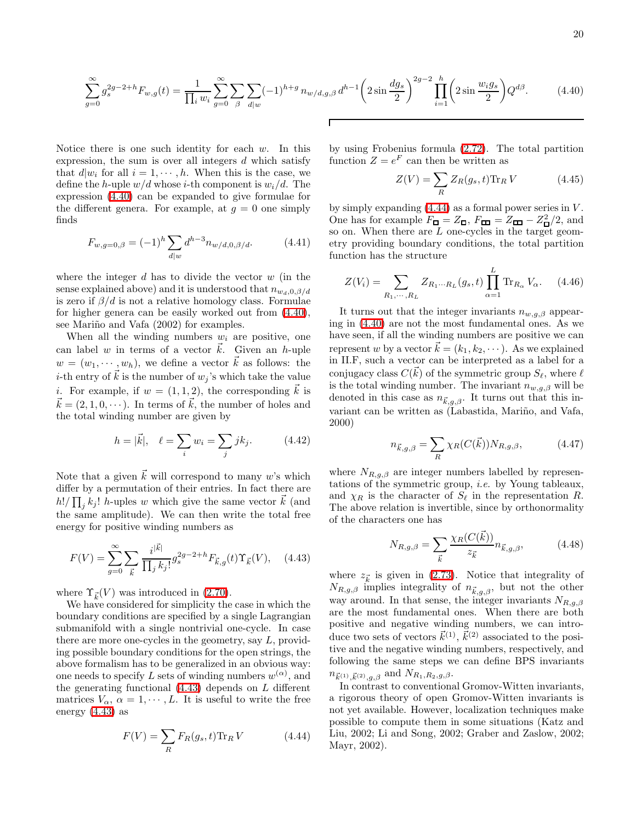<span id="page-19-0"></span>
$$
\sum_{g=0}^{\infty} g_s^{2g-2+h} F_{w,g}(t) = \frac{1}{\prod_i w_i} \sum_{g=0}^{\infty} \sum_{\beta} \sum_{d|w} (-1)^{h+g} n_{w/d,g,\beta} d^{h-1} \left( 2 \sin \frac{dg_s}{2} \right)^{2g-2} \prod_{i=1}^h \left( 2 \sin \frac{w_i g_s}{2} \right) Q^{d\beta}.
$$
 (4.40)

Notice there is one such identity for each  $w$ . In this expression, the sum is over all integers  $d$  which satisfy that  $d|w_i$  for all  $i = 1, \dots, h$ . When this is the case, we define the h-uple  $w/d$  whose *i*-th component is  $w_i/d$ . The expression [\(4.40\)](#page-19-0) can be expanded to give formulae for the different genera. For example, at  $q = 0$  one simply finds

$$
F_{w,g=0,\beta} = (-1)^h \sum_{d|w} d^{h-3} n_{w/d,0,\beta/d}.
$$
 (4.41)

where the integer  $d$  has to divide the vector  $w$  (in the sense explained above) and it is understood that  $n_{w_d,0,\beta/d}$ is zero if  $\beta/d$  is not a relative homology class. Formulae for higher genera can be easily worked out from [\(4.40\)](#page-19-0), see Mariño and Vafa (2002) for examples.

When all the winding numbers  $w_i$  are positive, one can label w in terms of a vector  $k$ . Given an h-uple  $w = (w_1, \dots, w_h)$ , we define a vector  $\vec{k}$  as follows: the *i*-th entry of  $\vec{k}$  is the number of  $w_j$ 's which take the value *i*. For example, if  $w = (1, 1, 2)$ , the corresponding  $\vec{k}$  is  $\vec{k} = (2, 1, 0, \dots)$ . In terms of  $\vec{k}$ , the number of holes and the total winding number are given by

<span id="page-19-1"></span>
$$
h = |\vec{k}|, \quad \ell = \sum_{i} w_i = \sum_{j} j k_j.
$$
 (4.42)

Note that a given  $\vec{k}$  will correspond to many w's which differ by a permutation of their entries. In fact there are  $h!/\prod_j k_j!$  h-uples w which give the same vector  $\vec{k}$  (and the same amplitude). We can then write the total free energy for positive winding numbers as

$$
F(V) = \sum_{g=0}^{\infty} \sum_{\vec{k}} \frac{i^{|\vec{k}|}}{\prod_j k_j!} g_s^{2g-2+h} F_{\vec{k},g}(t) \Upsilon_{\vec{k}}(V), \quad (4.43)
$$

where  $\Upsilon_{\vec{k}}(V)$  was introduced in [\(2.70\)](#page-9-6).

We have considered for simplicity the case in which the boundary conditions are specified by a single Lagrangian submanifold with a single nontrivial one-cycle. In case there are more one-cycles in the geometry, say L, providing possible boundary conditions for the open strings, the above formalism has to be generalized in an obvious way: one needs to specify L sets of winding numbers  $w^{(\alpha)}$ , and the generating functional  $(4.43)$  depends on L different matrices  $V_{\alpha}$ ,  $\alpha = 1, \dots, L$ . It is useful to write the free energy [\(4.43\)](#page-19-1) as

<span id="page-19-2"></span>
$$
F(V) = \sum_{R} F_{R}(g_{s}, t) \text{Tr}_{R} V \qquad (4.44)
$$

by using Frobenius formula [\(2.72\)](#page-9-8). The total partition function  $Z = e^F$  can then be written as

<span id="page-19-4"></span>
$$
Z(V) = \sum_{R} Z_{R}(g_s, t) \text{Tr}_{R} V \qquad (4.45)
$$

by simply expanding  $(4.44)$  as a formal power series in V. One has for example  $F_{\Box} = Z_{\Box}$ ,  $F_{\Box} = Z_{\Box} - Z_{\Box}^2/2$ , and so on. When there are  $L$  one-cycles in the target geometry providing boundary conditions, the total partition function has the structure

<span id="page-19-3"></span>
$$
Z(V_i) = \sum_{R_1, \cdots, R_L} Z_{R_1 \cdots R_L}(g_s, t) \prod_{\alpha=1}^L \text{Tr}_{R_\alpha} V_\alpha.
$$
 (4.46)

It turns out that the integer invariants  $n_{w,g,\beta}$  appearing in [\(4.40\)](#page-19-0) are not the most fundamental ones. As we have seen, if all the winding numbers are positive we can represent w by a vector  $\vec{k} = (k_1, k_2, \cdots)$ . As we explained in II.F, such a vector can be interpreted as a label for a conjugacy class  $C(\vec{k})$  of the symmetric group  $S_{\ell}$ , where  $\ell$ is the total winding number. The invariant  $n_{w,q,\beta}$  will be denoted in this case as  $n_{\vec{k},g,\beta}$ . It turns out that this invariant can be written as (Labastida, Mariño, and Vafa, 2000)

$$
n_{\vec{k},g,\beta} = \sum_{R} \chi_R(C(\vec{k})) N_{R,g,\beta}, \qquad (4.47)
$$

where  $N_{R,g,\beta}$  are integer numbers labelled by representations of the symmetric group, i.e. by Young tableaux, and  $\chi_R$  is the character of  $S_\ell$  in the representation R. The above relation is invertible, since by orthonormality of the characters one has

$$
N_{R,g,\beta} = \sum_{\vec{k}} \frac{\chi_R(C(\vec{k}))}{z_{\vec{k}}} n_{\vec{k},g,\beta},
$$
 (4.48)

where  $z_{\vec{k}}$  is given in [\(2.73\)](#page-9-9). Notice that integrality of  $N_{R,g,\beta}$  implies integrality of  $n_{\vec{k},g,\beta}$ , but not the other way around. In that sense, the integer invariants  $N_{R,q,\beta}$ are the most fundamental ones. When there are both positive and negative winding numbers, we can introduce two sets of vectors  $\vec{k}^{(1)}$ ,  $\vec{k}^{(2)}$  associated to the positive and the negative winding numbers, respectively, and following the same steps we can define BPS invariants  $n_{\vec{k}^{(1)},\vec{k}^{(2)},g,\beta}$  and  $N_{R_1,R_2,g,\beta}$ .

In contrast to conventional Gromov-Witten invariants, a rigorous theory of open Gromov-Witten invariants is not yet available. However, localization techniques make possible to compute them in some situations (Katz and Liu, 2002; Li and Song, 2002; Graber and Zaslow, 2002; Mayr, 2002).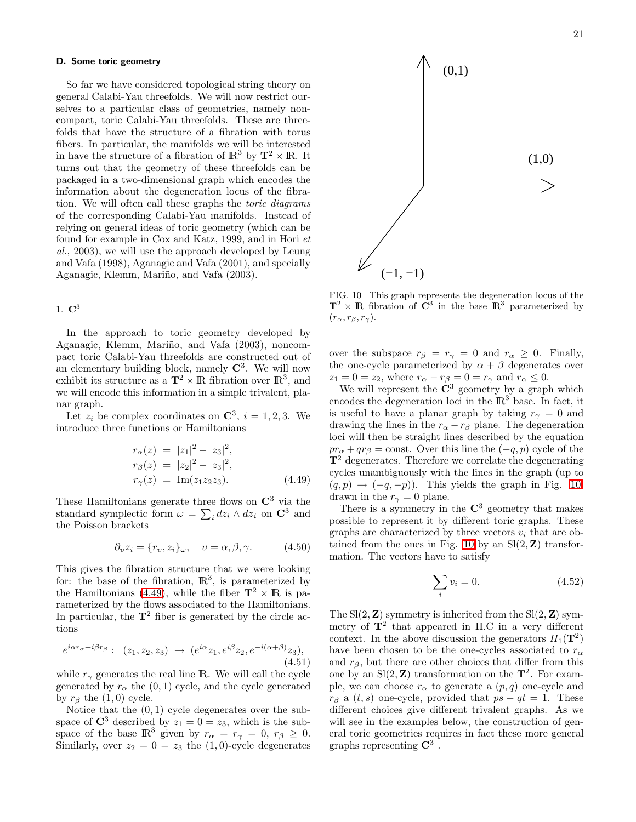#### <span id="page-20-0"></span>D. Some toric geometry

So far we have considered topological string theory on general Calabi-Yau threefolds. We will now restrict ourselves to a particular class of geometries, namely noncompact, toric Calabi-Yau threefolds. These are threefolds that have the structure of a fibration with torus fibers. In particular, the manifolds we will be interested in have the structure of a fibration of  $\mathbb{R}^3$  by  $\mathbb{T}^2 \times \mathbb{R}$ . It turns out that the geometry of these threefolds can be packaged in a two-dimensional graph which encodes the information about the degeneration locus of the fibration. We will often call these graphs the toric diagrams of the corresponding Calabi-Yau manifolds. Instead of relying on general ideas of toric geometry (which can be found for example in Cox and Katz, 1999, and in Hori et al., 2003), we will use the approach developed by Leung and Vafa (1998), Aganagic and Vafa (2001), and specially Aganagic, Klemm, Mariño, and Vafa (2003).

## <span id="page-20-1"></span>1.  $\mathbf{C}^3$

In the approach to toric geometry developed by Aganagic, Klemm, Mariño, and Vafa (2003), noncompact toric Calabi-Yau threefolds are constructed out of an elementary building block, namely  $\mathbb{C}^3$ . We will now exhibit its structure as a  $\mathbf{T}^2 \times \mathbb{R}$  fibration over  $\mathbb{R}^3$ , and we will encode this information in a simple trivalent, planar graph.

<span id="page-20-2"></span>Let  $z_i$  be complex coordinates on  $\mathbb{C}^3$ ,  $i = 1, 2, 3$ . We introduce three functions or Hamiltonians

$$
r_{\alpha}(z) = |z_1|^2 - |z_3|^2,
$$
  
\n
$$
r_{\beta}(z) = |z_2|^2 - |z_3|^2,
$$
  
\n
$$
r_{\gamma}(z) = \text{Im}(z_1 z_2 z_3).
$$
\n(4.49)

These Hamiltonians generate three flows on  $\mathbb{C}^3$  via the standard symplectic form  $\omega = \sum_i dz_i \wedge d\overline{z}_i$  on  $\mathbb{C}^3$  and the Poisson brackets

$$
\partial_v z_i = \{r_v, z_i\}_\omega, \quad v = \alpha, \beta, \gamma. \tag{4.50}
$$

This gives the fibration structure that we were looking for: the base of the fibration,  $\mathbb{R}^3$ , is parameterized by the Hamiltonians [\(4.49\)](#page-20-2), while the fiber  $\mathbf{T}^2 \times \mathbf{R}$  is parameterized by the flows associated to the Hamiltonians. In particular, the  $T^2$  fiber is generated by the circle actions

$$
e^{i\alpha r_{\alpha}+i\beta r_{\beta}}: (z_1, z_2, z_3) \rightarrow (e^{i\alpha}z_1, e^{i\beta}z_2, e^{-i(\alpha+\beta)}z_3),
$$
\n(4.51)

while  $r_{\gamma}$  generates the real line IR. We will call the cycle generated by  $r_{\alpha}$  the (0, 1) cycle, and the cycle generated by  $r_\beta$  the  $(1,0)$  cycle.

Notice that the (0, 1) cycle degenerates over the subspace of  $\mathbb{C}^3$  described by  $z_1 = 0 = z_3$ , which is the subspace of the base  $\mathbb{R}^3$  given by  $r_\alpha = r_\gamma = 0, r_\beta \geq 0$ . Similarly, over  $z_2 = 0 = z_3$  the  $(1,0)$ -cycle degenerates



<span id="page-20-3"></span>FIG. 10 This graph represents the degeneration locus of the  $\mathbf{T}^2 \times \mathbb{R}$  fibration of  $\mathbf{C}^3$  in the base  $\mathbb{R}^3$  parameterized by  $(r_{\alpha}, r_{\beta}, r_{\gamma}).$ 

over the subspace  $r_{\beta} = r_{\gamma} = 0$  and  $r_{\alpha} \geq 0$ . Finally, the one-cycle parameterized by  $\alpha + \beta$  degenerates over  $z_1=0=z_2,$  where  $r_\alpha-r_\beta=0=r_\gamma$  and  $r_\alpha\leq0.$ 

We will represent the  $\mathbb{C}^3$  geometry by a graph which encodes the degeneration loci in the  $\mathbb{R}^3$  base. In fact, it is useful to have a planar graph by taking  $r<sub>\gamma</sub> = 0$  and drawing the lines in the  $r_{\alpha} - r_{\beta}$  plane. The degeneration loci will then be straight lines described by the equation  $pr_\alpha + qr_\beta = \text{const.}$  Over this line the  $(-q, p)$  cycle of the  $T<sup>2</sup>$  degenerates. Therefore we correlate the degenerating cycles unambiguously with the lines in the graph (up to  $(q, p) \rightarrow (-q, -p)$ . This yields the graph in Fig. [10,](#page-20-3) drawn in the  $r_{\gamma} = 0$  plane.

There is a symmetry in the  $\mathbb{C}^3$  geometry that makes possible to represent it by different toric graphs. These graphs are characterized by three vectors  $v_i$  that are ob-tained from the ones in Fig. [10](#page-20-3) by an  $\text{Sl}(2, \mathbf{Z})$  transformation. The vectors have to satisfy

<span id="page-20-4"></span>
$$
\sum_{i} v_i = 0. \tag{4.52}
$$

The  $Sl(2, Z)$  symmetry is inherited from the  $Sl(2, Z)$  symmetry of  $T^2$  that appeared in II.C in a very different context. In the above discussion the generators  $H_1(\mathbf{T}^2)$ have been chosen to be the one-cycles associated to  $r_{\alpha}$ and  $r_\beta$ , but there are other choices that differ from this one by an  $\text{Sl}(2, \mathbf{Z})$  transformation on the  $\mathbf{T}^2$ . For example, we can choose  $r_{\alpha}$  to generate a  $(p, q)$  one-cycle and  $r_{\beta}$  a  $(t, s)$  one-cycle, provided that  $ps - qt = 1$ . These different choices give different trivalent graphs. As we will see in the examples below, the construction of general toric geometries requires in fact these more general graphs representing  $\mathbb{C}^3$ .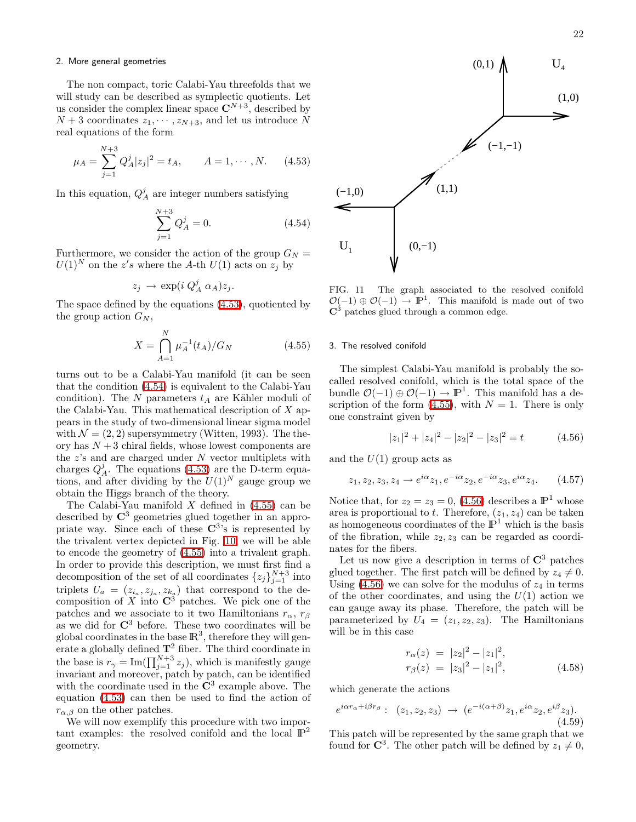#### <span id="page-21-0"></span>2. More general geometries

The non compact, toric Calabi-Yau threefolds that we will study can be described as symplectic quotients. Let us consider the complex linear space  $\mathbb{C}^{N+3}$ , described by  $N+3$  coordinates  $z_1, \dots, z_{N+3}$ , and let us introduce N real equations of the form

<span id="page-21-2"></span>
$$
\mu_A = \sum_{j=1}^{N+3} Q_A^j |z_j|^2 = t_A, \qquad A = 1, \cdots, N. \tag{4.53}
$$

In this equation,  $Q_A^j$  are integer numbers satisfying

<span id="page-21-3"></span>
$$
\sum_{j=1}^{N+3} Q_A^j = 0.
$$
\n(4.54)

Furthermore, we consider the action of the group  $G_N =$  $U(1)^N$  on the  $z's$  where the A-th  $U(1)$  acts on  $z_j$  by

$$
z_j \, \rightarrow \, \exp(i \; Q^j_A \; \alpha_A) z_j.
$$

<span id="page-21-4"></span>The space defined by the equations [\(4.53\)](#page-21-2), quotiented by the group action  $G_N$ ,

$$
X = \bigcap_{A=1}^{N} \mu_A^{-1}(t_A) / G_N \tag{4.55}
$$

turns out to be a Calabi-Yau manifold (it can be seen that the condition [\(4.54\)](#page-21-3) is equivalent to the Calabi-Yau condition). The  $N$  parameters  $t_A$  are Kähler moduli of the Calabi-Yau. This mathematical description of  $X$  appears in the study of two-dimensional linear sigma model with  $\mathcal{N} = (2, 2)$  supersymmetry (Witten, 1993). The theory has  $N+3$  chiral fields, whose lowest components are the  $z$ 's and are charged under  $N$  vector multiplets with charges  $Q_A^j$ . The equations [\(4.53\)](#page-21-2) are the D-term equations, and after dividing by the  $U(1)^N$  gauge group we obtain the Higgs branch of the theory.

The Calabi-Yau manifold  $X$  defined in  $(4.55)$  can be described by  $\mathbb{C}^3$  geometries glued together in an appropriate way. Since each of these  $\mathbb{C}^3$ 's is represented by the trivalent vertex depicted in Fig. [10,](#page-20-3) we will be able to encode the geometry of [\(4.55\)](#page-21-4) into a trivalent graph. In order to provide this description, we must first find a decomposition of the set of all coordinates  $\{z_j\}_{j=1}^{N+3}$  into triplets  $U_a = (z_{i_a}, z_{j_a}, z_{k_a})$  that correspond to the decomposition of X into  $\mathbb{C}^3$  patches. We pick one of the patches and we associate to it two Hamiltonians  $r_{\alpha}$ ,  $r_{\beta}$ as we did for  $\mathbb{C}^3$  before. These two coordinates will be global coordinates in the base  $\mathbb{R}^3$ , therefore they will generate a globally defined  $T^2$  fiber. The third coordinate in the base is  $r_{\gamma} = \text{Im}(\prod_{j=1}^{N+3} z_j)$ , which is manifestly gauge invariant and moreover, patch by patch, can be identified with the coordinate used in the  $\mathbb{C}^3$  example above. The equation [\(4.53\)](#page-21-2) can then be used to find the action of  $r_{\alpha,\beta}$  on the other patches.

We will now exemplify this procedure with two important examples: the resolved conifold and the local  $\mathbb{P}^2$ geometry.



<span id="page-21-6"></span>FIG. 11 The graph associated to the resolved conifold  $\mathcal{O}(-1) \oplus \mathcal{O}(-1) \rightarrow \mathbb{P}^1$ . This manifold is made out of two  $\mathrm{C}^{\grave{3}}$ patches glued through a common edge.

## <span id="page-21-1"></span>3. The resolved conifold

The simplest Calabi-Yau manifold is probably the socalled resolved conifold, which is the total space of the bundle  $\mathcal{O}(-1) \oplus \mathcal{O}(-1) \rightarrow \mathbb{P}^1$ . This manifold has a description of the form  $(4.55)$ , with  $N = 1$ . There is only one constraint given by

<span id="page-21-5"></span>
$$
|z_1|^2 + |z_4|^2 - |z_2|^2 - |z_3|^2 = t \tag{4.56}
$$

and the  $U(1)$  group acts as

$$
z_1, z_2, z_3, z_4 \rightarrow e^{i\alpha} z_1, e^{-i\alpha} z_2, e^{-i\alpha} z_3, e^{i\alpha} z_4.
$$
 (4.57)

Notice that, for  $z_2 = z_3 = 0$ , [\(4.56\)](#page-21-5) describes a  $\mathbb{P}^1$  whose area is proportional to t. Therefore,  $(z_1, z_4)$  can be taken as homogeneous coordinates of the  $\mathbb{P}^1$  which is the basis of the fibration, while  $z_2, z_3$  can be regarded as coordinates for the fibers.

Let us now give a description in terms of  ${\bf C}^3$  patches glued together. The first patch will be defined by  $z_4 \neq 0$ . Using  $(4.56)$  we can solve for the modulus of  $z_4$  in terms of the other coordinates, and using the  $U(1)$  action we can gauge away its phase. Therefore, the patch will be parameterized by  $U_4 = (z_1, z_2, z_3)$ . The Hamiltonians will be in this case

<span id="page-21-7"></span>
$$
r_{\alpha}(z) = |z_2|^2 - |z_1|^2,
$$
  
\n
$$
r_{\beta}(z) = |z_3|^2 - |z_1|^2,
$$
\n(4.58)

which generate the actions

$$
e^{i\alpha r_{\alpha} + i\beta r_{\beta}}
$$
:  $(z_1, z_2, z_3) \rightarrow (e^{-i(\alpha + \beta)} z_1, e^{i\alpha} z_2, e^{i\beta} z_3).$   
(4.59)

This patch will be represented by the same graph that we found for  $\mathbb{C}^3$ . The other patch will be defined by  $z_1 \neq 0$ ,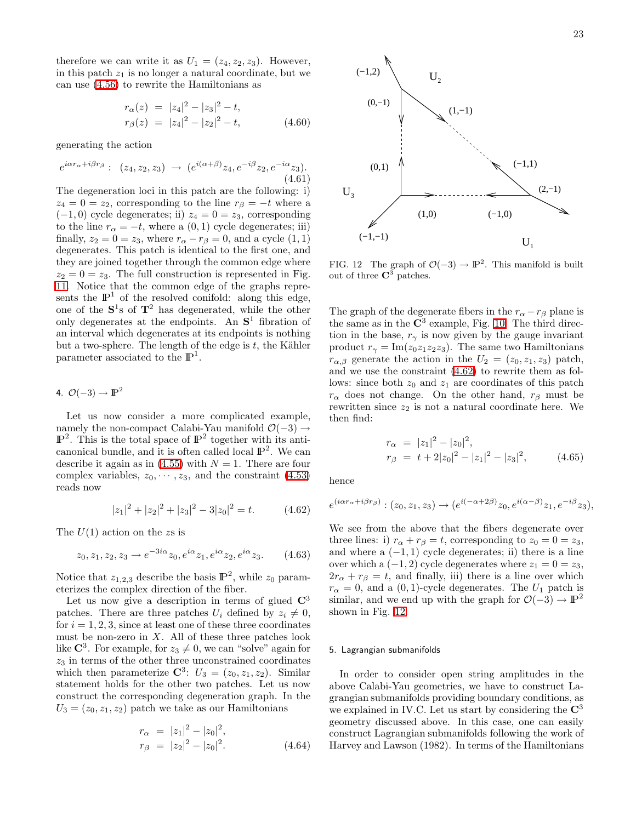therefore we can write it as  $U_1 = (z_4, z_2, z_3)$ . However, in this patch  $z_1$  is no longer a natural coordinate, but we can use [\(4.56\)](#page-21-5) to rewrite the Hamiltonians as

$$
r_{\alpha}(z) = |z_4|^2 - |z_3|^2 - t,
$$
  
\n
$$
r_{\beta}(z) = |z_4|^2 - |z_2|^2 - t,
$$
\n(4.60)

generating the action

$$
e^{i\alpha r_\alpha + i\beta r_\beta}
$$
:  $(z_4, z_2, z_3) \rightarrow (e^{i(\alpha + \beta)} z_4, e^{-i\beta} z_2, e^{-i\alpha} z_3).$   
(4.61)

The degeneration loci in this patch are the following: i)  $z_4 = 0 = z_2$ , corresponding to the line  $r_\beta = -t$  where a  $(-1, 0)$  cycle degenerates; ii)  $z_4 = 0 = z_3$ , corresponding to the line  $r_{\alpha} = -t$ , where a  $(0, 1)$  cycle degenerates; iii) finally,  $z_2 = 0 = z_3$ , where  $r_\alpha - r_\beta = 0$ , and a cycle  $(1, 1)$ degenerates. This patch is identical to the first one, and they are joined together through the common edge where  $z_2 = 0 = z_3$ . The full construction is represented in Fig. [11.](#page-21-6) Notice that the common edge of the graphs represents the  $\mathbb{P}^1$  of the resolved conifold: along this edge, one of the  $S^1s$  of  $T^2$  has degenerated, while the other only degenerates at the endpoints. An  $S<sup>1</sup>$  fibration of an interval which degenerates at its endpoints is nothing but a two-sphere. The length of the edge is  $t$ , the Kähler parameter associated to the  $\mathbb{P}^1$ .

<span id="page-22-0"></span>4.  $\mathcal{O}(-3) \rightarrow \mathbb{P}^2$ 

Let us now consider a more complicated example, namely the non-compact Calabi-Yau manifold  $\mathcal{O}(-3) \rightarrow$  $\mathbb{P}^2$ . This is the total space of  $\mathbb{P}^2$  together with its anticanonical bundle, and it is often called local  $\mathbb{P}^2$ . We can describe it again as in  $(4.55)$  with  $N = 1$ . There are four complex variables,  $z_0, \dots, z_3$ , and the constraint [\(4.53\)](#page-21-2) reads now

$$
|z_1|^2 + |z_2|^2 + |z_3|^2 - 3|z_0|^2 = t.
$$
 (4.62)

<span id="page-22-2"></span>The  $U(1)$  action on the zs is

$$
z_0, z_1, z_2, z_3 \to e^{-3i\alpha} z_0, e^{i\alpha} z_1, e^{i\alpha} z_2, e^{i\alpha} z_3. \tag{4.63}
$$

Notice that  $z_{1,2,3}$  describe the basis  $\mathbb{P}^2$ , while  $z_0$  parameterizes the complex direction of the fiber.

Let us now give a description in terms of glued  $\mathbb{C}^3$ patches. There are three patches  $U_i$  defined by  $z_i \neq 0$ , for  $i = 1, 2, 3$ , since at least one of these three coordinates must be non-zero in  $X$ . All of these three patches look like  $\mathbb{C}^3$ . For example, for  $z_3 \neq 0$ , we can "solve" again for  $z<sub>3</sub>$  in terms of the other three unconstrained coordinates which then parameterize  $\mathbb{C}^3$ :  $U_3 = (z_0, z_1, z_2)$ . Similar statement holds for the other two patches. Let us now construct the corresponding degeneration graph. In the  $U_3 = (z_0, z_1, z_2)$  patch we take as our Hamiltonians

$$
r_{\alpha} = |z_1|^2 - |z_0|^2,
$$
  
\n
$$
r_{\beta} = |z_2|^2 - |z_0|^2.
$$
\n(4.64)



<span id="page-22-3"></span>FIG. 12 The graph of  $\mathcal{O}(-3) \to \mathbb{P}^2$ . This manifold is built out of three  $\mathbb{C}^3$  patches.

The graph of the degenerate fibers in the  $r_{\alpha} - r_{\beta}$  plane is the same as in the  $\mathbb{C}^3$  example, Fig. [10.](#page-20-3) The third direction in the base,  $r<sub>\gamma</sub>$  is now given by the gauge invariant product  $r_{\gamma} = \text{Im}(z_0 z_1 z_2 z_3)$ . The same two Hamiltonians  $r_{\alpha,\beta}$  generate the action in the  $U_2 = (z_0, z_1, z_3)$  patch, and we use the constraint [\(4.62\)](#page-22-2) to rewrite them as follows: since both  $z_0$  and  $z_1$  are coordinates of this patch  $r_{\alpha}$  does not change. On the other hand,  $r_{\beta}$  must be rewritten since  $z_2$  is not a natural coordinate here. We then find:

$$
r_{\alpha} = |z_1|^2 - |z_0|^2,
$$
  
\n
$$
r_{\beta} = t + 2|z_0|^2 - |z_1|^2 - |z_3|^2,
$$
\n(4.65)

hence

$$
e^{(i\alpha r_\alpha + i\beta r_\beta)} : (z_0, z_1, z_3) \to (e^{i(-\alpha + 2\beta)} z_0, e^{i(\alpha - \beta)} z_1, e^{-i\beta} z_3),
$$

We see from the above that the fibers degenerate over three lines: i)  $r_{\alpha} + r_{\beta} = t$ , corresponding to  $z_0 = 0 = z_3$ , and where a  $(-1, 1)$  cycle degenerates; ii) there is a line over which a  $(-1, 2)$  cycle degenerates where  $z_1 = 0 = z_3$ ,  $2r_{\alpha} + r_{\beta} = t$ , and finally, iii) there is a line over which  $r_{\alpha} = 0$ , and a  $(0, 1)$ -cycle degenerates. The  $U_1$  patch is similar, and we end up with the graph for  $\mathcal{O}(-3) \rightarrow \mathbb{P}^2$ shown in Fig. [12.](#page-22-3)

#### <span id="page-22-1"></span>5. Lagrangian submanifolds

In order to consider open string amplitudes in the above Calabi-Yau geometries, we have to construct Lagrangian submanifolds providing boundary conditions, as we explained in IV.C. Let us start by considering the  $\mathbb{C}^3$ geometry discussed above. In this case, one can easily construct Lagrangian submanifolds following the work of Harvey and Lawson (1982). In terms of the Hamiltonians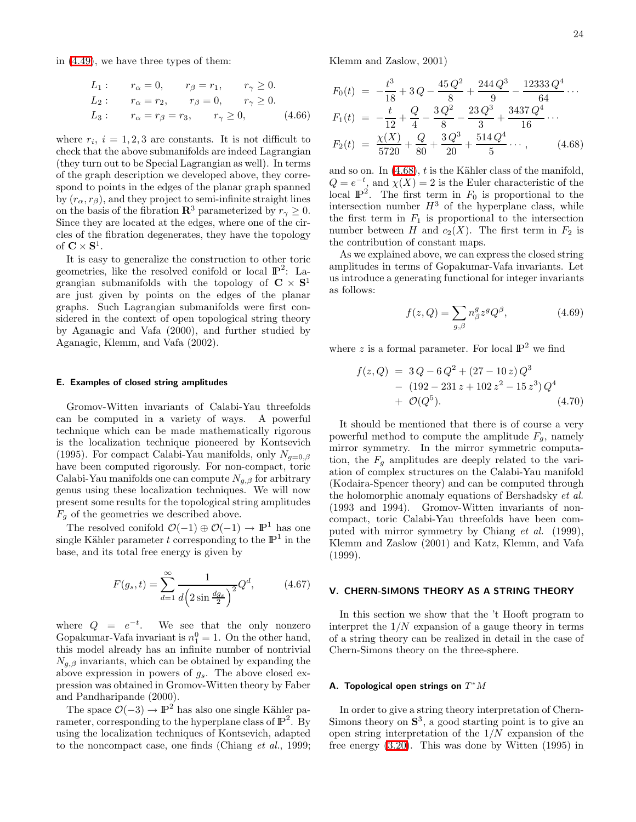<span id="page-23-4"></span>in [\(4.49\)](#page-20-2), we have three types of them:

L<sub>1</sub>: 
$$
r_{\alpha} = 0
$$
,  $r_{\beta} = r_1$ ,  $r_{\gamma} \ge 0$ .  
\nL<sub>2</sub>:  $r_{\alpha} = r_2$ ,  $r_{\beta} = 0$ ,  $r_{\gamma} \ge 0$ .  
\nL<sub>3</sub>:  $r_{\alpha} = r_{\beta} = r_3$ ,  $r_{\gamma} \ge 0$ , (4.66)

where  $r_i$ ,  $i = 1, 2, 3$  are constants. It is not difficult to check that the above submanifolds are indeed Lagrangian (they turn out to be Special Lagrangian as well). In terms of the graph description we developed above, they correspond to points in the edges of the planar graph spanned by  $(r_{\alpha}, r_{\beta})$ , and they project to semi-infinite straight lines on the basis of the fibration  $\mathbb{R}^3$  parameterized by  $r_\gamma \geq 0$ . Since they are located at the edges, where one of the circles of the fibration degenerates, they have the topology of  $\mathbf{C} \times \mathbf{S}^1$ .

It is easy to generalize the construction to other toric geometries, like the resolved conifold or local  $\mathbb{P}^2$ : Lagrangian submanifolds with the topology of  $C \times S^1$ are just given by points on the edges of the planar graphs. Such Lagrangian submanifolds were first considered in the context of open topological string theory by Aganagic and Vafa (2000), and further studied by Aganagic, Klemm, and Vafa (2002).

#### <span id="page-23-0"></span>E. Examples of closed string amplitudes

Gromov-Witten invariants of Calabi-Yau threefolds can be computed in a variety of ways. A powerful technique which can be made mathematically rigorous is the localization technique pioneered by Kontsevich (1995). For compact Calabi-Yau manifolds, only  $N_{g=0,\beta}$ have been computed rigorously. For non-compact, toric Calabi-Yau manifolds one can compute  $N_{g,\beta}$  for arbitrary genus using these localization techniques. We will now present some results for the topological string amplitudes  $F_q$  of the geometries we described above.

The resolved conifold  $\mathcal{O}(-1) \oplus \mathcal{O}(-1) \to \mathbb{P}^1$  has one single Kähler parameter t corresponding to the  $\mathbb{P}^1$  in the base, and its total free energy is given by

<span id="page-23-5"></span>
$$
F(g_s, t) = \sum_{d=1}^{\infty} \frac{1}{d \left( 2 \sin \frac{dg_s}{2} \right)^2} Q^d,
$$
 (4.67)

where  $Q = e^{-t}$ . We see that the only nonzero Gopakumar-Vafa invariant is  $n_1^0 = 1$ . On the other hand, this model already has an infinite number of nontrivial  $N_{q,\beta}$  invariants, which can be obtained by expanding the above expression in powers of  $g_s$ . The above closed expression was obtained in Gromov-Witten theory by Faber and Pandharipande (2000).

The space  $\mathcal{O}(-3) \to \mathbb{P}^2$  has also one single Kähler parameter, corresponding to the hyperplane class of  $\mathbb{P}^2$ . By using the localization techniques of Kontsevich, adapted to the noncompact case, one finds (Chiang et al., 1999;

Klemm and Zaslow, 2001)

<span id="page-23-3"></span>
$$
F_0(t) = -\frac{t^3}{18} + 3Q - \frac{45Q^2}{8} + \frac{244Q^3}{9} - \frac{12333Q^4}{64} \cdots
$$
  
\n
$$
F_1(t) = -\frac{t}{12} + \frac{Q}{4} - \frac{3Q^2}{8} - \frac{23Q^3}{3} + \frac{3437Q^4}{16} \cdots
$$
  
\n
$$
F_2(t) = \frac{\chi(X)}{5720} + \frac{Q}{80} + \frac{3Q^3}{20} + \frac{514Q^4}{5} \cdots,
$$
 (4.68)

and so on. In  $(4.68)$ , t is the Kähler class of the manifold,  $Q = e^{-t}$ , and  $\chi(X) = 2$  is the Euler characteristic of the local  $\mathbb{P}^2$ . The first term in  $F_0$  is proportional to the intersection number  $H^3$  of the hyperplane class, while the first term in  $F_1$  is proportional to the intersection number between H and  $c_2(X)$ . The first term in  $F_2$  is the contribution of constant maps.

As we explained above, we can express the closed string amplitudes in terms of Gopakumar-Vafa invariants. Let us introduce a generating functional for integer invariants as follows:

$$
f(z,Q) = \sum_{g,\beta} n_{\beta}^g z^g Q^{\beta},\tag{4.69}
$$

<span id="page-23-6"></span>where z is a formal parameter. For local  $\mathbb{P}^2$  we find

$$
f(z,Q) = 3Q - 6Q^{2} + (27 - 10z)Q^{3}
$$
  
- (192 - 231 z + 102 z<sup>2</sup> - 15 z<sup>3</sup>)Q<sup>4</sup>  
+ O(Q<sup>5</sup>). (4.70)

It should be mentioned that there is of course a very powerful method to compute the amplitude  $F_g$ , namely mirror symmetry. In the mirror symmetric computation, the  $F<sub>g</sub>$  amplitudes are deeply related to the variation of complex structures on the Calabi-Yau manifold (Kodaira-Spencer theory) and can be computed through the holomorphic anomaly equations of Bershadsky et al. (1993 and 1994). Gromov-Witten invariants of noncompact, toric Calabi-Yau threefolds have been computed with mirror symmetry by Chiang et al. (1999), Klemm and Zaslow (2001) and Katz, Klemm, and Vafa (1999).

## <span id="page-23-1"></span>V. CHERN-SIMONS THEORY AS A STRING THEORY

In this section we show that the 't Hooft program to interpret the  $1/N$  expansion of a gauge theory in terms of a string theory can be realized in detail in the case of Chern-Simons theory on the three-sphere.

## <span id="page-23-2"></span>A. Topological open strings on  $T^*M$

In order to give a string theory interpretation of Chern-Simons theory on  $S^3$ , a good starting point is to give an open string interpretation of the  $1/N$  expansion of the free energy [\(3.20\)](#page-12-3). This was done by Witten (1995) in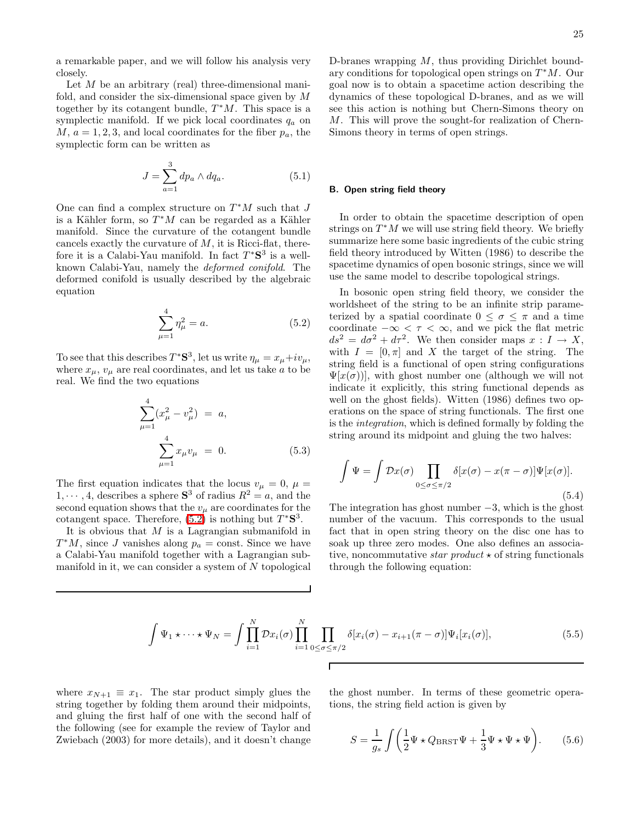a remarkable paper, and we will follow his analysis very closely.

Let  $M$  be an arbitrary (real) three-dimensional manifold, and consider the six-dimensional space given by M together by its cotangent bundle,  $T^*M$ . This space is a symplectic manifold. If we pick local coordinates  $q_a$  on  $M, a = 1, 2, 3,$  and local coordinates for the fiber  $p_a$ , the symplectic form can be written as

$$
J = \sum_{a=1}^{3} dp_a \wedge dq_a.
$$
 (5.1)

<span id="page-24-1"></span>One can find a complex structure on  $T^*M$  such that J is a Kähler form, so  $T^*M$  can be regarded as a Kähler manifold. Since the curvature of the cotangent bundle cancels exactly the curvature of  $M$ , it is Ricci-flat, therefore it is a Calabi-Yau manifold. In fact  $T^*S^3$  is a wellknown Calabi-Yau, namely the deformed conifold. The deformed conifold is usually described by the algebraic equation

$$
\sum_{\mu=1}^{4} \eta_{\mu}^{2} = a.
$$
\n(5.2)

To see that this describes  $T^*S^3$ , let us write  $\eta_\mu = x_\mu + iv_\mu$ , where  $x_{\mu}$ ,  $v_{\mu}$  are real coordinates, and let us take a to be real. We find the two equations

$$
\sum_{\mu=1}^{4} (x_{\mu}^{2} - v_{\mu}^{2}) = a,
$$
  

$$
\sum_{\mu=1}^{4} x_{\mu} v_{\mu} = 0.
$$
 (5.3)

The first equation indicates that the locus  $v_{\mu} = 0, \mu =$  $1, \dots, 4$ , describes a sphere  $S^3$  of radius  $R^2 = a$ , and the second equation shows that the  $v_{\mu}$  are coordinates for the cotangent space. Therefore,  $(5.2)$  is nothing but  $T^*S^3$ .

It is obvious that  $M$  is a Lagrangian submanifold in  $T^*M$ , since J vanishes along  $p_a = \text{const.}$  Since we have a Calabi-Yau manifold together with a Lagrangian submanifold in it, we can consider a system of  $N$  topological

D-branes wrapping M, thus providing Dirichlet boundary conditions for topological open strings on  $T^*M$ . Our goal now is to obtain a spacetime action describing the dynamics of these topological D-branes, and as we will see this action is nothing but Chern-Simons theory on M. This will prove the sought-for realization of Chern-Simons theory in terms of open strings.

#### <span id="page-24-0"></span>B. Open string field theory

In order to obtain the spacetime description of open strings on  $T^*M$  we will use string field theory. We briefly summarize here some basic ingredients of the cubic string field theory introduced by Witten (1986) to describe the spacetime dynamics of open bosonic strings, since we will use the same model to describe topological strings.

In bosonic open string field theory, we consider the worldsheet of the string to be an infinite strip parameterized by a spatial coordinate  $0 \leq \sigma \leq \pi$  and a time coordinate  $-\infty < \tau < \infty$ , and we pick the flat metric  $ds^2 = d\sigma^2 + d\tau^2$ . We then consider maps  $x : I \to X$ , with  $I = [0, \pi]$  and X the target of the string. The string field is a functional of open string configurations  $\Psi[x(\sigma)]$ , with ghost number one (although we will not indicate it explicitly, this string functional depends as well on the ghost fields). Witten (1986) defines two operations on the space of string functionals. The first one is the integration, which is defined formally by folding the string around its midpoint and gluing the two halves:

$$
\int \Psi = \int \mathcal{D}x(\sigma) \prod_{0 \le \sigma \le \pi/2} \delta[x(\sigma) - x(\pi - \sigma)] \Psi[x(\sigma)].
$$
\n(5.4)

The integration has ghost number  $-3$ , which is the ghost number of the vacuum. This corresponds to the usual fact that in open string theory on the disc one has to soak up three zero modes. One also defines an associative, noncommutative *star product*  $\star$  of string functionals through the following equation:

$$
\int \Psi_1 \star \cdots \star \Psi_N = \int \prod_{i=1}^N \mathcal{D}x_i(\sigma) \prod_{i=1}^N \prod_{0 \le \sigma \le \pi/2} \delta[x_i(\sigma) - x_{i+1}(\pi - \sigma)] \Psi_i[x_i(\sigma)], \tag{5.5}
$$

Г

where  $x_{N+1} \equiv x_1$ . The star product simply glues the string together by folding them around their midpoints, and gluing the first half of one with the second half of the following (see for example the review of Taylor and Zwiebach (2003) for more details), and it doesn't change

the ghost number. In terms of these geometric operations, the string field action is given by

<span id="page-24-2"></span>
$$
S = \frac{1}{g_s} \int \left( \frac{1}{2} \Psi \star Q_{\text{BRST}} \Psi + \frac{1}{3} \Psi \star \Psi \star \Psi \right). \tag{5.6}
$$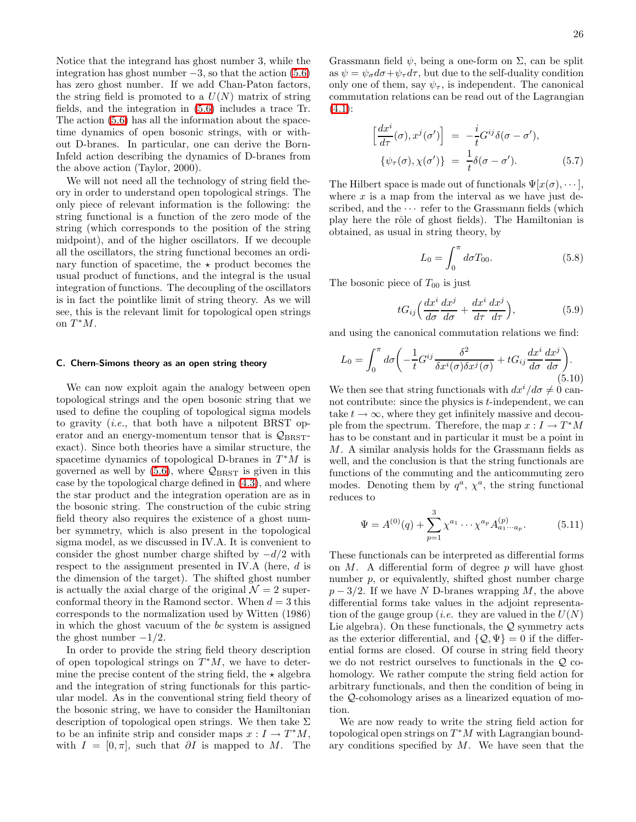Notice that the integrand has ghost number 3, while the integration has ghost number  $-3$ , so that the action  $(5.6)$ has zero ghost number. If we add Chan-Paton factors, the string field is promoted to a  $U(N)$  matrix of string fields, and the integration in [\(5.6\)](#page-24-2) includes a trace Tr. The action [\(5.6\)](#page-24-2) has all the information about the spacetime dynamics of open bosonic strings, with or without D-branes. In particular, one can derive the Born-Infeld action describing the dynamics of D-branes from the above action (Taylor, 2000).

We will not need all the technology of string field theory in order to understand open topological strings. The only piece of relevant information is the following: the string functional is a function of the zero mode of the string (which corresponds to the position of the string midpoint), and of the higher oscillators. If we decouple all the oscillators, the string functional becomes an ordinary function of spacetime, the  $\star$  product becomes the usual product of functions, and the integral is the usual integration of functions. The decoupling of the oscillators is in fact the pointlike limit of string theory. As we will see, this is the relevant limit for topological open strings on  $T^*M$ .

#### <span id="page-25-0"></span>C. Chern-Simons theory as an open string theory

We can now exploit again the analogy between open topological strings and the open bosonic string that we used to define the coupling of topological sigma models to gravity (i.e., that both have a nilpotent BRST operator and an energy-momentum tensor that is  $\mathcal{Q}_{\text{BRST}}$ exact). Since both theories have a similar structure, the spacetime dynamics of topological D-branes in  $T^*M$  is governed as well by  $(5.6)$ , where  $\mathcal{Q}_{\rm BRST}$  is given in this case by the topological charge defined in [\(4.3\)](#page-14-4), and where the star product and the integration operation are as in the bosonic string. The construction of the cubic string field theory also requires the existence of a ghost number symmetry, which is also present in the topological sigma model, as we discussed in IV.A. It is convenient to consider the ghost number charge shifted by  $-d/2$  with respect to the assignment presented in IV.A (here, d is the dimension of the target). The shifted ghost number is actually the axial charge of the original  $\mathcal{N}=2$  superconformal theory in the Ramond sector. When  $d = 3$  this corresponds to the normalization used by Witten (1986) in which the ghost vacuum of the bc system is assigned the ghost number  $-1/2$ .

In order to provide the string field theory description of open topological strings on  $T^*M$ , we have to determine the precise content of the string field, the  $\star$  algebra and the integration of string functionals for this particular model. As in the conventional string field theory of the bosonic string, we have to consider the Hamiltonian description of topological open strings. We then take  $\Sigma$ to be an infinite strip and consider maps  $x: I \to T^*M$ , with  $I = [0, \pi]$ , such that  $\partial I$  is mapped to M. The

Grassmann field  $\psi$ , being a one-form on  $\Sigma$ , can be split as  $\psi = \psi_{\sigma} d\sigma + \psi_{\tau} d\tau$ , but due to the self-duality condition only one of them, say  $\psi_{\tau}$ , is independent. The canonical commutation relations can be read out of the Lagrangian  $(4.1):$  $(4.1):$ 

$$
\begin{aligned}\n\left[\frac{dx^{i}}{d\tau}(\sigma), x^{j}(\sigma')\right] &= -\frac{i}{t}G^{ij}\delta(\sigma - \sigma'), \\
\{\psi_{\tau}(\sigma), \chi(\sigma')\} &= \frac{1}{t}\delta(\sigma - \sigma').\n\end{aligned} \tag{5.7}
$$

The Hilbert space is made out of functionals  $\Psi[x(\sigma), \cdots]$ , where  $x$  is a map from the interval as we have just described, and the  $\cdots$  refer to the Grassmann fields (which play here the rôle of ghost fields). The Hamiltonian is obtained, as usual in string theory, by

$$
L_0 = \int_0^{\pi} d\sigma T_{00}.
$$
 (5.8)

The bosonic piece of  $T_{00}$  is just

$$
tG_{ij}\left(\frac{dx^i}{d\sigma}\frac{dx^j}{d\sigma} + \frac{dx^i}{d\tau}\frac{dx^j}{d\tau}\right),\tag{5.9}
$$

and using the canonical commutation relations we find:

$$
L_0 = \int_0^{\pi} d\sigma \left( -\frac{1}{t} G^{ij} \frac{\delta^2}{\delta x^i(\sigma) \delta x^j(\sigma)} + t G_{ij} \frac{dx^i}{d\sigma} \frac{dx^j}{d\sigma} \right). \tag{5.10}
$$

We then see that string functionals with  $dx^{i}/d\sigma \neq 0$  cannot contribute: since the physics is *t*-independent, we can take  $t \to \infty$ , where they get infinitely massive and decouple from the spectrum. Therefore, the map  $x: I \to T^*M$ has to be constant and in particular it must be a point in M. A similar analysis holds for the Grassmann fields as well, and the conclusion is that the string functionals are functions of the commuting and the anticommuting zero modes. Denoting them by  $q^a$ ,  $\chi^a$ , the string functional reduces to

<span id="page-25-1"></span>
$$
\Psi = A^{(0)}(q) + \sum_{p=1}^{3} \chi^{a_1} \cdots \chi^{a_p} A^{(p)}_{a_1 \cdots a_p}.
$$
 (5.11)

These functionals can be interpreted as differential forms on  $M$ . A differential form of degree  $p$  will have ghost number  $p$ , or equivalently, shifted ghost number charge  $p-3/2$ . If we have N D-branes wrapping M, the above differential forms take values in the adjoint representation of the gauge group (*i.e.* they are valued in the  $U(N)$ Lie algebra). On these functionals, the  $Q$  symmetry acts as the exterior differential, and  $\{Q, \Psi\} = 0$  if the differential forms are closed. Of course in string field theory we do not restrict ourselves to functionals in the  $Q$  cohomology. We rather compute the string field action for arbitrary functionals, and then the condition of being in the Q-cohomology arises as a linearized equation of motion.

We are now ready to write the string field action for topological open strings on  $T^*M$  with Lagrangian boundary conditions specified by  $M$ . We have seen that the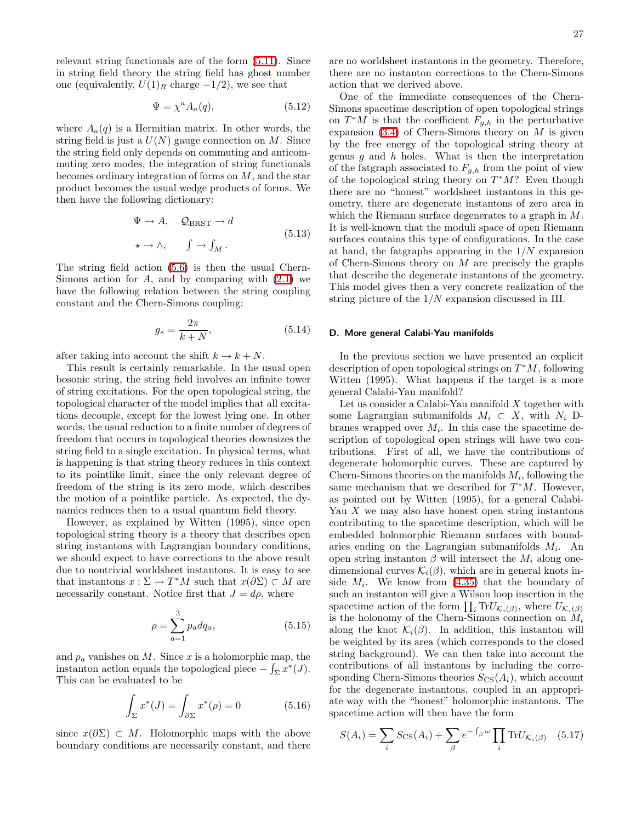relevant string functionals are of the form [\(5.11\)](#page-25-1). Since in string field theory the string field has ghost number one (equivalently,  $U(1)_R$  charge  $-1/2$ ), we see that

$$
\Psi = \chi^a A_a(q), \tag{5.12}
$$

where  $A_a(q)$  is a Hermitian matrix. In other words, the string field is just a  $U(N)$  gauge connection on M. Since the string field only depends on commuting and anticommuting zero modes, the integration of string functionals becomes ordinary integration of forms on  $M$ , and the star product becomes the usual wedge products of forms. We then have the following dictionary:

$$
\Psi \to A, \quad \mathcal{Q}_{BRST} \to d
$$
  

$$
\star \to \wedge, \qquad \int \to \int_M.
$$
 (5.13)

The string field action [\(5.6\)](#page-24-2) is then the usual Chern-Simons action for  $A$ , and by comparing with  $(2.1)$  we have the following relation between the string coupling constant and the Chern-Simons coupling:

$$
g_s = \frac{2\pi}{k+N},\tag{5.14}
$$

after taking into account the shift  $k \to k + N$ .

This result is certainly remarkable. In the usual open bosonic string, the string field involves an infinite tower of string excitations. For the open topological string, the topological character of the model implies that all excitations decouple, except for the lowest lying one. In other words, the usual reduction to a finite number of degrees of freedom that occurs in topological theories downsizes the string field to a single excitation. In physical terms, what is happening is that string theory reduces in this context to its pointlike limit, since the only relevant degree of freedom of the string is its zero mode, which describes the motion of a pointlike particle. As expected, the dynamics reduces then to a usual quantum field theory.

However, as explained by Witten (1995), since open topological string theory is a theory that describes open string instantons with Lagrangian boundary conditions, we should expect to have corrections to the above result due to nontrivial worldsheet instantons. It is easy to see that instantons  $x : \Sigma \to T^*M$  such that  $x(\partial \Sigma) \subset M$  are necessarily constant. Notice first that  $J = d\rho$ , where

$$
\rho = \sum_{a=1}^{3} p_a dq_a, \qquad (5.15)
$$

and  $p_a$  vanishes on M. Since x is a holomorphic map, the instanton action equals the topological piece  $-\int_{\Sigma} x^*(J)$ . This can be evaluated to be

$$
\int_{\Sigma} x^*(J) = \int_{\partial \Sigma} x^*(\rho) = 0 \tag{5.16}
$$

since  $x(\partial \Sigma) \subset M$ . Holomorphic maps with the above boundary conditions are necessarily constant, and there

are no worldsheet instantons in the geometry. Therefore, there are no instanton corrections to the Chern-Simons action that we derived above.

One of the immediate consequences of the Chern-Simons spacetime description of open topological strings on  $T^*M$  is that the coefficient  $F_{g,h}$  in the perturbative expansion  $(3.4)$  of Chern-Simons theory on M is given by the free energy of the topological string theory at genus  $g$  and  $h$  holes. What is then the interpretation of the fatgraph associated to  $F_{g,h}$  from the point of view of the topological string theory on  $T^*M$ ? Even though there are no "honest" worldsheet instantons in this geometry, there are degenerate instantons of zero area in which the Riemann surface degenerates to a graph in M. It is well-known that the moduli space of open Riemann surfaces contains this type of configurations. In the case at hand, the fatgraphs appearing in the  $1/N$  expansion of Chern-Simons theory on  $M$  are precisely the graphs that describe the degenerate instantons of the geometry. This model gives then a very concrete realization of the string picture of the 1/N expansion discussed in III.

#### <span id="page-26-0"></span>D. More general Calabi-Yau manifolds

In the previous section we have presented an explicit description of open topological strings on  $T^*M$ , following Witten (1995). What happens if the target is a more general Calabi-Yau manifold?

Let us consider a Calabi-Yau manifold  $X$  together with some Lagrangian submanifolds  $M_i \subset X$ , with  $N_i$  Dbranes wrapped over  $M_i$ . In this case the spacetime description of topological open strings will have two contributions. First of all, we have the contributions of degenerate holomorphic curves. These are captured by Chern-Simons theories on the manifolds  $M_i$ , following the same mechanism that we described for  $T^*M$ . However, as pointed out by Witten (1995), for a general Calabi-Yau  $X$  we may also have honest open string instantons contributing to the spacetime description, which will be embedded holomorphic Riemann surfaces with boundaries ending on the Lagrangian submanifolds  $M_i$ . An open string instanton  $\beta$  will intersect the  $M_i$  along onedimensional curves  $\mathcal{K}_i(\beta)$ , which are in general knots inside  $M_i$ . We know from  $(4.35)$  that the boundary of such an instanton will give a Wilson loop insertion in the spacetime action of the form  $\prod_i \text{Tr} U_{\mathcal{K}_i(\beta)}$ , where  $U_{\mathcal{K}_i(\beta)}$ is the holonomy of the Chern-Simons connection on  $\tilde{M}_i$ along the knot  $\mathcal{K}_i(\beta)$ . In addition, this instanton will be weighted by its area (which corresponds to the closed string background). We can then take into account the contributions of all instantons by including the corresponding Chern-Simons theories  $S_{\text{CS}}(A_i)$ , which account for the degenerate instantons, coupled in an appropriate way with the "honest" holomorphic instantons. The spacetime action will then have the form

<span id="page-26-1"></span>
$$
S(A_i) = \sum_{i} S_{\text{CS}}(A_i) + \sum_{\beta} e^{-\int_{\beta} \omega} \prod_{i} \text{Tr} U_{\mathcal{K}_i(\beta)} \quad (5.17)
$$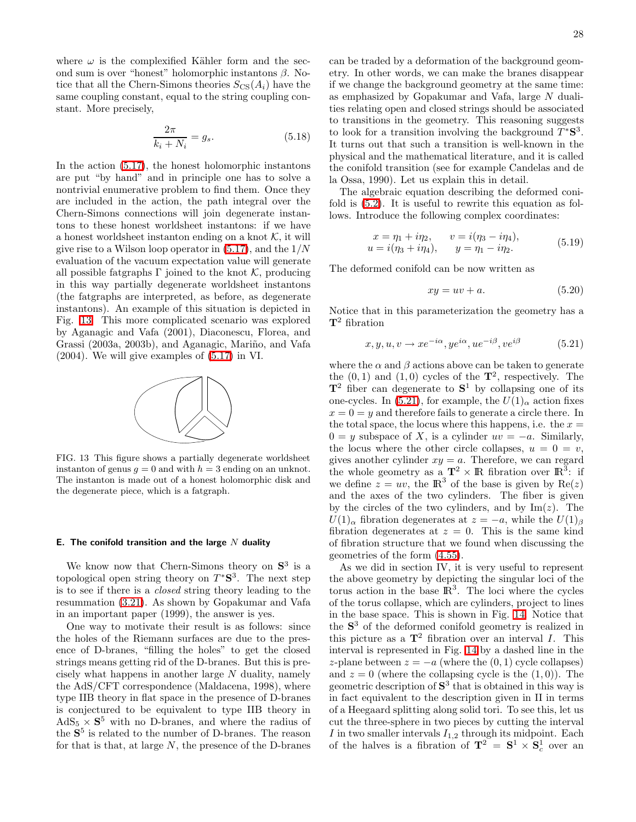<span id="page-27-4"></span>where  $\omega$  is the complexified Kähler form and the second sum is over "honest" holomorphic instantons  $\beta$ . Notice that all the Chern-Simons theories  $S_{\text{CS}}(A_i)$  have the same coupling constant, equal to the string coupling constant. More precisely,

$$
\frac{2\pi}{k_i + N_i} = g_s. \tag{5.18}
$$

In the action [\(5.17\)](#page-26-1), the honest holomorphic instantons are put "by hand" and in principle one has to solve a nontrivial enumerative problem to find them. Once they are included in the action, the path integral over the Chern-Simons connections will join degenerate instantons to these honest worldsheet instantons: if we have a honest worldsheet instanton ending on a knot  $K$ , it will give rise to a Wilson loop operator in  $(5.17)$ , and the  $1/N$ evaluation of the vacuum expectation value will generate all possible fatgraphs  $\Gamma$  joined to the knot  $\mathcal{K}$ , producing in this way partially degenerate worldsheet instantons (the fatgraphs are interpreted, as before, as degenerate instantons). An example of this situation is depicted in Fig. [13.](#page-27-1) This more complicated scenario was explored by Aganagic and Vafa (2001), Diaconescu, Florea, and Grassi (2003a, 2003b), and Aganagic, Mariño, and Vafa (2004). We will give examples of [\(5.17\)](#page-26-1) in VI.



<span id="page-27-1"></span>FIG. 13 This figure shows a partially degenerate worldsheet instanton of genus  $g = 0$  and with  $h = 3$  ending on an unknot. The instanton is made out of a honest holomorphic disk and the degenerate piece, which is a fatgraph.

## <span id="page-27-0"></span>E. The conifold transition and the large  $N$  duality

We know now that Chern-Simons theory on  $S^3$  is a topological open string theory on  $T^*S^3$ . The next step is to see if there is a closed string theory leading to the resummation [\(3.21\)](#page-12-4). As shown by Gopakumar and Vafa in an important paper (1999), the answer is yes.

One way to motivate their result is as follows: since the holes of the Riemann surfaces are due to the presence of D-branes, "filling the holes" to get the closed strings means getting rid of the D-branes. But this is precisely what happens in another large  $N$  duality, namely the AdS/CFT correspondence (Maldacena, 1998), where type IIB theory in flat space in the presence of D-branes is conjectured to be equivalent to type IIB theory in  $AdS_5 \times S^5$  with no D-branes, and where the radius of the  $S^5$  is related to the number of D-branes. The reason for that is that, at large  $N$ , the presence of the D-branes

can be traded by a deformation of the background geometry. In other words, we can make the branes disappear if we change the background geometry at the same time: as emphasized by Gopakumar and Vafa, large N dualities relating open and closed strings should be associated to transitions in the geometry. This reasoning suggests to look for a transition involving the background  $\widetilde{T}^*S^3$ . It turns out that such a transition is well-known in the physical and the mathematical literature, and it is called the conifold transition (see for example Candelas and de la Ossa, 1990). Let us explain this in detail.

The algebraic equation describing the deformed conifold is [\(5.2\)](#page-24-1). It is useful to rewrite this equation as follows. Introduce the following complex coordinates:

$$
x = \eta_1 + i\eta_2, \qquad v = i(\eta_3 - i\eta_4), u = i(\eta_3 + i\eta_4), \qquad y = \eta_1 - i\eta_2.
$$
 (5.19)

The deformed conifold can be now written as

<span id="page-27-3"></span>
$$
xy = uv + a. \tag{5.20}
$$

<span id="page-27-2"></span>Notice that in this parameterization the geometry has a  $\mathbf{T}^2$  fibration

$$
x, y, u, v \to x e^{-i\alpha}, y e^{i\alpha}, u e^{-i\beta}, v e^{i\beta} \tag{5.21}
$$

where the  $\alpha$  and  $\beta$  actions above can be taken to generate the  $(0, 1)$  and  $(1, 0)$  cycles of the  $\mathbf{T}^2$ , respectively. The  $T^2$  fiber can degenerate to  $S^1$  by collapsing one of its one-cycles. In [\(5.21\)](#page-27-2), for example, the  $U(1)<sub>\alpha</sub>$  action fixes  $x = 0 = y$  and therefore fails to generate a circle there. In the total space, the locus where this happens, i.e. the  $x =$  $0 = y$  subspace of X, is a cylinder  $uv = -a$ . Similarly, the locus where the other circle collapses,  $u = 0 = v$ , gives another cylinder  $xy = a$ . Therefore, we can regard the whole geometry as a  $\mathbf{T}^2 \times \mathbb{R}$  fibration over  $\mathbb{R}^3$ : if we define  $z = uv$ , the  $\mathbb{R}^3$  of the base is given by  $\text{Re}(z)$ and the axes of the two cylinders. The fiber is given by the circles of the two cylinders, and by  $\text{Im}(z)$ . The  $U(1)<sub>α</sub>$  fibration degenerates at  $z = -a$ , while the  $U(1)<sub>β</sub>$ fibration degenerates at  $z = 0$ . This is the same kind of fibration structure that we found when discussing the geometries of the form [\(4.55\)](#page-21-4).

As we did in section IV, it is very useful to represent the above geometry by depicting the singular loci of the torus action in the base  $\mathbb{R}^3$ . The loci where the cycles of the torus collapse, which are cylinders, project to lines in the base space. This is shown in Fig. [14.](#page-28-1) Notice that the S <sup>3</sup> of the deformed conifold geometry is realized in this picture as a  $\mathbf{T}^2$  fibration over an interval I. This interval is represented in Fig. [14](#page-28-1) by a dashed line in the z-plane between  $z = -a$  (where the  $(0, 1)$  cycle collapses) and  $z = 0$  (where the collapsing cycle is the  $(1, 0)$ ). The geometric description of  $S^3$  that is obtained in this way is in fact equivalent to the description given in II in terms of a Heegaard splitting along solid tori. To see this, let us cut the three-sphere in two pieces by cutting the interval I in two smaller intervals  $I_{1,2}$  through its midpoint. Each of the halves is a fibration of  $\mathbf{T}^2 = \mathbf{S}^1 \times \mathbf{S}_c^1$  over an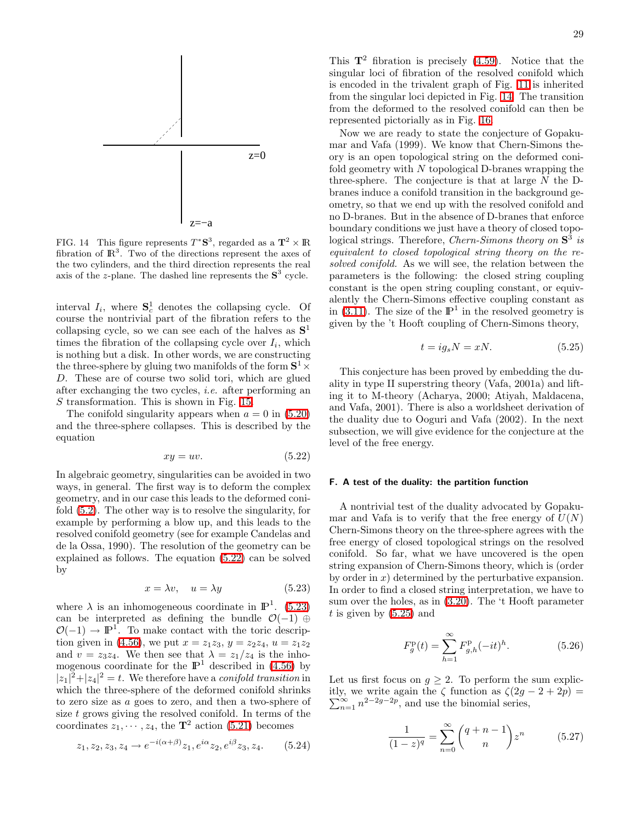

<span id="page-28-1"></span>FIG. 14 This figure represents  $T^*S^3$ , regarded as a  $T^2 \times \mathbb{R}$ fibration of  $\mathbb{R}^3$ . Two of the directions represent the axes of the two cylinders, and the third direction represents the real axis of the z-plane. The dashed line represents the  $S<sup>3</sup>$  cycle.

interval  $I_i$ , where  $S_c^1$  denotes the collapsing cycle. Of course the nontrivial part of the fibration refers to the collapsing cycle, so we can see each of the halves as  $S<sup>1</sup>$ times the fibration of the collapsing cycle over  $I_i$ , which is nothing but a disk. In other words, we are constructing the three-sphere by gluing two manifolds of the form  $S^1 \times$ D. These are of course two solid tori, which are glued after exchanging the two cycles, i.e. after performing an S transformation. This is shown in Fig. [15.](#page-29-1)

<span id="page-28-2"></span>The conifold singularity appears when  $a = 0$  in  $(5.20)$ and the three-sphere collapses. This is described by the equation

$$
xy = uv.\t\t(5.22)
$$

In algebraic geometry, singularities can be avoided in two ways, in general. The first way is to deform the complex geometry, and in our case this leads to the deformed conifold [\(5.2\)](#page-24-1). The other way is to resolve the singularity, for example by performing a blow up, and this leads to the resolved conifold geometry (see for example Candelas and de la Ossa, 1990). The resolution of the geometry can be explained as follows. The equation [\(5.22\)](#page-28-2) can be solved by

$$
x = \lambda v, \quad u = \lambda y \tag{5.23}
$$

<span id="page-28-3"></span>where  $\lambda$  is an inhomogeneous coordinate in  $\mathbb{P}^1$ . [\(5.23\)](#page-28-3) can be interpreted as defining the bundle  $\mathcal{O}(-1) \oplus$  $\mathcal{O}(-1) \rightarrow \mathbb{P}^{1}$ . To make contact with the toric descrip-tion given in [\(4.56\)](#page-21-5), we put  $x = z_1z_3$ ,  $y = z_2z_4$ ,  $u = z_1z_2$ and  $v = z_3z_4$ . We then see that  $\lambda = z_1/z_4$  is the inhomogenous coordinate for the  $\mathbb{P}^1$  described in [\(4.56\)](#page-21-5) by  $|z_1|^2 + |z_4|^2 = t$ . We therefore have a *conifold transition* in which the three-sphere of the deformed conifold shrinks to zero size as a goes to zero, and then a two-sphere of size  $t$  grows giving the resolved conifold. In terms of the coordinates  $z_1, \dots, z_4$ , the  $\mathbf{T}^2$  action [\(5.21\)](#page-27-2) becomes

$$
z_1, z_2, z_3, z_4 \to e^{-i(\alpha + \beta)} z_1, e^{i\alpha} z_2, e^{i\beta} z_3, z_4. \qquad (5.24)
$$

This  $\mathbf{T}^2$  fibration is precisely [\(4.59\)](#page-21-7). Notice that the singular loci of fibration of the resolved conifold which is encoded in the trivalent graph of Fig. [11](#page-21-6) is inherited from the singular loci depicted in Fig. [14.](#page-28-1) The transition from the deformed to the resolved conifold can then be represented pictorially as in Fig. [16.](#page-29-2)

Now we are ready to state the conjecture of Gopakumar and Vafa (1999). We know that Chern-Simons theory is an open topological string on the deformed conifold geometry with  $N$  topological D-branes wrapping the three-sphere. The conjecture is that at large  $N$  the Dbranes induce a conifold transition in the background geometry, so that we end up with the resolved conifold and no D-branes. But in the absence of D-branes that enforce boundary conditions we just have a theory of closed topological strings. Therefore, *Chern-Simons theory on*  $S^3$  is equivalent to closed topological string theory on the resolved conifold. As we will see, the relation between the parameters is the following: the closed string coupling constant is the open string coupling constant, or equivalently the Chern-Simons effective coupling constant as in [\(3.11\)](#page-12-5). The size of the  $\mathbb{P}^1$  in the resolved geometry is given by the 't Hooft coupling of Chern-Simons theory,

<span id="page-28-4"></span>
$$
t = ig_s N = xN.
$$
 (5.25)

This conjecture has been proved by embedding the duality in type II superstring theory (Vafa, 2001a) and lifting it to M-theory (Acharya, 2000; Atiyah, Maldacena, and Vafa, 2001). There is also a worldsheet derivation of the duality due to Ooguri and Vafa (2002). In the next subsection, we will give evidence for the conjecture at the level of the free energy.

#### <span id="page-28-0"></span>F. A test of the duality: the partition function

A nontrivial test of the duality advocated by Gopakumar and Vafa is to verify that the free energy of  $U(N)$ Chern-Simons theory on the three-sphere agrees with the free energy of closed topological strings on the resolved conifold. So far, what we have uncovered is the open string expansion of Chern-Simons theory, which is (order by order in  $x$ ) determined by the perturbative expansion. In order to find a closed string interpretation, we have to sum over the holes, as in [\(3.20\)](#page-12-3). The 't Hooft parameter t is given by  $(5.25)$  and

$$
F_g^{\mathbf{p}}(t) = \sum_{h=1}^{\infty} F_{g,h}^{\mathbf{p}}(-it)^h.
$$
 (5.26)

Let us first focus on  $q \geq 2$ . To perform the sum explicitly, we write again the  $\sum$ y, we write again the  $\zeta$  function as  $\zeta(2g - 2 + 2p) =$ <br>  $\sum_{n=1}^{\infty} n^{2-2g-2p}$ , and use the binomial series,

$$
\frac{1}{(1-z)^q} = \sum_{n=0}^{\infty} {q+n-1 \choose n} z^n
$$
 (5.27)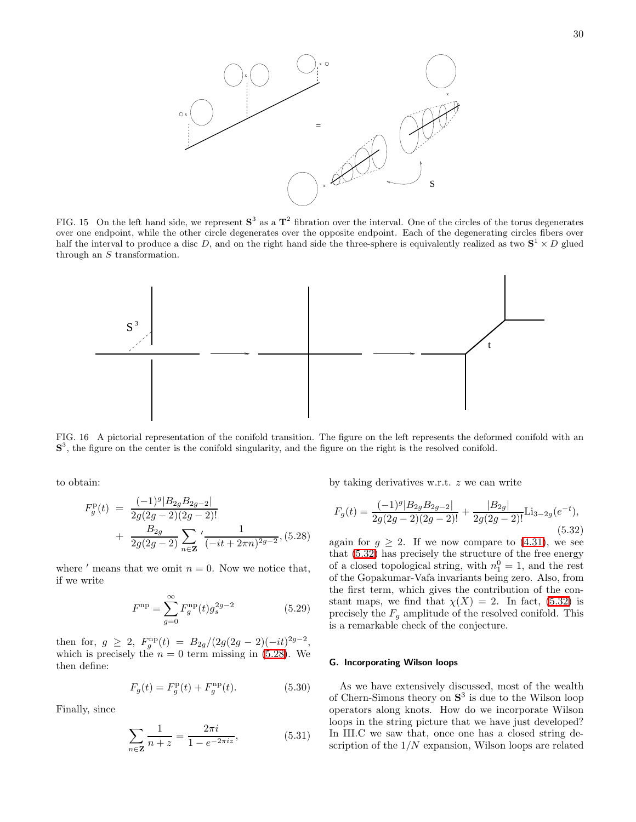

<span id="page-29-1"></span>FIG. 15 On the left hand side, we represent  $S^3$  as a  $T^2$  fibration over the interval. One of the circles of the torus degenerates over one endpoint, while the other circle degenerates over the opposite endpoint. Each of the degenerating circles fibers over half the interval to produce a disc D, and on the right hand side the three-sphere is equivalently realized as two  $S^1 \times D$  glued through an S transformation.



<span id="page-29-2"></span>FIG. 16 A pictorial representation of the conifold transition. The figure on the left represents the deformed conifold with an S<sup>3</sup>, the figure on the center is the conifold singularity, and the figure on the right is the resolved conifold.

<span id="page-29-3"></span>to obtain:

$$
F_g^{\rm p}(t) = \frac{(-1)^g |B_{2g} B_{2g-2}|}{2g(2g-2)(2g-2)!} + \frac{B_{2g}}{2g(2g-2)} \sum_{n \in \mathbb{Z}}' \frac{1}{(-it + 2\pi n)^{2g-2}},
$$
(5.28)

where  $'$  means that we omit  $n = 0$ . Now we notice that, if we write

$$
F^{\rm np} = \sum_{g=0}^{\infty} F_g^{\rm np}(t) g_s^{2g-2}
$$
 (5.29)

then for,  $g \ge 2$ ,  $F_g^{\text{np}}(t) = B_{2g}/(2g(2g-2)(-it)^{2g-2},$ which is precisely the  $n = 0$  term missing in [\(5.28\)](#page-29-3). We then define:

$$
F_g(t) = F_g^{\rm p}(t) + F_g^{\rm np}(t). \tag{5.30}
$$

Finally, since

$$
\sum_{n \in \mathbf{Z}} \frac{1}{n+z} = \frac{2\pi i}{1 - e^{-2\pi i z}},\tag{5.31}
$$

by taking derivatives w.r.t. z we can write

<span id="page-29-4"></span>
$$
F_g(t) = \frac{(-1)^g |B_{2g} B_{2g-2}|}{2g(2g-2)(2g-2)!} + \frac{|B_{2g}|}{2g(2g-2)!} \text{Li}_{3-2g}(e^{-t}),\tag{5.32}
$$

again for  $g \geq 2$ . If we now compare to [\(4.31\)](#page-17-4), we see that [\(5.32\)](#page-29-4) has precisely the structure of the free energy of a closed topological string, with  $n_1^0 = 1$ , and the rest of the Gopakumar-Vafa invariants being zero. Also, from the first term, which gives the contribution of the constant maps, we find that  $\chi(X) = 2$ . In fact, [\(5.32\)](#page-29-4) is precisely the  $F_g$  amplitude of the resolved conifold. This is a remarkable check of the conjecture.

#### <span id="page-29-0"></span>G. Incorporating Wilson loops

As we have extensively discussed, most of the wealth of Chern-Simons theory on S 3 is due to the Wilson loop operators along knots. How do we incorporate Wilson loops in the string picture that we have just developed? In III.C we saw that, once one has a closed string description of the  $1/N$  expansion, Wilson loops are related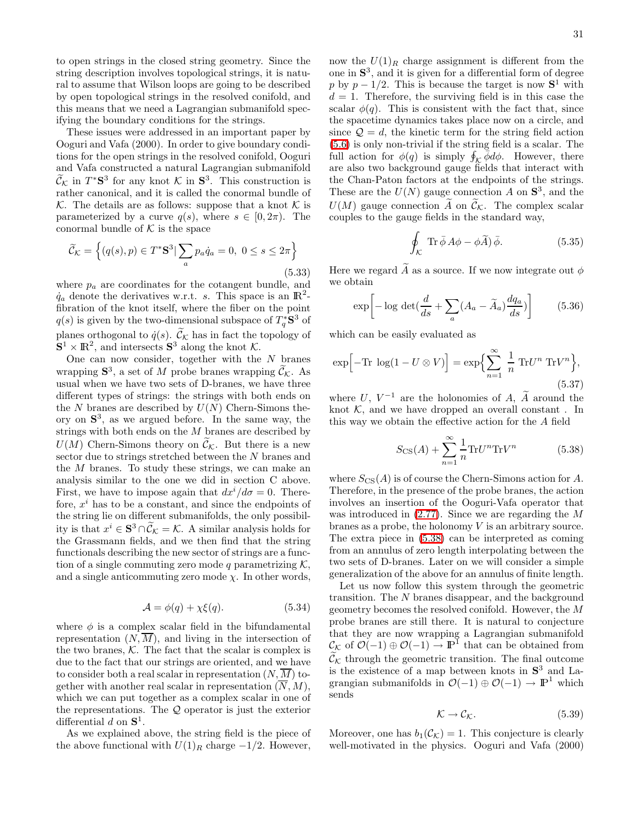to open strings in the closed string geometry. Since the string description involves topological strings, it is natural to assume that Wilson loops are going to be described by open topological strings in the resolved conifold, and this means that we need a Lagrangian submanifold specifying the boundary conditions for the strings.

These issues were addressed in an important paper by Ooguri and Vafa (2000). In order to give boundary conditions for the open strings in the resolved conifold, Ooguri and Vafa constructed a natural Lagrangian submanifold  $\widetilde{\mathcal{C}}_{\mathcal{K}}$  in  $T^*\mathbf{S}^3$  for any knot  $\mathcal{K}$  in  $\mathbf{S}^3$ . This construction is rather canonical, and it is called the conormal bundle of K. The details are as follows: suppose that a knot K is parameterized by a curve  $q(s)$ , where  $s \in [0, 2\pi)$ . The conormal bundle of  $K$  is the space

$$
\widetilde{\mathcal{C}}_{\mathcal{K}} = \left\{ (q(s), p) \in T^* \mathbf{S}^3 \vert \sum_a p_a \dot{q}_a = 0, \ 0 \le s \le 2\pi \right\}
$$
\n(5.33)

where  $p_a$  are coordinates for the cotangent bundle, and  $\dot{q}_a$  denote the derivatives w.r.t. s. This space is an  $\mathbb{R}^2$ fibration of the knot itself, where the fiber on the point  $q(s)$  is given by the two-dimensional subspace of  $T_q^*$  $S^3$  of planes orthogonal to  $\dot{q}(s)$ .  $\mathcal{C}_{\mathcal{K}}$  has in fact the topology of  $\mathbf{S}^1 \times \mathbb{R}^2$ , and intersects  $\mathbf{S}^3$  along the knot  $\mathcal{K}$ .

One can now consider, together with the  $N$  branes wrapping  $S^3$ , a set of M probe branes wrapping  $\widetilde{\mathcal{C}}_{\mathcal{K}}$ . As usual when we have two sets of D-branes, we have three different types of strings: the strings with both ends on the N branes are described by  $U(N)$  Chern-Simons theory on  $S^3$ , as we argued before. In the same way, the strings with both ends on the M branes are described by  $U(M)$  Chern-Simons theory on  $\mathcal{C}_{\mathcal{K}}$ . But there is a new sector due to strings stretched between the N branes and the M branes. To study these strings, we can make an analysis similar to the one we did in section C above. First, we have to impose again that  $dx^{i}/d\sigma = 0$ . Therefore,  $x^i$  has to be a constant, and since the endpoints of the string lie on different submanifolds, the only possibility is that  $x^i \in \mathbf{S}^3 \cap \widetilde{\mathcal{C}}_{\mathcal{K}} = \mathcal{K}$ . A similar analysis holds for the Grassmann fields, and we then find that the string functionals describing the new sector of strings are a function of a single commuting zero mode q parametrizing  $K$ , and a single anticommuting zero mode  $\chi$ . In other words,

$$
\mathcal{A} = \phi(q) + \chi \xi(q). \tag{5.34}
$$

where  $\phi$  is a complex scalar field in the bifundamental representation  $(N, \overline{M})$ , and living in the intersection of the two branes,  $K$ . The fact that the scalar is complex is due to the fact that our strings are oriented, and we have to consider both a real scalar in representation  $(N, \overline{M})$  together with another real scalar in representation  $(\overline{N}, M)$ , which we can put together as a complex scalar in one of the representations. The Q operator is just the exterior differential d on  $S^1$ .

As we explained above, the string field is the piece of the above functional with  $U(1)<sub>R</sub>$  charge  $-1/2$ . However,

31

one in  $S<sup>3</sup>$ , and it is given for a differential form of degree p by  $p - 1/2$ . This is because the target is now  $S^1$  with  $d = 1$ . Therefore, the surviving field is in this case the scalar  $\phi(q)$ . This is consistent with the fact that, since the spacetime dynamics takes place now on a circle, and since  $\mathcal{Q} = d$ , the kinetic term for the string field action [\(5.6\)](#page-24-2) is only non-trivial if the string field is a scalar. The full action for  $\phi(q)$  is simply  $\oint_{\mathcal{K}} \overline{\phi} d\phi$ . However, there are also two background gauge fields that interact with the Chan-Paton factors at the endpoints of the strings. These are the  $U(N)$  gauge connection A on  $S^3$ , and the  $U(M)$  gauge connection  $\widetilde{A}$  on  $\widetilde{\mathcal{C}}_{\mathcal{K}}$ . The complex scalar couples to the gauge fields in the standard way,

$$
\oint_{\mathcal{K}} \text{Tr} \,\bar{\phi} \, A\phi - \phi \widetilde{A} \big) \,\bar{\phi}.\tag{5.35}
$$

Here we regard  $\tilde{A}$  as a source. If we now integrate out  $\phi$ we obtain

<span id="page-30-1"></span>
$$
\exp\left[-\log\det\left(\frac{d}{ds} + \sum_{a} (A_a - \widetilde{A}_a) \frac{dq_a}{ds}\right)\right] \tag{5.36}
$$

which can be easily evaluated as

$$
\exp\Bigl[-\text{Tr }\log(1-U\otimes V)\Bigr]=\exp\Bigl\{\sum_{n=1}^{\infty}\frac{1}{n}\text{ Tr}U^n\text{ Tr}V^n\Bigr\},\tag{5.37}
$$

where  $U, V^{-1}$  are the holonomies of  $A, \overline{A}$  around the knot  $K$ , and we have dropped an overall constant. In this way we obtain the effective action for the A field

<span id="page-30-0"></span>
$$
S_{\text{CS}}(A) + \sum_{n=1}^{\infty} \frac{1}{n} \text{Tr} U^n \text{Tr} V^n \tag{5.38}
$$

where  $S_{\text{CS}}(A)$  is of course the Chern-Simons action for A. Therefore, in the presence of the probe branes, the action involves an insertion of the Ooguri-Vafa operator that was introduced in [\(2.77\)](#page-10-5). Since we are regarding the M branes as a probe, the holonomy  $V$  is an arbitrary source. The extra piece in [\(5.38\)](#page-30-0) can be interpreted as coming from an annulus of zero length interpolating between the two sets of D-branes. Later on we will consider a simple generalization of the above for an annulus of finite length.

Let us now follow this system through the geometric transition. The N branes disappear, and the background geometry becomes the resolved conifold. However, the M probe branes are still there. It is natural to conjecture that they are now wrapping a Lagrangian submanifold  $\mathcal{C}_{\mathcal{K}}$  of  $\mathcal{O}(-1) \oplus \mathcal{O}(-1) \to \mathbb{P}^1$  that can be obtained from  $\widetilde{\mathcal{C}}_{\mathcal{K}}$  through the geometric transition. The final outcome is the existence of a map between knots in  $S<sup>3</sup>$  and Lagrangian submanifolds in  $\mathcal{O}(-1) \oplus \mathcal{O}(-1) \rightarrow \mathbb{P}^1$  which sends

$$
\mathcal{K} \to \mathcal{C}_{\mathcal{K}}.\tag{5.39}
$$

Moreover, one has  $b_1(\mathcal{C}_{\mathcal{K}}) = 1$ . This conjecture is clearly well-motivated in the physics. Ooguri and Vafa (2000)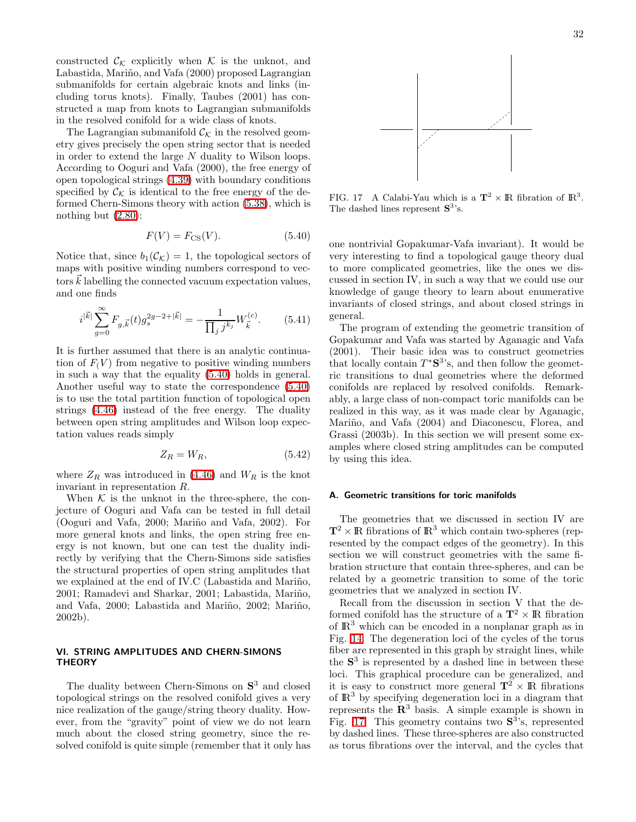constructed  $\mathcal{C}_{\mathcal{K}}$  explicitly when  $\mathcal{K}$  is the unknot, and Labastida, Mariño, and Vafa (2000) proposed Lagrangian submanifolds for certain algebraic knots and links (including torus knots). Finally, Taubes (2001) has constructed a map from knots to Lagrangian submanifolds in the resolved conifold for a wide class of knots.

The Lagrangian submanifold  $\mathcal{C}_{\mathcal{K}}$  in the resolved geometry gives precisely the open string sector that is needed in order to extend the large N duality to Wilson loops. According to Ooguri and Vafa (2000), the free energy of open topological strings [\(4.39\)](#page-18-1) with boundary conditions specified by  $\mathcal{C}_{\mathcal{K}}$  is identical to the free energy of the deformed Chern-Simons theory with action [\(5.38\)](#page-30-0), which is nothing but [\(2.80\)](#page-10-4):

$$
F(V) = F_{\text{CS}}(V). \tag{5.40}
$$

<span id="page-31-2"></span>Notice that, since  $b_1(\mathcal{C}_{\mathcal{K}}) = 1$ , the topological sectors of maps with positive winding numbers correspond to vec- $\frac{1}{k}$  labelling the connected vacuum expectation values, and one finds

$$
i^{|\vec{k}|} \sum_{g=0}^{\infty} F_{g,\vec{k}}(t) g_s^{2g-2+|\vec{k}|} = -\frac{1}{\prod_j j^{k_j}} W_{\vec{k}}^{(c)}.
$$
 (5.41)

It is further assumed that there is an analytic continuation of  $F(V)$  from negative to positive winding numbers in such a way that the equality [\(5.40\)](#page-31-2) holds in general. Another useful way to state the correspondence [\(5.40\)](#page-31-2) is to use the total partition function of topological open strings [\(4.46\)](#page-19-3) instead of the free energy. The duality between open string amplitudes and Wilson loop expectation values reads simply

<span id="page-31-4"></span>
$$
Z_R = W_R,\tag{5.42}
$$

where  $Z_R$  was introduced in [\(4.46\)](#page-19-3) and  $W_R$  is the knot invariant in representation R.

When  $K$  is the unknot in the three-sphere, the conjecture of Ooguri and Vafa can be tested in full detail (Ooguri and Vafa, 2000; Mariño and Vafa, 2002). For more general knots and links, the open string free energy is not known, but one can test the duality indirectly by verifying that the Chern-Simons side satisfies the structural properties of open string amplitudes that we explained at the end of IV.C (Labastida and Mariño, 2001; Ramadevi and Sharkar, 2001; Labastida, Mariño, and Vafa, 2000; Labastida and Mariño, 2002; Mariño, 2002b).

## <span id="page-31-0"></span>VI. STRING AMPLITUDES AND CHERN-SIMONS **THEORY**

The duality between Chern-Simons on  $S<sup>3</sup>$  and closed topological strings on the resolved conifold gives a very nice realization of the gauge/string theory duality. However, from the "gravity" point of view we do not learn much about the closed string geometry, since the resolved conifold is quite simple (remember that it only has



<span id="page-31-3"></span>FIG. 17 A Calabi-Yau which is a  $\mathbf{T}^2 \times \mathbb{R}$  fibration of  $\mathbb{R}^3$ . The dashed lines represent  $S^3$ 's.

one nontrivial Gopakumar-Vafa invariant). It would be very interesting to find a topological gauge theory dual to more complicated geometries, like the ones we discussed in section IV, in such a way that we could use our knowledge of gauge theory to learn about enumerative invariants of closed strings, and about closed strings in general.

The program of extending the geometric transition of Gopakumar and Vafa was started by Aganagic and Vafa (2001). Their basic idea was to construct geometries that locally contain  $T^{\ast}S^3$ 's, and then follow the geometric transitions to dual geometries where the deformed conifolds are replaced by resolved conifolds. Remarkably, a large class of non-compact toric manifolds can be realized in this way, as it was made clear by Aganagic, Mariño, and Vafa (2004) and Diaconescu, Florea, and Grassi (2003b). In this section we will present some examples where closed string amplitudes can be computed by using this idea.

#### <span id="page-31-1"></span>A. Geometric transitions for toric manifolds

The geometries that we discussed in section IV are  $\mathbf{T}^2 \times \mathbb{R}$  fibrations of  $\mathbb{R}^3$  which contain two-spheres (represented by the compact edges of the geometry). In this section we will construct geometries with the same fibration structure that contain three-spheres, and can be related by a geometric transition to some of the toric geometries that we analyzed in section IV.

Recall from the discussion in section V that the deformed conifold has the structure of a  $\mathbf{T}^2 \times \mathbb{R}$  fibration of  $\mathbb{R}^3$  which can be encoded in a nonplanar graph as in Fig. [14.](#page-28-1) The degeneration loci of the cycles of the torus fiber are represented in this graph by straight lines, while the S 3 is represented by a dashed line in between these loci. This graphical procedure can be generalized, and it is easy to construct more general  $\mathbf{T}^2 \times \mathbb{R}$  fibrations of  $\mathbb{R}^3$  by specifying degeneration loci in a diagram that represents the  $\mathbb{R}^3$  basis. A simple example is shown in Fig. [17.](#page-31-3) This geometry contains two  $S^3$ 's, represented by dashed lines. These three-spheres are also constructed as torus fibrations over the interval, and the cycles that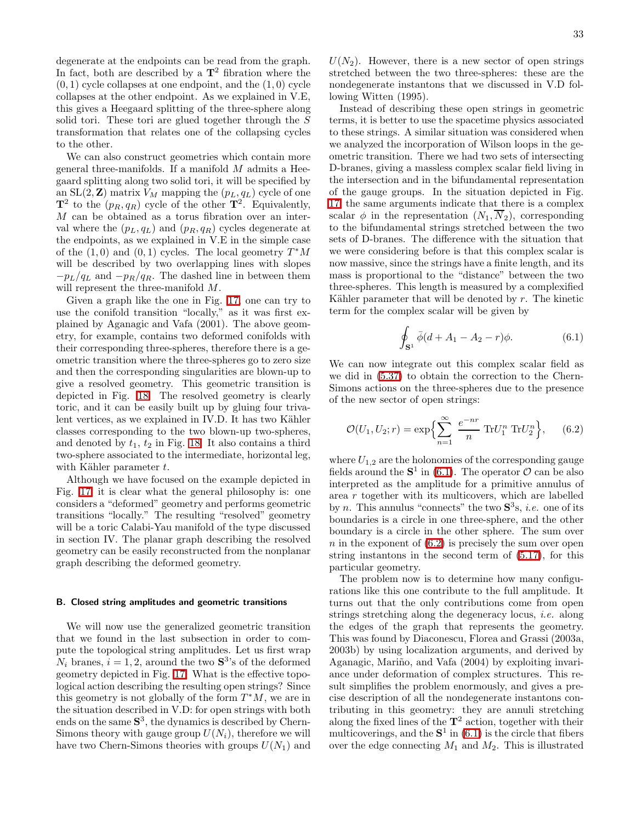degenerate at the endpoints can be read from the graph. In fact, both are described by a  $\mathbf{T}^2$  fibration where the  $(0, 1)$  cycle collapses at one endpoint, and the  $(1, 0)$  cycle collapses at the other endpoint. As we explained in V.E, this gives a Heegaard splitting of the three-sphere along solid tori. These tori are glued together through the S transformation that relates one of the collapsing cycles to the other.

We can also construct geometries which contain more general three-manifolds. If a manifold  $M$  admits a Heegaard splitting along two solid tori, it will be specified by an  $SL(2, \mathbb{Z})$  matrix  $V_M$  mapping the  $(p_L, q_L)$  cycle of one  $\mathbf{T}^2$  to the  $(p_R, q_R)$  cycle of the other  $\mathbf{T}^2$ . Equivalently, M can be obtained as a torus fibration over an interval where the  $(p_L, q_L)$  and  $(p_R, q_R)$  cycles degenerate at the endpoints, as we explained in V.E in the simple case of the  $(1,0)$  and  $(0,1)$  cycles. The local geometry  $T^*M$ will be described by two overlapping lines with slopes  $-p<sub>L</sub>/q<sub>L</sub>$  and  $-p<sub>R</sub>/q<sub>R</sub>$ . The dashed line in between them will represent the three-manifold  $M$ .

Given a graph like the one in Fig. [17,](#page-31-3) one can try to use the conifold transition "locally," as it was first explained by Aganagic and Vafa (2001). The above geometry, for example, contains two deformed conifolds with their corresponding three-spheres, therefore there is a geometric transition where the three-spheres go to zero size and then the corresponding singularities are blown-up to give a resolved geometry. This geometric transition is depicted in Fig. [18.](#page-33-0) The resolved geometry is clearly toric, and it can be easily built up by gluing four trivalent vertices, as we explained in IV.D. It has two Kähler classes corresponding to the two blown-up two-spheres, and denoted by  $t_1$ ,  $t_2$  in Fig. [18.](#page-33-0) It also contains a third two-sphere associated to the intermediate, horizontal leg, with Kähler parameter  $t$ .

Although we have focused on the example depicted in Fig. [17,](#page-31-3) it is clear what the general philosophy is: one considers a "deformed" geometry and performs geometric transitions "locally." The resulting "resolved" geometry will be a toric Calabi-Yau manifold of the type discussed in section IV. The planar graph describing the resolved geometry can be easily reconstructed from the nonplanar graph describing the deformed geometry.

#### <span id="page-32-0"></span>B. Closed string amplitudes and geometric transitions

We will now use the generalized geometric transition that we found in the last subsection in order to compute the topological string amplitudes. Let us first wrap  $N_i$  branes,  $i = 1, 2$ , around the two  $S^3$ 's of the deformed geometry depicted in Fig. [17.](#page-31-3) What is the effective topological action describing the resulting open strings? Since this geometry is not globally of the form  $T^*M$ , we are in the situation described in V.D: for open strings with both ends on the same  $S^3$ , the dynamics is described by Chern-Simons theory with gauge group  $U(N_i)$ , therefore we will have two Chern-Simons theories with groups  $U(N_1)$  and  $U(N_2)$ . However, there is a new sector of open strings stretched between the two three-spheres: these are the nondegenerate instantons that we discussed in V.D following Witten (1995).

Instead of describing these open strings in geometric terms, it is better to use the spacetime physics associated to these strings. A similar situation was considered when we analyzed the incorporation of Wilson loops in the geometric transition. There we had two sets of intersecting D-branes, giving a massless complex scalar field living in the intersection and in the bifundamental representation of the gauge groups. In the situation depicted in Fig. [17,](#page-31-3) the same arguments indicate that there is a complex scalar  $\phi$  in the representation  $(N_1, \overline{N}_2)$ , corresponding to the bifundamental strings stretched between the two sets of D-branes. The difference with the situation that we were considering before is that this complex scalar is now massive, since the strings have a finite length, and its mass is proportional to the "distance" between the two three-spheres. This length is measured by a complexified Kähler parameter that will be denoted by  $r$ . The kinetic term for the complex scalar will be given by

<span id="page-32-2"></span><span id="page-32-1"></span>
$$
\oint_{\mathbf{S}^1} \bar{\phi}(d + A_1 - A_2 - r)\phi.
$$
\n(6.1)

We can now integrate out this complex scalar field as we did in [\(5.37\)](#page-30-1) to obtain the correction to the Chern-Simons actions on the three-spheres due to the presence of the new sector of open strings:

$$
\mathcal{O}(U_1, U_2; r) = \exp\left\{\sum_{n=1}^{\infty} \frac{e^{-nr}}{n} \text{Tr} U_1^n \text{Tr} U_2^n \right\}, \quad (6.2)
$$

where  $U_{1,2}$  are the holonomies of the corresponding gauge fields around the  $S^1$  in [\(6.1\)](#page-32-1). The operator  $\mathcal O$  can be also interpreted as the amplitude for a primitive annulus of area r together with its multicovers, which are labelled by *n*. This annulus "connects" the two  $S^3$ s, *i.e.* one of its boundaries is a circle in one three-sphere, and the other boundary is a circle in the other sphere. The sum over  $n$  in the exponent of  $(6.2)$  is precisely the sum over open string instantons in the second term of [\(5.17\)](#page-26-1), for this particular geometry.

The problem now is to determine how many configurations like this one contribute to the full amplitude. It turns out that the only contributions come from open strings stretching along the degeneracy locus, i.e. along the edges of the graph that represents the geometry. This was found by Diaconescu, Florea and Grassi (2003a, 2003b) by using localization arguments, and derived by Aganagic, Mariño, and Vafa (2004) by exploiting invariance under deformation of complex structures. This result simplifies the problem enormously, and gives a precise description of all the nondegenerate instantons contributing in this geometry: they are annuli stretching along the fixed lines of the  $T^2$  action, together with their multicoverings, and the  $S^1$  in [\(6.1\)](#page-32-1) is the circle that fibers over the edge connecting  $M_1$  and  $M_2$ . This is illustrated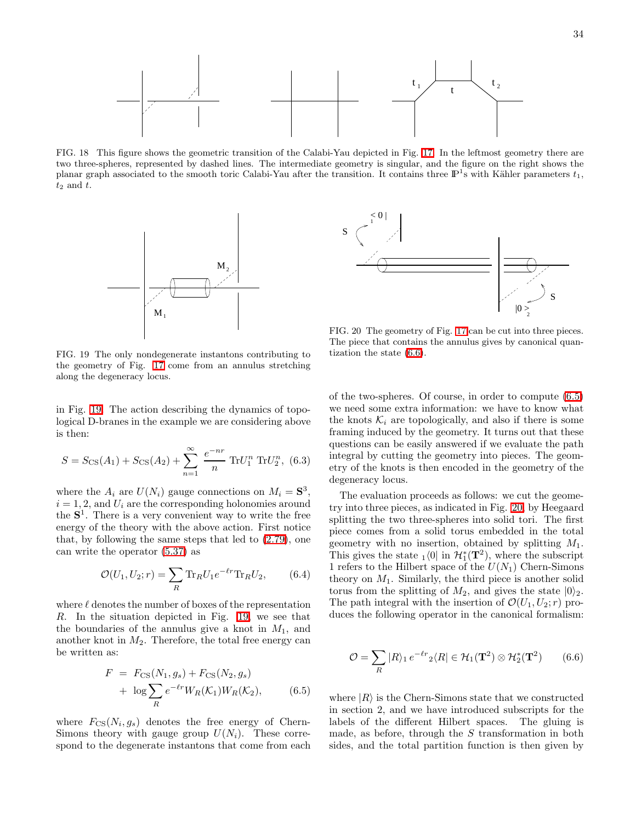

<span id="page-33-0"></span>FIG. 18 This figure shows the geometric transition of the Calabi-Yau depicted in Fig. [17.](#page-31-3) In the leftmost geometry there are two three-spheres, represented by dashed lines. The intermediate geometry is singular, and the figure on the right shows the planar graph associated to the smooth toric Calabi-Yau after the transition. It contains three  $\mathbb{P}^1$ s with Kähler parameters  $t_1$ ,  $t_2$  and  $t$ .



<span id="page-33-1"></span>FIG. 19 The only nondegenerate instantons contributing to the geometry of Fig. [17](#page-31-3) come from an annulus stretching along the degeneracy locus.

in Fig. [19.](#page-33-1) The action describing the dynamics of topological D-branes in the example we are considering above is then:

$$
S = S_{\text{CS}}(A_1) + S_{\text{CS}}(A_2) + \sum_{n=1}^{\infty} \frac{e^{-nr}}{n} \text{Tr} U_1^n \text{Tr} U_2^n, (6.3)
$$

where the  $A_i$  are  $U(N_i)$  gauge connections on  $M_i = \mathbf{S}^3$ ,  $i = 1, 2$ , and  $U_i$  are the corresponding holonomies around the  $S<sup>1</sup>$ . There is a very convenient way to write the free energy of the theory with the above action. First notice that, by following the same steps that led to [\(2.79\)](#page-10-6), one can write the operator [\(5.37\)](#page-30-1) as

$$
\mathcal{O}(U_1, U_2; r) = \sum_R \text{Tr}_R U_1 e^{-\ell r} \text{Tr}_R U_2, \qquad (6.4)
$$

where  $\ell$  denotes the number of boxes of the representation R. In the situation depicted in Fig. [19,](#page-33-1) we see that the boundaries of the annulus give a knot in  $M_1$ , and another knot in  $M_2$ . Therefore, the total free energy can be written as:

$$
F = F_{\text{CS}}(N_1, g_s) + F_{\text{CS}}(N_2, g_s)
$$
  
+  $\log \sum_{R} e^{-\ell r} W_R(\mathcal{K}_1) W_R(\mathcal{K}_2),$  (6.5)

<span id="page-33-3"></span>where  $F_{\text{CS}}(N_i, g_s)$  denotes the free energy of Chern-Simons theory with gauge group  $U(N_i)$ . These correspond to the degenerate instantons that come from each



<span id="page-33-4"></span>FIG. 20 The geometry of Fig. [17](#page-31-3) can be cut into three pieces. The piece that contains the annulus gives by canonical quantization the state [\(6.6\)](#page-33-2).

of the two-spheres. Of course, in order to compute [\(6.5\)](#page-33-3) we need some extra information: we have to know what the knots  $\mathcal{K}_i$  are topologically, and also if there is some framing induced by the geometry. It turns out that these questions can be easily answered if we evaluate the path integral by cutting the geometry into pieces. The geometry of the knots is then encoded in the geometry of the degeneracy locus.

The evaluation proceeds as follows: we cut the geometry into three pieces, as indicated in Fig. [20,](#page-33-4) by Heegaard splitting the two three-spheres into solid tori. The first piece comes from a solid torus embedded in the total geometry with no insertion, obtained by splitting  $M_1$ . This gives the state  $_1\langle 0|$  in  $\mathcal{H}_1^*(\mathbf{T}^2)$ , where the subscript 1 refers to the Hilbert space of the  $U(N_1)$  Chern-Simons theory on  $M_1$ . Similarly, the third piece is another solid torus from the splitting of  $M_2$ , and gives the state  $|0\rangle_2$ . The path integral with the insertion of  $\mathcal{O}(U_1, U_2; r)$  produces the following operator in the canonical formalism:

<span id="page-33-2"></span>
$$
\mathcal{O} = \sum_{R} |R\rangle_1 e^{-\ell r} \, _2\langle R| \in \mathcal{H}_1(\mathbf{T}^2) \otimes \mathcal{H}_2^*(\mathbf{T}^2) \qquad (6.6)
$$

where  $|R\rangle$  is the Chern-Simons state that we constructed in section 2, and we have introduced subscripts for the labels of the different Hilbert spaces. The gluing is made, as before, through the S transformation in both sides, and the total partition function is then given by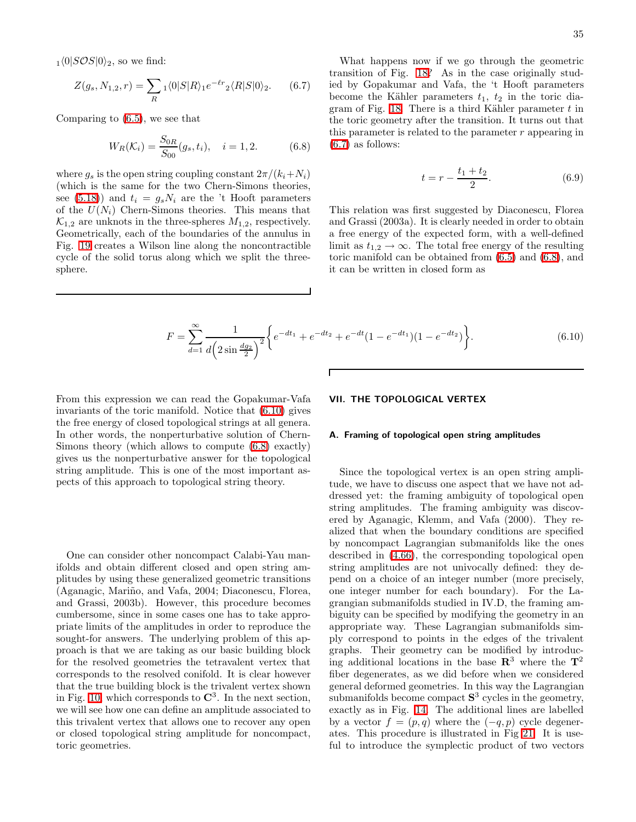$_1\langle 0|S\mathcal{O}S|0\rangle_2$ , so we find:

<span id="page-34-2"></span>
$$
Z(g_s, N_{1,2}, r) = \sum_{R} \binom{1}{0} |S|R|_1 e^{-\ell r} \binom{2}{R} |S|_2.
$$
 (6.7)

Comparing to [\(6.5\)](#page-33-3), we see that

<span id="page-34-3"></span>
$$
W_R(\mathcal{K}_i) = \frac{S_{0R}}{S_{00}}(g_s, t_i), \quad i = 1, 2. \tag{6.8}
$$

where  $g_s$  is the open string coupling constant  $2\pi/(k_i+N_i)$ (which is the same for the two Chern-Simons theories, see [\(5.18\)](#page-27-4)) and  $t_i = g_s N_i$  are the 't Hooft parameters of the  $U(N_i)$  Chern-Simons theories. This means that  $\mathcal{K}_{1,2}$  are unknots in the three-spheres  $M_{1,2}$ , respectively. Geometrically, each of the boundaries of the annulus in Fig. [19](#page-33-1) creates a Wilson line along the noncontractible cycle of the solid torus along which we split the threesphere.

<span id="page-34-5"></span>What happens now if we go through the geometric transition of Fig. [18?](#page-33-0) As in the case originally studied by Gopakumar and Vafa, the 't Hooft parameters become the Kähler parameters  $t_1$ ,  $t_2$  in the toric dia-gram of Fig. [18.](#page-33-0) There is a third Kähler parameter  $t$  in the toric geometry after the transition. It turns out that this parameter is related to the parameter  $r$  appearing in [\(6.7\)](#page-34-2) as follows:

$$
t = r - \frac{t_1 + t_2}{2}.\tag{6.9}
$$

This relation was first suggested by Diaconescu, Florea and Grassi (2003a). It is clearly needed in order to obtain a free energy of the expected form, with a well-defined limit as  $t_{1,2} \to \infty$ . The total free energy of the resulting toric manifold can be obtained from [\(6.5\)](#page-33-3) and [\(6.8\)](#page-34-3), and it can be written in closed form as

$$
F = \sum_{d=1}^{\infty} \frac{1}{d \left( 2 \sin \frac{dg_2}{2} \right)^2} \left\{ e^{-dt_1} + e^{-dt_2} + e^{-dt} (1 - e^{-dt_1}) (1 - e^{-dt_2}) \right\}.
$$
 (6.10)

<span id="page-34-4"></span>From this expression we can read the Gopakumar-Vafa invariants of the toric manifold. Notice that [\(6.10\)](#page-34-4) gives the free energy of closed topological strings at all genera. In other words, the nonperturbative solution of Chern-Simons theory (which allows to compute [\(6.8\)](#page-34-3) exactly) gives us the nonperturbative answer for the topological string amplitude. This is one of the most important aspects of this approach to topological string theory.

One can consider other noncompact Calabi-Yau manifolds and obtain different closed and open string amplitudes by using these generalized geometric transitions (Aganagic, Mariño, and Vafa, 2004; Diaconescu, Florea, and Grassi, 2003b). However, this procedure becomes cumbersome, since in some cases one has to take appropriate limits of the amplitudes in order to reproduce the sought-for answers. The underlying problem of this approach is that we are taking as our basic building block for the resolved geometries the tetravalent vertex that corresponds to the resolved conifold. It is clear however that the true building block is the trivalent vertex shown in Fig. [10,](#page-20-3) which corresponds to  $\mathbb{C}^3$ . In the next section, we will see how one can define an amplitude associated to this trivalent vertex that allows one to recover any open or closed topological string amplitude for noncompact, toric geometries.

## <span id="page-34-0"></span>VII. THE TOPOLOGICAL VERTEX

#### <span id="page-34-1"></span>A. Framing of topological open string amplitudes

Since the topological vertex is an open string amplitude, we have to discuss one aspect that we have not addressed yet: the framing ambiguity of topological open string amplitudes. The framing ambiguity was discovered by Aganagic, Klemm, and Vafa (2000). They realized that when the boundary conditions are specified by noncompact Lagrangian submanifolds like the ones described in [\(4.66\)](#page-23-4), the corresponding topological open string amplitudes are not univocally defined: they depend on a choice of an integer number (more precisely, one integer number for each boundary). For the Lagrangian submanifolds studied in IV.D, the framing ambiguity can be specified by modifying the geometry in an appropriate way. These Lagrangian submanifolds simply correspond to points in the edges of the trivalent graphs. Their geometry can be modified by introducing additional locations in the base  $\mathbb{R}^3$  where the  $\mathbb{T}^2$ fiber degenerates, as we did before when we considered general deformed geometries. In this way the Lagrangian submanifolds become compact  $S^3$  cycles in the geometry, exactly as in Fig. [14.](#page-28-1) The additional lines are labelled by a vector  $f = (p,q)$  where the  $(-q, p)$  cycle degenerates. This procedure is illustrated in Fig [21.](#page-35-1) It is useful to introduce the symplectic product of two vectors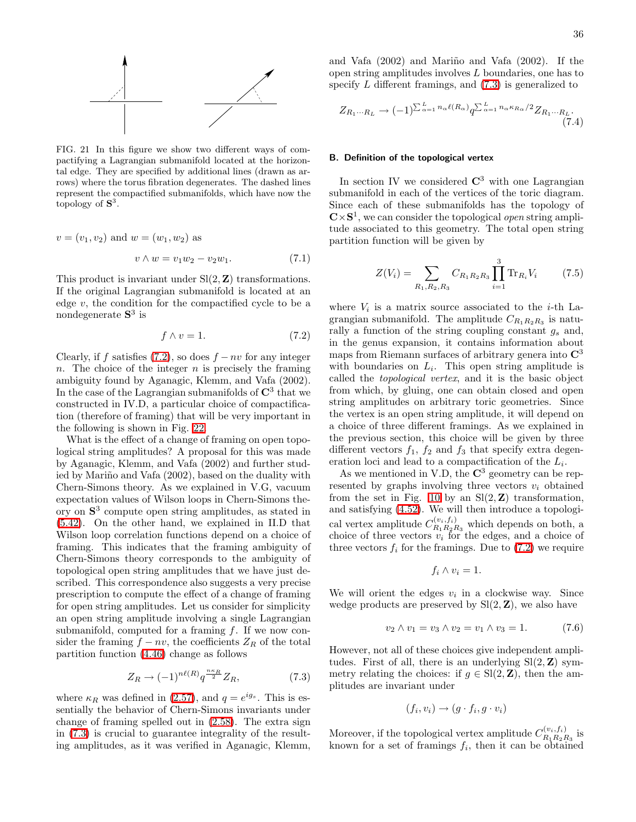

<span id="page-35-1"></span>FIG. 21 In this figure we show two different ways of compactifying a Lagrangian submanifold located at the horizontal edge. They are specified by additional lines (drawn as arrows) where the torus fibration degenerates. The dashed lines represent the compactified submanifolds, which have now the topology of  $S^3$ .

$$
v = (v_1, v_2)
$$
 and  $w = (w_1, w_2)$  as  
\n $v \wedge w = v_1 w_2 - v_2 w_1.$  (7.1)

<span id="page-35-2"></span>This product is invariant under  $SI(2, Z)$  transformations. If the original Lagrangian submanifold is located at an edge  $v$ , the condition for the compactified cycle to be a nondegenerate  $S^3$  is

$$
f \wedge v = 1. \tag{7.2}
$$

Clearly, if f satisfies [\(7.2\)](#page-35-2), so does  $f - nv$  for any integer n. The choice of the integer  $n$  is precisely the framing ambiguity found by Aganagic, Klemm, and Vafa (2002). In the case of the Lagrangian submanifolds of  $\mathbb{C}^3$  that we constructed in IV.D, a particular choice of compactification (therefore of framing) that will be very important in the following is shown in Fig. [22.](#page-36-1)

What is the effect of a change of framing on open topological string amplitudes? A proposal for this was made by Aganagic, Klemm, and Vafa (2002) and further studied by Mariño and Vafa (2002), based on the duality with Chern-Simons theory. As we explained in V.G, vacuum expectation values of Wilson loops in Chern-Simons theory on S 3 compute open string amplitudes, as stated in [\(5.42\)](#page-31-4). On the other hand, we explained in II.D that Wilson loop correlation functions depend on a choice of framing. This indicates that the framing ambiguity of Chern-Simons theory corresponds to the ambiguity of topological open string amplitudes that we have just described. This correspondence also suggests a very precise prescription to compute the effect of a change of framing for open string amplitudes. Let us consider for simplicity an open string amplitude involving a single Lagrangian submanifold, computed for a framing  $f$ . If we now consider the framing  $f - nv$ , the coefficients  $Z_R$  of the total partition function [\(4.46\)](#page-19-3) change as follows

<span id="page-35-3"></span>
$$
Z_R \to (-1)^{n\ell(R)} q^{\frac{n\kappa_R}{2}} Z_R, \tag{7.3}
$$

where  $\kappa_R$  was defined in [\(2.57\)](#page-8-3), and  $q = e^{ig_s}$ . This is essentially the behavior of Chern-Simons invariants under change of framing spelled out in [\(2.58\)](#page-8-4). The extra sign in [\(7.3\)](#page-35-3) is crucial to guarantee integrality of the resulting amplitudes, as it was verified in Aganagic, Klemm,

and Vafa  $(2002)$  and Mariño and Vafa  $(2002)$ . If the open string amplitudes involves L boundaries, one has to specify L different framings, and [\(7.3\)](#page-35-3) is generalized to

<span id="page-35-4"></span>
$$
Z_{R_1\cdots R_L} \to (-1)^{\sum_{\alpha=1}^L n_\alpha \ell(R_\alpha)} q^{\sum_{\alpha=1}^L n_\alpha \kappa_{R_\alpha}/2} Z_{R_1\cdots R_L}.
$$
\n(7.4)

#### <span id="page-35-0"></span>B. Definition of the topological vertex

In section IV we considered  $\mathbb{C}^3$  with one Lagrangian submanifold in each of the vertices of the toric diagram. Since each of these submanifolds has the topology of  $\mathbb{C}\times\mathbb{S}^1$ , we can consider the topological *open* string amplitude associated to this geometry. The total open string partition function will be given by

<span id="page-35-5"></span>
$$
Z(V_i) = \sum_{R_1, R_2, R_3} C_{R_1 R_2 R_3} \prod_{i=1}^3 \text{Tr}_{R_i} V_i \qquad (7.5)
$$

where  $V_i$  is a matrix source associated to the *i*-th Lagrangian submanifold. The amplitude  $C_{R_1R_2R_3}$  is naturally a function of the string coupling constant  $g_s$  and, in the genus expansion, it contains information about maps from Riemann surfaces of arbitrary genera into  $\mathbb{C}^3$ with boundaries on  $L_i$ . This open string amplitude is called the topological vertex, and it is the basic object from which, by gluing, one can obtain closed and open string amplitudes on arbitrary toric geometries. Since the vertex is an open string amplitude, it will depend on a choice of three different framings. As we explained in the previous section, this choice will be given by three different vectors  $f_1$ ,  $f_2$  and  $f_3$  that specify extra degeneration loci and lead to a compactification of the  $L_i$ .

As we mentioned in V.D, the  $\mathbb{C}^3$  geometry can be represented by graphs involving three vectors  $v_i$  obtained from the set in Fig. [10](#page-20-3) by an  $\text{Sl}(2, \mathbf{Z})$  transformation, and satisfying [\(4.52\)](#page-20-4). We will then introduce a topological vertex amplitude  $C_{R_1R_2}^{(v_i,f_i)}$  $R_1R_2R_3$  which depends on both, a choice of three vectors  $v_i$  for the edges, and a choice of three vectors  $f_i$  for the framings. Due to  $(7.2)$  we require

$$
f_i \wedge v_i = 1.
$$

We will orient the edges  $v_i$  in a clockwise way. Since wedge products are preserved by  $Sl(2, Z)$ , we also have

$$
v_2 \wedge v_1 = v_3 \wedge v_2 = v_1 \wedge v_3 = 1. \tag{7.6}
$$

However, not all of these choices give independent amplitudes. First of all, there is an underlying  $Sl(2, Z)$  symmetry relating the choices: if  $g \in Sl(2, \mathbb{Z})$ , then the amplitudes are invariant under

$$
(f_i, v_i) \rightarrow (g \cdot f_i, g \cdot v_i)
$$

Moreover, if the topological vertex amplitude  $C_{R_1R_2}^{(v_i,f_i)}$  $R_1R_2R_3$  is known for a set of framings  $f_i$ , then it can be obtained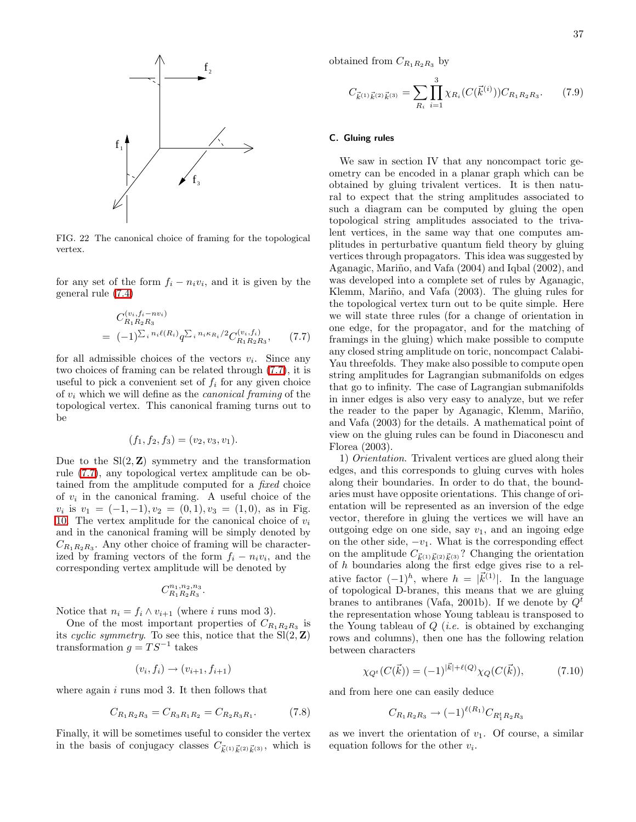

<span id="page-36-1"></span>FIG. 22 The canonical choice of framing for the topological vertex.

<span id="page-36-2"></span>for any set of the form  $f_i - n_i v_i$ , and it is given by the general rule [\(7.4\)](#page-35-4)

$$
C_{R_1 R_2 R_3}^{(v_i, f_i - n v_i)}
$$
  
=  $(-1)^{\sum_i n_i \ell(R_i)} q^{\sum_i n_i \kappa_{R_i}/2} C_{R_1 R_2 R_3}^{(v_i, f_i)},$  (7.7)

for all admissible choices of the vectors  $v_i$ . Since any two choices of framing can be related through [\(7.7\)](#page-36-2), it is useful to pick a convenient set of  $f_i$  for any given choice of  $v_i$  which we will define as the *canonical framing* of the topological vertex. This canonical framing turns out to be

$$
(f_1, f_2, f_3) = (v_2, v_3, v_1).
$$

Due to the  $Sl(2, Z)$  symmetry and the transformation rule [\(7.7\)](#page-36-2), any topological vertex amplitude can be obtained from the amplitude computed for a fixed choice of  $v_i$  in the canonical framing. A useful choice of the  $v_i$  is  $v_1 = (-1, -1), v_2 = (0, 1), v_3 = (1, 0),$  as in Fig. [10.](#page-20-3) The vertex amplitude for the canonical choice of  $v_i$ and in the canonical framing will be simply denoted by  $C_{R_1R_2R_3}$ . Any other choice of framing will be characterized by framing vectors of the form  $f_i - n_i v_i$ , and the corresponding vertex amplitude will be denoted by

$$
C^{n_1,n_2,n_3}_{R_1R_2R_3}.
$$

Notice that  $n_i = f_i \wedge v_{i+1}$  (where i runs mod 3).

One of the most important properties of  $C_{R_1R_2R_3}$  is its cyclic symmetry. To see this, notice that the  $\text{Sl}(2, \mathbf{Z})$ transformation  $g = TS^{-1}$  takes

$$
(v_i, f_i) \rightarrow (v_{i+1}, f_{i+1})
$$

where again  $i$  runs mod 3. It then follows that

$$
C_{R_1R_2R_3} = C_{R_3R_1R_2} = C_{R_2R_3R_1}.
$$
 (7.8)

Finally, it will be sometimes useful to consider the vertex in the basis of conjugacy classes  $C_{\vec{k}^{(1)}\vec{k}^{(2)}\vec{k}^{(3)}}$ , which is obtained from  $C_{R_1R_2R_3}$  by

$$
C_{\vec{k}^{(1)}\vec{k}^{(2)}\vec{k}^{(3)}} = \sum_{R_i} \prod_{i=1}^{3} \chi_{R_i}(C(\vec{k}^{(i)})) C_{R_1 R_2 R_3}.
$$
 (7.9)

## <span id="page-36-0"></span>C. Gluing rules

We saw in section IV that any noncompact toric geometry can be encoded in a planar graph which can be obtained by gluing trivalent vertices. It is then natural to expect that the string amplitudes associated to such a diagram can be computed by gluing the open topological string amplitudes associated to the trivalent vertices, in the same way that one computes amplitudes in perturbative quantum field theory by gluing vertices through propagators. This idea was suggested by Aganagic, Mariño, and Vafa (2004) and Iqbal (2002), and was developed into a complete set of rules by Aganagic, Klemm, Mariño, and Vafa (2003). The gluing rules for the topological vertex turn out to be quite simple. Here we will state three rules (for a change of orientation in one edge, for the propagator, and for the matching of framings in the gluing) which make possible to compute any closed string amplitude on toric, noncompact Calabi-Yau threefolds. They make also possible to compute open string amplitudes for Lagrangian submanifolds on edges that go to infinity. The case of Lagrangian submanifolds in inner edges is also very easy to analyze, but we refer the reader to the paper by Aganagic, Klemm, Mariño, and Vafa (2003) for the details. A mathematical point of view on the gluing rules can be found in Diaconescu and Florea (2003).

1) Orientation. Trivalent vertices are glued along their edges, and this corresponds to gluing curves with holes along their boundaries. In order to do that, the boundaries must have opposite orientations. This change of orientation will be represented as an inversion of the edge vector, therefore in gluing the vertices we will have an outgoing edge on one side, say  $v_1$ , and an ingoing edge on the other side,  $-v_1$ . What is the corresponding effect on the amplitude  $C_{\vec{k}^{(1)}\vec{k}^{(2)}\vec{k}^{(3)}}$ ? Changing the orientation of  $h$  boundaries along the first edge gives rise to a relative factor  $(-1)^h$ , where  $h = |\vec{k}^{(1)}|$ . In the language of topological D-branes, this means that we are gluing branes to antibranes (Vafa, 2001b). If we denote by  $Q^t$ the representation whose Young tableau is transposed to the Young tableau of  $Q$  (*i.e.* is obtained by exchanging rows and columns), then one has the following relation between characters

$$
\chi_{Q^t}(C(\vec{k})) = (-1)^{|\vec{k}| + \ell(Q)} \chi_Q(C(\vec{k})),\tag{7.10}
$$

and from here one can easily deduce

$$
C_{R_1R_2R_3} \to (-1)^{\ell(R_1)} C_{R_1^tR_2R_3}
$$

as we invert the orientation of  $v_1$ . Of course, a similar equation follows for the other  $v_i$ .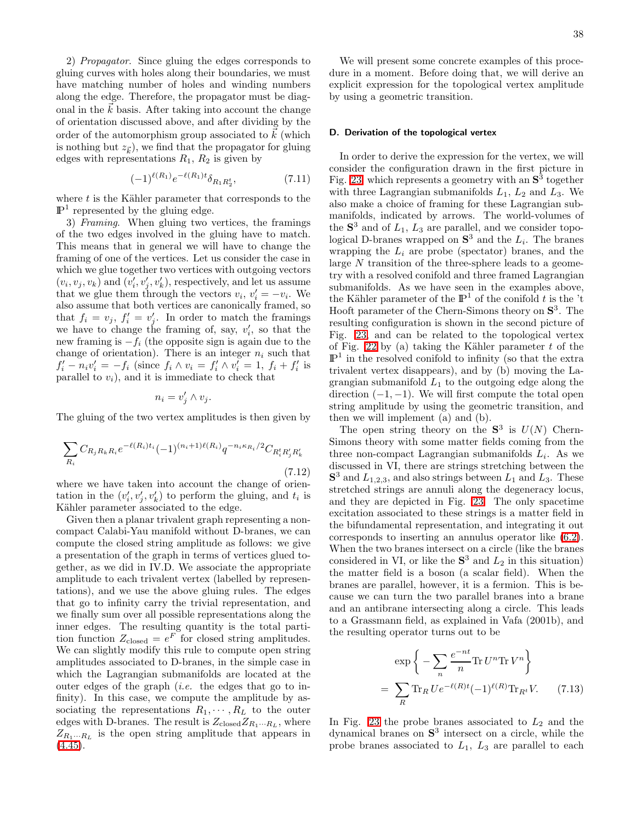2) Propagator. Since gluing the edges corresponds to gluing curves with holes along their boundaries, we must have matching number of holes and winding numbers along the edge. Therefore, the propagator must be diagonal in the  $\vec{k}$  basis. After taking into account the change of orientation discussed above, and after dividing by the order of the automorphism group associated to  $k$  (which is nothing but  $z_{\vec{k}}$ ), we find that the propagator for gluing edges with representations  $R_1, R_2$  is given by

$$
(-1)^{\ell(R_1)}e^{-\ell(R_1)t}\delta_{R_1R_2^t},\tag{7.11}
$$

where  $t$  is the Kähler parameter that corresponds to the  $\mathbb{P}^1$  represented by the gluing edge.

3) Framing. When gluing two vertices, the framings of the two edges involved in the gluing have to match. This means that in general we will have to change the framing of one of the vertices. Let us consider the case in which we glue together two vertices with outgoing vectors  $(v_i, v_j, v_k)$  and  $(v'_i, v'_j, v'_k)$ , respectively, and let us assume that we glue them through the vectors  $v_i, v'_i = -v_i$ . We also assume that both vertices are canonically framed, so that  $f_i = v_j$ ,  $f'_i = v'_j$ . In order to match the framings we have to change the framing of, say,  $v_i'$ , so that the new framing is  $-f_i$  (the opposite sign is again due to the change of orientation). There is an integer  $n_i$  such that  $f'_{i} - n_{i}v'_{i} = -f_{i}$  (since  $f_{i} \wedge v_{i} = f'_{i} \wedge v'_{i} = 1, f_{i} + f'_{i}$  is parallel to  $v_i$ ), and it is immediate to check that

$$
n_i = v'_j \wedge v_j.
$$

The gluing of the two vertex amplitudes is then given by

$$
\sum_{R_i} C_{R_j R_k R_i} e^{-\ell(R_i)t_i} (-1)^{(n_i+1)\ell(R_i)} q^{-n_i \kappa_{R_i}/2} C_{R_i^t R_j' R_k'} \tag{7.12}
$$

where we have taken into account the change of orientation in the  $(v'_i, v'_j, v'_k)$  to perform the gluing, and  $t_i$  is Kähler parameter associated to the edge.

Given then a planar trivalent graph representing a noncompact Calabi-Yau manifold without D-branes, we can compute the closed string amplitude as follows: we give a presentation of the graph in terms of vertices glued together, as we did in IV.D. We associate the appropriate amplitude to each trivalent vertex (labelled by representations), and we use the above gluing rules. The edges that go to infinity carry the trivial representation, and we finally sum over all possible representations along the inner edges. The resulting quantity is the total partition function  $Z_{\text{closed}} = e^F$  for closed string amplitudes. We can slightly modify this rule to compute open string amplitudes associated to D-branes, in the simple case in which the Lagrangian submanifolds are located at the outer edges of the graph (i.e. the edges that go to infinity). In this case, we compute the amplitude by associating the representations  $R_1, \dots, R_L$  to the outer edges with D-branes. The result is  $Z_{\text{closed}}Z_{R_1...R_L}$ , where  $Z_{R_1\cdots R_L}$  is the open string amplitude that appears in  $(4.45).$  $(4.45).$ 

We will present some concrete examples of this procedure in a moment. Before doing that, we will derive an explicit expression for the topological vertex amplitude by using a geometric transition.

#### <span id="page-37-0"></span>D. Derivation of the topological vertex

In order to derive the expression for the vertex, we will consider the configuration drawn in the first picture in Fig. [23,](#page-38-0) which represents a geometry with an  $S^3$  together with three Lagrangian submanifolds  $L_1$ ,  $L_2$  and  $L_3$ . We also make a choice of framing for these Lagrangian submanifolds, indicated by arrows. The world-volumes of the  $S^3$  and of  $L_1$ ,  $L_3$  are parallel, and we consider topological D-branes wrapped on  $S^3$  and the  $L_i$ . The branes wrapping the  $L_i$  are probe (spectator) branes, and the large N transition of the three-sphere leads to a geometry with a resolved conifold and three framed Lagrangian submanifolds. As we have seen in the examples above, the Kähler parameter of the  $\mathbb{P}^1$  of the conifold t is the 't Hooft parameter of the Chern-Simons theory on  $S^3$ . The resulting configuration is shown in the second picture of Fig. [23,](#page-38-0) and can be related to the topological vertex of Fig. [22](#page-36-1) by (a) taking the Kähler parameter  $t$  of the  $\mathbb{P}^{1}$  in the resolved conifold to infinity (so that the extra trivalent vertex disappears), and by (b) moving the Lagrangian submanifold  $L_1$  to the outgoing edge along the direction  $(-1, -1)$ . We will first compute the total open string amplitude by using the geometric transition, and then we will implement (a) and (b).

The open string theory on the  $S^3$  is  $U(N)$  Chern-Simons theory with some matter fields coming from the three non-compact Lagrangian submanifolds  $L_i$ . As we discussed in VI, there are strings stretching between the  $S<sup>3</sup>$  and  $L<sub>1,2,3</sub>$ , and also strings between  $L<sub>1</sub>$  and  $L<sub>3</sub>$ . These stretched strings are annuli along the degeneracy locus, and they are depicted in Fig. [23.](#page-38-0) The only spacetime excitation associated to these strings is a matter field in the bifundamental representation, and integrating it out corresponds to inserting an annulus operator like [\(6.2\)](#page-32-2). When the two branes intersect on a circle (like the branes considered in VI, or like the  $S^3$  and  $L_2$  in this situation) the matter field is a boson (a scalar field). When the branes are parallel, however, it is a fermion. This is because we can turn the two parallel branes into a brane and an antibrane intersecting along a circle. This leads to a Grassmann field, as explained in Vafa (2001b), and the resulting operator turns out to be

$$
\exp\left\{-\sum_{n}\frac{e^{-nt}}{n}\text{Tr} U^{n}\text{Tr} V^{n}\right\}
$$
\n
$$
=\sum_{R}\text{Tr}_{R} U e^{-\ell(R)t}(-1)^{\ell(R)}\text{Tr}_{R} V. \qquad (7.13)
$$

In Fig. [23](#page-38-0) the probe branes associated to  $L_2$  and the dynamical branes on S 3 intersect on a circle, while the probe branes associated to  $L_1$ ,  $L_3$  are parallel to each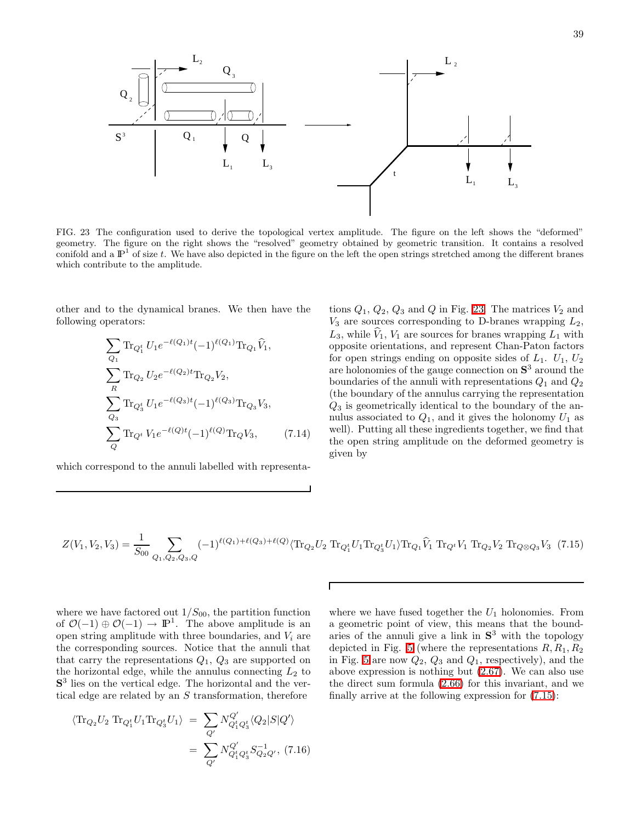

<span id="page-38-0"></span>FIG. 23 The configuration used to derive the topological vertex amplitude. The figure on the left shows the "deformed" geometry. The figure on the right shows the "resolved" geometry obtained by geometric transition. It contains a resolved conifold and a  $\mathbb{P}^1$  of size t. We have also depicted in the figure on the left the open strings stretched among the different branes which contribute to the amplitude.

other and to the dynamical branes. We then have the following operators:

$$
\sum_{Q_1} \text{Tr}_{Q_1^t} U_1 e^{-\ell(Q_1)t} (-1)^{\ell(Q_1)} \text{Tr}_{Q_1} \hat{V}_1,
$$
\n
$$
\sum_{R} \text{Tr}_{Q_2} U_2 e^{-\ell(Q_2)t} \text{Tr}_{Q_2} V_2,
$$
\n
$$
\sum_{Q_3} \text{Tr}_{Q_3^t} U_1 e^{-\ell(Q_3)t} (-1)^{\ell(Q_3)} \text{Tr}_{Q_3} V_3,
$$
\n
$$
\sum_{Q} \text{Tr}_{Q^t} V_1 e^{-\ell(Q)t} (-1)^{\ell(Q)} \text{Tr}_{Q} V_3,
$$
\n(7.14)

<span id="page-38-1"></span>which correspond to the annuli labelled with representa-

tions  $Q_1$ ,  $Q_2$ ,  $Q_3$  and  $Q$  in Fig. [23.](#page-38-0) The matrices  $V_2$  and  $V_3$  are sources corresponding to D-branes wrapping  $L_2$ ,  $L_3$ , while  $V_1$ ,  $V_1$  are sources for branes wrapping  $L_1$  with opposite orientations, and represent Chan-Paton factors for open strings ending on opposite sides of  $L_1$ .  $U_1$ ,  $U_2$ are holonomies of the gauge connection on  $S<sup>3</sup>$  around the boundaries of the annuli with representations  $Q_1$  and  $Q_2$ (the boundary of the annulus carrying the representation  $Q_3$  is geometrically identical to the boundary of the annulus associated to  $Q_1$ , and it gives the holonomy  $U_1$  as well). Putting all these ingredients together, we find that the open string amplitude on the deformed geometry is given by

$$
Z(V_1, V_2, V_3) = \frac{1}{S_{00}} \sum_{Q_1, Q_2, Q_3, Q} (-1)^{\ell(Q_1) + \ell(Q_3) + \ell(Q)} \langle \text{Tr}_{Q_2} U_2 \text{ Tr}_{Q_1^t} U_1 \text{Tr}_{Q_3^t} U_1 \rangle \text{Tr}_{Q_1} \hat{V}_1 \text{ Tr}_{Q^t} V_1 \text{ Tr}_{Q_2} V_2 \text{ Tr}_{Q \otimes Q_3} V_3 \tag{7.15}
$$

where we have factored out  $1/S_{00}$ , the partition function of  $\mathcal{O}(-1) \oplus \mathcal{O}(-1) \rightarrow \mathbb{P}^1$ . The above amplitude is an open string amplitude with three boundaries, and  $V_i$  are the corresponding sources. Notice that the annuli that that carry the representations  $Q_1$ ,  $Q_3$  are supported on the horizontal edge, while the annulus connecting  $L_2$  to S<sup>3</sup> lies on the vertical edge. The horizontal and the vertical edge are related by an S transformation, therefore

$$
\langle \text{Tr}_{Q_2} U_2 \text{ Tr}_{Q_1^t} U_1 \text{Tr}_{Q_3^t} U_1 \rangle = \sum_{Q'} N_{Q_1^t Q_3^t}^{Q'} \langle Q_2 | S | Q' \rangle
$$

$$
= \sum_{Q'} N_{Q_1^t Q_3^t}^{Q'} S_{Q_2 Q'}^{-1}, (7.16)
$$

where we have fused together the  $U_1$  holonomies. From a geometric point of view, this means that the boundaries of the annuli give a link in  $S<sup>3</sup>$  with the topology depicted in Fig. [5](#page-9-2) (where the representations  $R, R_1, R_2$ in Fig. [5](#page-9-2) are now  $Q_2$ ,  $Q_3$  and  $Q_1$ , respectively), and the above expression is nothing but [\(2.67\)](#page-9-4). We can also use the direct sum formula [\(2.66\)](#page-9-3) for this invariant, and we finally arrive at the following expression for [\(7.15\)](#page-38-1):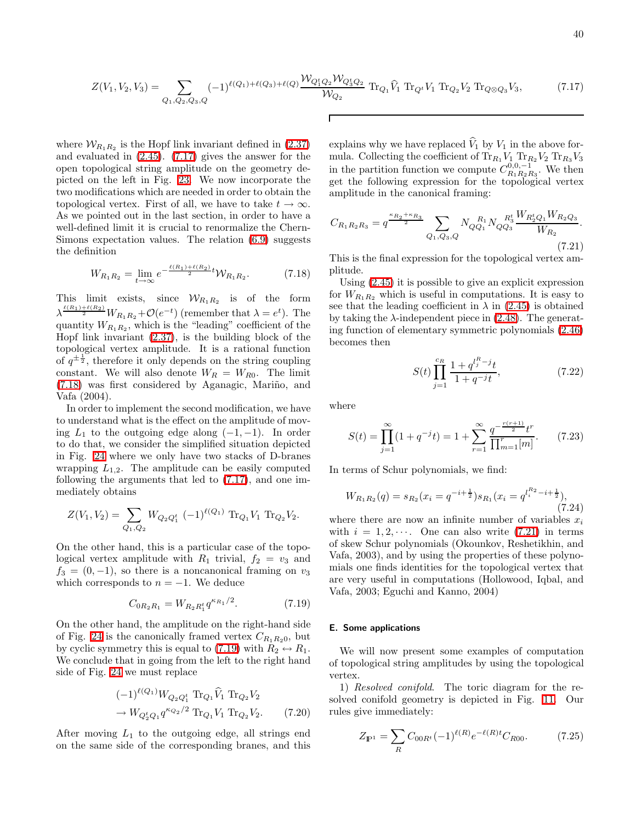<span id="page-39-1"></span>
$$
Z(V_1, V_2, V_3) = \sum_{Q_1, Q_2, Q_3, Q} (-1)^{\ell(Q_1) + \ell(Q_3) + \ell(Q)} \frac{\mathcal{W}_{Q_1^t Q_2} \mathcal{W}_{Q_3^t Q_2}}{\mathcal{W}_{Q_2}} \operatorname{Tr}_{Q_1} \hat{V}_1 \operatorname{Tr}_{Q^t} V_1 \operatorname{Tr}_{Q_2} V_2 \operatorname{Tr}_{Q \otimes Q_3} V_3, \tag{7.17}
$$

where  $W_{R_1R_2}$  is the Hopf link invariant defined in  $(2.37)$ and evaluated in [\(2.45\)](#page-6-3). [\(7.17\)](#page-39-1) gives the answer for the open topological string amplitude on the geometry depicted on the left in Fig. [23.](#page-38-0) We now incorporate the two modifications which are needed in order to obtain the topological vertex. First of all, we have to take  $t \to \infty$ . As we pointed out in the last section, in order to have a well-defined limit it is crucial to renormalize the Chern-Simons expectation values. The relation [\(6.9\)](#page-34-5) suggests the definition

<span id="page-39-2"></span>
$$
W_{R_1 R_2} = \lim_{t \to \infty} e^{-\frac{\ell(R_1) + \ell(R_2)}{2}t} W_{R_1 R_2}.
$$
 (7.18)

This limit exists, since  $W_{R_1R_2}$  is of the form  $\lambda^{\frac{\ell(R_1)+\ell(R_2)}{2}} W_{R_1R_2} + \mathcal{O}(e^{-t})$  (remember that  $\lambda = e^t$ ). The quantity  $W_{R_1R_2}$ , which is the "leading" coefficient of the Hopf link invariant [\(2.37\)](#page-6-2), is the building block of the topological vertex amplitude. It is a rational function of  $q^{\pm \frac{1}{2}}$ , therefore it only depends on the string coupling constant. We will also denote  $W_R = W_{R0}$ . The limit [\(7.18\)](#page-39-2) was first considered by Aganagic, Mariño, and Vafa (2004).

In order to implement the second modification, we have to understand what is the effect on the amplitude of moving  $L_1$  to the outgoing edge along  $(-1, -1)$ . In order to do that, we consider the simplified situation depicted in Fig. [24](#page-40-0) where we only have two stacks of D-branes wrapping  $L_{1,2}$ . The amplitude can be easily computed following the arguments that led to [\(7.17\)](#page-39-1), and one immediately obtains

$$
Z(V_1, V_2) = \sum_{Q_1, Q_2} W_{Q_2 Q_1^t} (-1)^{\ell(Q_1)} \operatorname{Tr}_{Q_1} V_1 \operatorname{Tr}_{Q_2} V_2.
$$

On the other hand, this is a particular case of the topological vertex amplitude with  $R_1$  trivial,  $f_2 = v_3$  and  $f_3 = (0, -1)$ , so there is a noncanonical framing on  $v_3$ which corresponds to  $n = -1$ . We deduce

<span id="page-39-3"></span>
$$
C_{0R_2R_1} = W_{R_2R_1^t}q^{\kappa_{R_1}/2}.\tag{7.19}
$$

On the other hand, the amplitude on the right-hand side of Fig. [24](#page-40-0) is the canonically framed vertex  $C_{R_1R_20}$ , but by cyclic symmetry this is equal to [\(7.19\)](#page-39-3) with  $R_2 \leftrightarrow R_1$ . We conclude that in going from the left to the right hand side of Fig. [24](#page-40-0) we must replace

$$
(-1)^{\ell(Q_1)} W_{Q_2 Q_1^t} \operatorname{Tr}_{Q_1} \widehat{V}_1 \operatorname{Tr}_{Q_2} V_2
$$
  
\n
$$
\rightarrow W_{Q_2^t Q_1} q^{\kappa_{Q_2}/2} \operatorname{Tr}_{Q_1} V_1 \operatorname{Tr}_{Q_2} V_2.
$$
 (7.20)

After moving  $L_1$  to the outgoing edge, all strings end on the same side of the corresponding branes, and this explains why we have replaced  $V_1$  by  $V_1$  in the above formula. Collecting the coefficient of  $\text{Tr}_{R_1} V_1$   $\text{Tr}_{R_2} V_2$   $\text{Tr}_{R_3} V_3$ in the partition function we compute  $C_{R_1R_2R_3}^{0,0,-1}$ . We then get the following expression for the topological vertex amplitude in the canonical framing:

<span id="page-39-4"></span>
$$
C_{R_1R_2R_3} = q^{\frac{\kappa_{R_2} + \kappa_{R_3}}{2}} \sum_{Q_1, Q_3, Q} N_{QQ_1}^{R_1} N_{QQ_3}^{R_3^t} \frac{W_{R_2^tQ_1} W_{R_2Q_3}}{W_{R_2}}.
$$
\n(7.21)

This is the final expression for the topological vertex amplitude.

Using [\(2.45\)](#page-6-3) it is possible to give an explicit expression for  $W_{R_1R_2}$  which is useful in computations. It is easy to see that the leading coefficient in  $\lambda$  in [\(2.45\)](#page-6-3) is obtained by taking the  $\lambda$ -independent piece in [\(2.48\)](#page-7-1). The generating function of elementary symmetric polynomials [\(2.46\)](#page-7-2) becomes then

$$
S(t) \prod_{j=1}^{c_R} \frac{1 + q^{l_j^R - j} t}{1 + q^{-j} t},
$$
\n(7.22)

where

$$
S(t) = \prod_{j=1}^{\infty} (1 + q^{-j}t) = 1 + \sum_{r=1}^{\infty} \frac{q^{-\frac{r(r+1)}{2}} t^r}{\prod_{m=1}^r [m]}.
$$
 (7.23)

In terms of Schur polynomials, we find:

$$
W_{R_1R_2}(q) = s_{R_2}(x_i = q^{-i + \frac{1}{2}})s_{R_1}(x_i = q^{l_i^{R_2} - i + \frac{1}{2}}),
$$
\n(7.24)

where there are now an infinite number of variables  $x_i$ with  $i = 1, 2, \dots$ . One can also write [\(7.21\)](#page-39-4) in terms of skew Schur polynomials (Okounkov, Reshetikhin, and Vafa, 2003), and by using the properties of these polynomials one finds identities for the topological vertex that are very useful in computations (Hollowood, Iqbal, and Vafa, 2003; Eguchi and Kanno, 2004)

## <span id="page-39-0"></span>E. Some applications

We will now present some examples of computation of topological string amplitudes by using the topological vertex.

1) Resolved conifold. The toric diagram for the resolved conifold geometry is depicted in Fig. [11.](#page-21-6) Our rules give immediately:

$$
Z_{\mathbb{P}^1} = \sum_{R} C_{00R^t} (-1)^{\ell(R)} e^{-\ell(R)t} C_{R00}.
$$
 (7.25)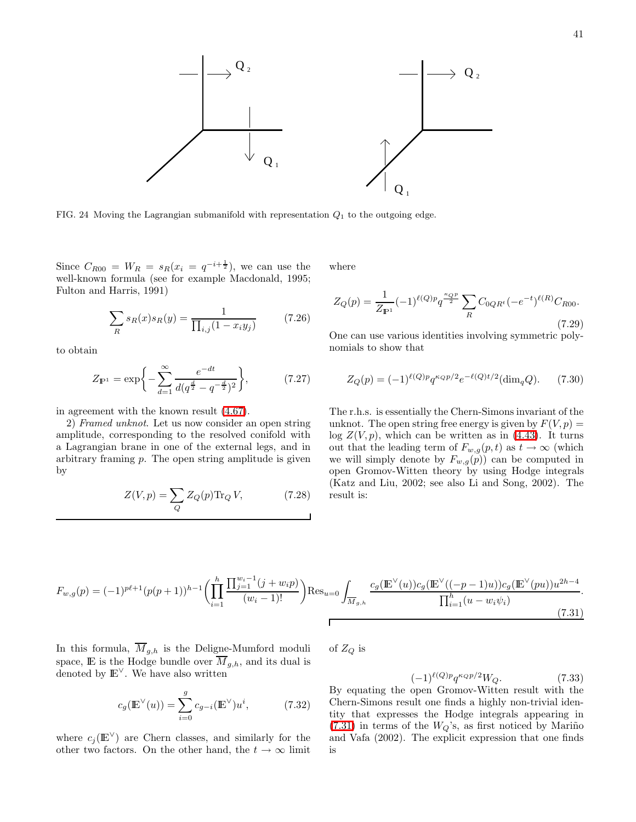

<span id="page-40-0"></span>FIG. 24 Moving the Lagrangian submanifold with representation  $Q_1$  to the outgoing edge.

Since  $C_{R00} = W_R = s_R(x_i = q^{-i + \frac{1}{2}})$ , we can use the well-known formula (see for example Macdonald, 1995; Fulton and Harris, 1991)

$$
\sum_{R} s_{R}(x)s_{R}(y) = \frac{1}{\prod_{i,j}(1 - x_{i}y_{j})}
$$
(7.26)

to obtain

$$
Z_{\mathbb{P}^1} = \exp\bigg\{-\sum_{d=1}^{\infty} \frac{e^{-dt}}{d(q^{\frac{d}{2}} - q^{-\frac{d}{2}})^2}\bigg\},\tag{7.27}
$$

in agreement with the known result [\(4.67\)](#page-23-5).

2) Framed unknot. Let us now consider an open string amplitude, corresponding to the resolved conifold with a Lagrangian brane in one of the external legs, and in arbitrary framing  $p$ . The open string amplitude is given by

$$
Z(V, p) = \sum_{Q} Z_{Q}(p) \text{Tr}_{Q} V, \qquad (7.28)
$$

where

$$
Z_Q(p) = \frac{1}{Z_{\mathbb{P}^1}} (-1)^{\ell(Q)p} q^{\frac{\kappa_{Q}p}{2}} \sum_R C_{0QR^t} (-e^{-t})^{\ell(R)} C_{R00}.
$$
\n(7.29)

One can use various identities involving symmetric polynomials to show that

$$
Z_Q(p) = (-1)^{\ell(Q)p} q^{\kappa_Q p/2} e^{-\ell(Q)t/2} (\dim_q Q). \tag{7.30}
$$

The r.h.s. is essentially the Chern-Simons invariant of the unknot. The open string free energy is given by  $F(V, p) =$  $\log Z(V, p)$ , which can be written as in [\(4.43\)](#page-19-1). It turns out that the leading term of  $F_{w,q}(p,t)$  as  $t \to \infty$  (which we will simply denote by  $F_{w,g}(p)$  can be computed in open Gromov-Witten theory by using Hodge integrals (Katz and Liu, 2002; see also Li and Song, 2002). The result is:

<span id="page-40-1"></span>
$$
F_{w,g}(p) = (-1)^{p\ell+1} (p(p+1))^{h-1} \left( \prod_{i=1}^h \frac{\prod_{j=1}^{w_i-1} (j+w_i p)}{(w_i-1)!} \right) \text{Res}_{u=0} \int_{\overline{M}_{g,h}} \frac{c_g(\mathbb{E}^{\vee}(u)) c_g(\mathbb{E}^{\vee}((-p-1)u)) c_g(\mathbb{E}^{\vee}(pu)) u^{2h-4}}{\prod_{i=1}^h (u-w_i \psi_i)}.
$$
\n(7.31)

In this formula,  $\overline{M}_{g,h}$  is the Deligne-Mumford moduli space, E is the Hodge bundle over  $\overline{M}_{g,h}$ , and its dual is denoted by  $I\!E^{\vee}$ . We have also written

$$
c_g(\mathbb{E}^{\vee}(u)) = \sum_{i=0}^{g} c_{g-i}(\mathbb{E}^{\vee})u^i,
$$
 (7.32)

where  $c_j(\mathbb{E}^{\vee})$  are Chern classes, and similarly for the other two factors. On the other hand, the  $t \to \infty$  limit of  $Z_Q$  is

$$
(-1)^{\ell(Q)p} q^{\kappa_Q p/2} W_Q. \tag{7.33}
$$

By equating the open Gromov-Witten result with the Chern-Simons result one finds a highly non-trivial identity that expresses the Hodge integrals appearing in  $(7.31)$  in terms of the  $W_Q$ 's, as first noticed by Mariño and Vafa (2002). The explicit expression that one finds is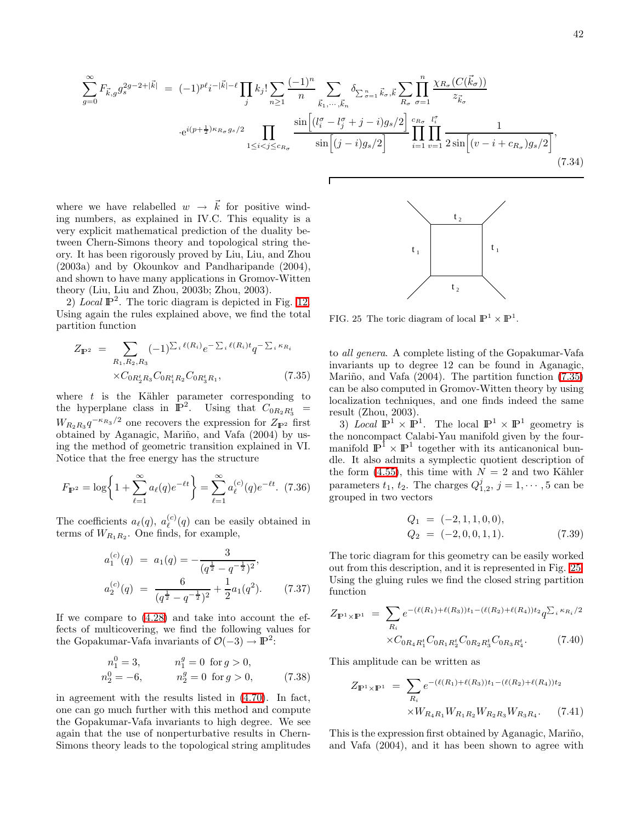$$
\sum_{g=0}^{\infty} F_{\vec{k},g} g_s^{2g-2+|\vec{k}|} = (-1)^{p\ell} i^{-|\vec{k}|-\ell} \prod_j k_j! \sum_{n\geq 1} \frac{(-1)^n}{n} \sum_{\vec{k}_1,\dots,\vec{k}_n} \delta_{\sum_{\sigma=1}^n \vec{k}_{\sigma},\vec{k}} \sum_{R_{\sigma}} \prod_{\sigma=1}^n \frac{\chi_{R_{\sigma}}(C(\vec{k}_{\sigma}))}{z_{\vec{k}_{\sigma}}} \n\cdot e^{i(p+\frac{1}{2})\kappa_{R_{\sigma}}g_s/2} \prod_{1\leq i < j \leq c_{R_{\sigma}}} \frac{\sin\left[(l_i^{\sigma} - l_j^{\sigma} + j - i)g_s/2\right]}{\sin\left[(j-i)g_s/2\right]} \prod_{i=1}^{c_{R_{\sigma}}} \prod_{v=1}^{l_i^{\sigma}} \frac{1}{2\sin\left[(v-i+c_{R_{\sigma}})g_s/2\right]},
$$
\n(7.34)

where we have relabelled  $w \rightarrow \vec{k}$  for positive winding numbers, as explained in IV.C. This equality is a very explicit mathematical prediction of the duality between Chern-Simons theory and topological string theory. It has been rigorously proved by Liu, Liu, and Zhou (2003a) and by Okounkov and Pandharipande (2004), and shown to have many applications in Gromov-Witten theory (Liu, Liu and Zhou, 2003b; Zhou, 2003).

<span id="page-41-0"></span>2) Local  $\mathbb{P}^2$ . The toric diagram is depicted in Fig. [12.](#page-22-3) Using again the rules explained above, we find the total partition function

$$
Z_{\mathbb{P}^2} = \sum_{R_1, R_2, R_3} (-1)^{\sum_i \ell(R_i)} e^{-\sum_i \ell(R_i)t} q^{-\sum_i \kappa_{R_i}} \times C_{0R_2^t R_3} C_{0R_1^t R_2} C_{0R_3^t R_1},
$$
(7.35)

where  $t$  is the Kähler parameter corresponding to the hyperplane class in  $\mathbb{P}^2$ . Using that  $C_{0R_2R_3^t}$  =  $W_{R_2R_3}q^{-\kappa_{R_3}/2}$  one recovers the expression for  $Z_{\mathbb{P}^2}$  first obtained by Aganagic, Mariño, and Vafa (2004) by using the method of geometric transition explained in VI. Notice that the free energy has the structure

$$
F_{\mathbb{P}^2} = \log \left\{ 1 + \sum_{\ell=1}^{\infty} a_{\ell}(q) e^{-\ell t} \right\} = \sum_{\ell=1}^{\infty} a_{\ell}^{(c)}(q) e^{-\ell t}.
$$
 (7.36)

The coefficients  $a_{\ell}(q)$ ,  $a_{\ell}^{(c)}$  $\binom{c}{\ell}(q)$  can be easily obtained in terms of  $W_{R_1R_2}$ . One finds, for example,

$$
a_1^{(c)}(q) = a_1(q) = -\frac{3}{(q^{\frac{1}{2}} - q^{-\frac{1}{2}})^2},
$$
  
\n
$$
a_2^{(c)}(q) = \frac{6}{(q^{\frac{1}{2}} - q^{-\frac{1}{2}})^2} + \frac{1}{2}a_1(q^2).
$$
 (7.37)

If we compare to [\(4.28\)](#page-17-3) and take into account the effects of multicovering, we find the following values for the Gopakumar-Vafa invariants of  $\mathcal{O}(-3) \to \mathbb{P}^2$ :

$$
n_1^0 = 3, \t n_1^g = 0 \t for g > 0,n_2^0 = -6, \t n_2^g = 0 \t for g > 0,
$$
\t(7.38)

in agreement with the results listed in [\(4.70\)](#page-23-6). In fact, one can go much further with this method and compute the Gopakumar-Vafa invariants to high degree. We see again that the use of nonperturbative results in Chern-Simons theory leads to the topological string amplitudes



<span id="page-41-1"></span>FIG. 25 The toric diagram of local  $\mathbb{P}^1 \times \mathbb{P}^1$ .

to all genera. A complete listing of the Gopakumar-Vafa invariants up to degree 12 can be found in Aganagic, Mariño, and Vafa  $(2004)$ . The partition function  $(7.35)$ can be also computed in Gromov-Witten theory by using localization techniques, and one finds indeed the same result (Zhou, 2003).

3) Local  $\mathbb{P}^1 \times \mathbb{P}^1$ . The local  $\mathbb{P}^1 \times \mathbb{P}^1$  geometry is the noncompact Calabi-Yau manifold given by the fourmanifold  $\mathbb{P}^1 \times \mathbb{P}^1$  together with its anticanonical bundle. It also admits a symplectic quotient description of the form [\(4.55\)](#page-21-4), this time with  $N = 2$  and two Kähler parameters  $t_1$ ,  $t_2$ . The charges  $Q_{1,2}^j$ ,  $j = 1, \dots, 5$  can be grouped in two vectors

$$
Q_1 = (-2, 1, 1, 0, 0),
$$
  
\n
$$
Q_2 = (-2, 0, 0, 1, 1).
$$
\n(7.39)

The toric diagram for this geometry can be easily worked out from this description, and it is represented in Fig. [25.](#page-41-1) Using the gluing rules we find the closed string partition function

$$
Z_{\mathbb{P}^1 \times \mathbb{P}^1} = \sum_{R_i} e^{-(\ell(R_1) + \ell(R_3))t_1 - (\ell(R_2) + \ell(R_4))t_2} q^{\sum_i \kappa_{R_i}/2}
$$

$$
\times C_{0R_4 R_1^t} C_{0R_1 R_2^t} C_{0R_2 R_3^t} C_{0R_3 R_4^t}.
$$
(7.40)

<span id="page-41-2"></span>This amplitude can be written as

$$
Z_{\mathbb{P}^1 \times \mathbb{P}^1} = \sum_{R_i} e^{-(\ell(R_1) + \ell(R_3))t_1 - (\ell(R_2) + \ell(R_4))t_2}
$$
  
 
$$
\times W_{R_4 R_1} W_{R_1 R_2} W_{R_2 R_3} W_{R_3 R_4}.
$$
 (7.41)

This is the expression first obtained by Aganagic, Mariño, and Vafa (2004), and it has been shown to agree with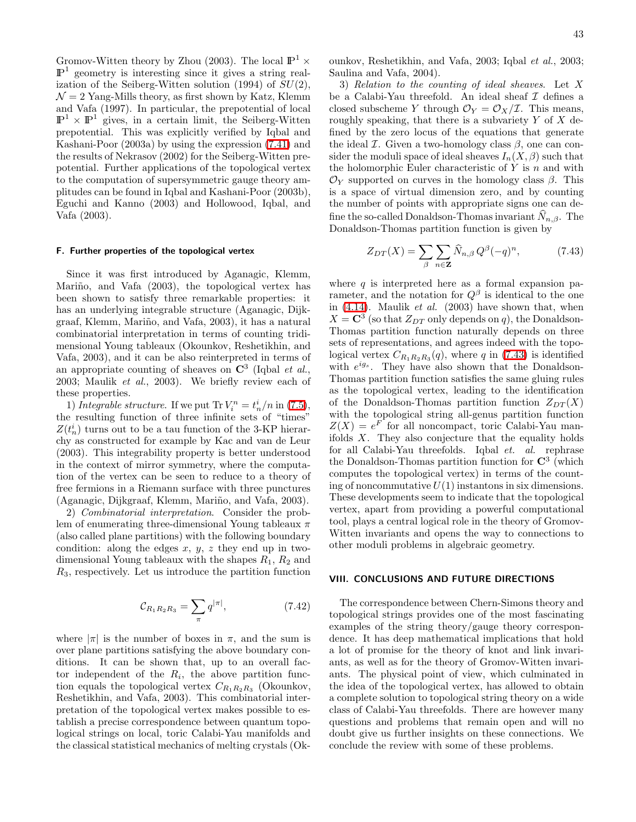Gromov-Witten theory by Zhou (2003). The local  $\mathbb{P}^1$  ×  $\mathbb{P}^{1}$  geometry is interesting since it gives a string realization of the Seiberg-Witten solution (1994) of  $SU(2)$ ,  $\mathcal{N} = 2$  Yang-Mills theory, as first shown by Katz, Klemm and Vafa (1997). In particular, the prepotential of local  $\mathbb{P}^1 \times \mathbb{P}^1$  gives, in a certain limit, the Seiberg-Witten prepotential. This was explicitly verified by Iqbal and Kashani-Poor (2003a) by using the expression [\(7.41\)](#page-41-2) and the results of Nekrasov (2002) for the Seiberg-Witten prepotential. Further applications of the topological vertex to the computation of supersymmetric gauge theory amplitudes can be found in Iqbal and Kashani-Poor (2003b), Eguchi and Kanno (2003) and Hollowood, Iqbal, and Vafa (2003).

#### <span id="page-42-0"></span>F. Further properties of the topological vertex

Since it was first introduced by Aganagic, Klemm, Mariño, and Vafa (2003), the topological vertex has been shown to satisfy three remarkable properties: it has an underlying integrable structure (Aganagic, Dijkgraaf, Klemm, Mariño, and Vafa, 2003), it has a natural combinatorial interpretation in terms of counting tridimensional Young tableaux (Okounkov, Reshetikhin, and Vafa, 2003), and it can be also reinterpreted in terms of an appropriate counting of sheaves on  $\mathbb{C}^3$  (Iqbal et al., 2003; Maulik et al., 2003). We briefly review each of these properties.

1) Integrable structure. If we put  $\text{Tr } V_i^n = t_n^i/n$  in [\(7.5\)](#page-35-5), the resulting function of three infinite sets of "times"  $Z(t_n^i)$  turns out to be a tau function of the 3-KP hierarchy as constructed for example by Kac and van de Leur (2003). This integrability property is better understood in the context of mirror symmetry, where the computation of the vertex can be seen to reduce to a theory of free fermions in a Riemann surface with three punctures (Aganagic, Dijkgraaf, Klemm, Mariño, and Vafa, 2003).

2) Combinatorial interpretation. Consider the problem of enumerating three-dimensional Young tableaux  $\pi$ (also called plane partitions) with the following boundary condition: along the edges  $x, y, z$  they end up in twodimensional Young tableaux with the shapes  $R_1$ ,  $R_2$  and  $R<sub>3</sub>$ , respectively. Let us introduce the partition function

$$
\mathcal{C}_{R_1 R_2 R_3} = \sum_{\pi} q^{|\pi|},\tag{7.42}
$$

where  $|\pi|$  is the number of boxes in  $\pi$ , and the sum is over plane partitions satisfying the above boundary conditions. It can be shown that, up to an overall factor independent of the  $R_i$ , the above partition function equals the topological vertex  $C_{R_1R_2R_3}$  (Okounkov, Reshetikhin, and Vafa, 2003). This combinatorial interpretation of the topological vertex makes possible to establish a precise correspondence between quantum topological strings on local, toric Calabi-Yau manifolds and the classical statistical mechanics of melting crystals (Okounkov, Reshetikhin, and Vafa, 2003; Iqbal et al., 2003; Saulina and Vafa, 2004).

3) Relation to the counting of ideal sheaves. Let X be a Calabi-Yau threefold. An ideal sheaf  $\mathcal I$  defines a closed subscheme Y through  $\mathcal{O}_Y = \mathcal{O}_X/\mathcal{I}$ . This means, roughly speaking, that there is a subvariety  $Y$  of  $X$  defined by the zero locus of the equations that generate the ideal  $\mathcal I$ . Given a two-homology class  $\beta$ , one can consider the moduli space of ideal sheaves  $I_n(X, \beta)$  such that the holomorphic Euler characteristic of  $Y$  is  $n$  and with  $\mathcal{O}_Y$  supported on curves in the homology class  $\beta$ . This is a space of virtual dimension zero, and by counting the number of points with appropriate signs one can define the so-called Donaldson-Thomas invariant  $\hat{N}_{n,\beta}$ . The Donaldson-Thomas partition function is given by

<span id="page-42-2"></span>
$$
Z_{DT}(X) = \sum_{\beta} \sum_{n \in \mathbf{Z}} \widehat{N}_{n,\beta} Q^{\beta}(-q)^n, \qquad (7.43)
$$

where  $q$  is interpreted here as a formal expansion parameter, and the notation for  $Q^{\beta}$  is identical to the one in  $(4.14)$ . Maulik *et al.*  $(2003)$  have shown that, when  $X = \mathbf{C}^3$  (so that  $Z_{DT}$  only depends on q), the Donaldson-Thomas partition function naturally depends on three sets of representations, and agrees indeed with the topological vertex  $C_{R_1R_2R_3}(q)$ , where q in [\(7.43\)](#page-42-2) is identified with  $e^{ig_s}$ . They have also shown that the Donaldson-Thomas partition function satisfies the same gluing rules as the topological vertex, leading to the identification of the Donaldson-Thomas partition function  $Z_{DT}(X)$ with the topological string all-genus partition function  $Z(X) = e^F$  for all noncompact, toric Calabi-Yau manifolds  $X$ . They also conjecture that the equality holds for all Calabi-Yau threefolds. Iqbal et. al. rephrase the Donaldson-Thomas partition function for  $\mathbb{C}^3$  (which computes the topological vertex) in terms of the counting of noncommutative  $U(1)$  instantons in six dimensions. These developments seem to indicate that the topological vertex, apart from providing a powerful computational tool, plays a central logical role in the theory of Gromov-Witten invariants and opens the way to connections to other moduli problems in algebraic geometry.

#### <span id="page-42-1"></span>VIII. CONCLUSIONS AND FUTURE DIRECTIONS

The correspondence between Chern-Simons theory and topological strings provides one of the most fascinating examples of the string theory/gauge theory correspondence. It has deep mathematical implications that hold a lot of promise for the theory of knot and link invariants, as well as for the theory of Gromov-Witten invariants. The physical point of view, which culminated in the idea of the topological vertex, has allowed to obtain a complete solution to topological string theory on a wide class of Calabi-Yau threefolds. There are however many questions and problems that remain open and will no doubt give us further insights on these connections. We conclude the review with some of these problems.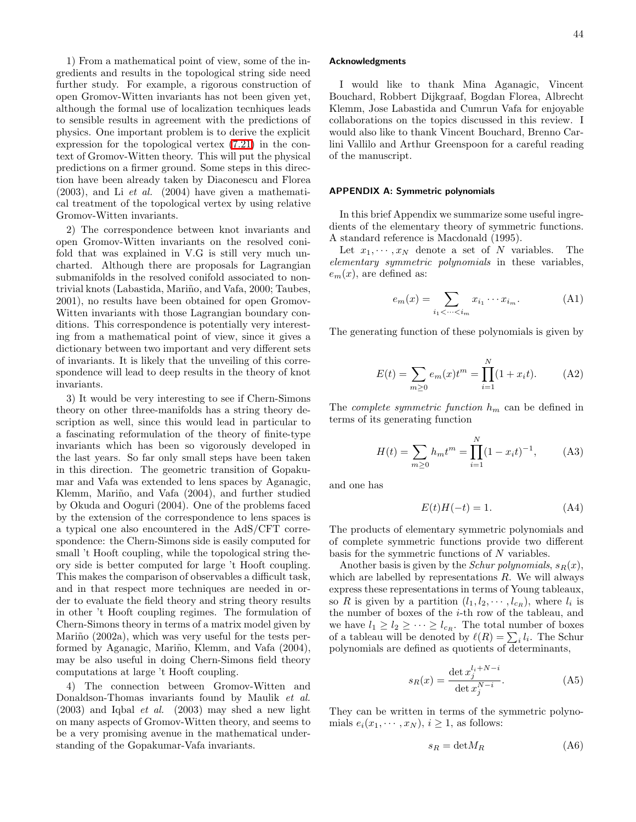1) From a mathematical point of view, some of the ingredients and results in the topological string side need further study. For example, a rigorous construction of open Gromov-Witten invariants has not been given yet, although the formal use of localization tecnhiques leads to sensible results in agreement with the predictions of physics. One important problem is to derive the explicit expression for the topological vertex [\(7.21\)](#page-39-4) in the context of Gromov-Witten theory. This will put the physical predictions on a firmer ground. Some steps in this direction have been already taken by Diaconescu and Florea  $(2003)$ , and Li *et al.*  $(2004)$  have given a mathematical treatment of the topological vertex by using relative Gromov-Witten invariants.

2) The correspondence between knot invariants and open Gromov-Witten invariants on the resolved conifold that was explained in V.G is still very much uncharted. Although there are proposals for Lagrangian submanifolds in the resolved conifold associated to nontrivial knots (Labastida, Mariño, and Vafa, 2000; Taubes, 2001), no results have been obtained for open Gromov-Witten invariants with those Lagrangian boundary conditions. This correspondence is potentially very interesting from a mathematical point of view, since it gives a dictionary between two important and very different sets of invariants. It is likely that the unveiling of this correspondence will lead to deep results in the theory of knot invariants.

3) It would be very interesting to see if Chern-Simons theory on other three-manifolds has a string theory description as well, since this would lead in particular to a fascinating reformulation of the theory of finite-type invariants which has been so vigorously developed in the last years. So far only small steps have been taken in this direction. The geometric transition of Gopakumar and Vafa was extended to lens spaces by Aganagic, Klemm, Mariño, and Vafa (2004), and further studied by Okuda and Ooguri (2004). One of the problems faced by the extension of the correspondence to lens spaces is a typical one also encountered in the AdS/CFT correspondence: the Chern-Simons side is easily computed for small 't Hooft coupling, while the topological string theory side is better computed for large 't Hooft coupling. This makes the comparison of observables a difficult task, and in that respect more techniques are needed in order to evaluate the field theory and string theory results in other 't Hooft coupling regimes. The formulation of Chern-Simons theory in terms of a matrix model given by Mariño (2002a), which was very useful for the tests performed by Aganagic, Mariño, Klemm, and Vafa (2004), may be also useful in doing Chern-Simons field theory computations at large 't Hooft coupling.

4) The connection between Gromov-Witten and Donaldson-Thomas invariants found by Maulik et al.  $(2003)$  and Igbal *et al.*  $(2003)$  may shed a new light on many aspects of Gromov-Witten theory, and seems to be a very promising avenue in the mathematical understanding of the Gopakumar-Vafa invariants.

#### <span id="page-43-0"></span>Acknowledgments

I would like to thank Mina Aganagic, Vincent Bouchard, Robbert Dijkgraaf, Bogdan Florea, Albrecht Klemm, Jose Labastida and Cumrun Vafa for enjoyable collaborations on the topics discussed in this review. I would also like to thank Vincent Bouchard, Brenno Carlini Vallilo and Arthur Greenspoon for a careful reading of the manuscript.

#### <span id="page-43-1"></span>APPENDIX A: Symmetric polynomials

In this brief Appendix we summarize some useful ingredients of the elementary theory of symmetric functions. A standard reference is Macdonald (1995).

Let  $x_1, \dots, x_N$  denote a set of N variables. The elementary symmetric polynomials in these variables,  $e_m(x)$ , are defined as:

$$
e_m(x) = \sum_{i_1 < \dots < i_m} x_{i_1} \dots x_{i_m}.\tag{A1}
$$

<span id="page-43-3"></span>The generating function of these polynomials is given by

$$
E(t) = \sum_{m \ge 0} e_m(x)t^m = \prod_{i=1}^N (1 + x_i t). \tag{A2}
$$

The *complete symmetric function*  $h_m$  can be defined in terms of its generating function

$$
H(t) = \sum_{m \ge 0} h_m t^m = \prod_{i=1}^N (1 - x_i t)^{-1}, \quad (A3)
$$

and one has

$$
E(t)H(-t) = 1.\t(A4)
$$

The products of elementary symmetric polynomials and of complete symmetric functions provide two different basis for the symmetric functions of N variables.

Another basis is given by the *Schur polynomials*,  $s_R(x)$ , which are labelled by representations  $R$ . We will always express these representations in terms of Young tableaux, so R is given by a partition  $(l_1, l_2, \dots, l_{c_R})$ , where  $l_i$  is the number of boxes of the i-th row of the tableau, and we have  $l_1 \geq l_2 \geq \cdots \geq l_{c_R}$ . The total number of boxes of a tableau will be denoted by  $\ell(R) = \sum_i l_i$ . The Schur polynomials are defined as quotients of determinants,

$$
s_R(x) = \frac{\det x_j^{l_i + N - i}}{\det x_j^{N - i}}.
$$
 (A5)

They can be written in terms of the symmetric polynomials  $e_i(x_1, \dots, x_N)$ ,  $i \geq 1$ , as follows:

<span id="page-43-2"></span>
$$
s_R = \text{det} M_R \tag{A6}
$$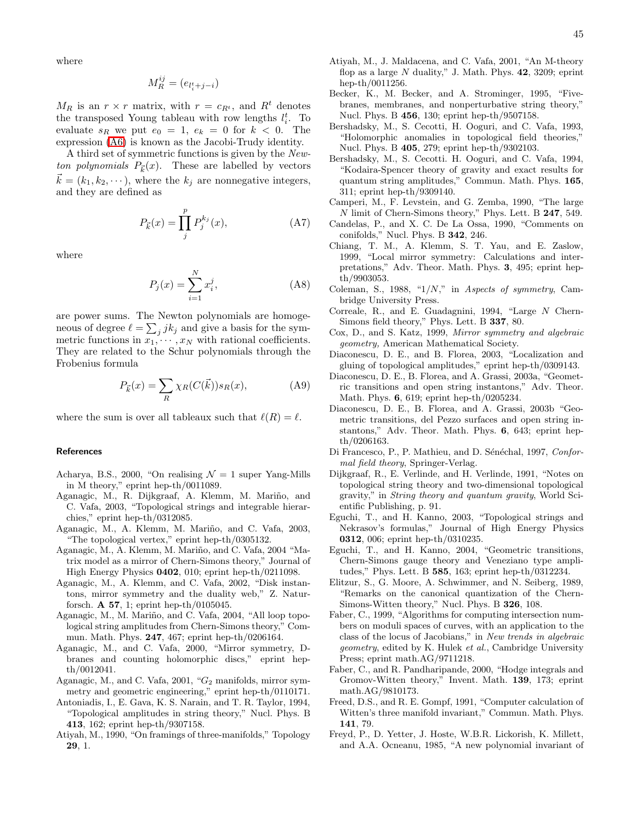where

$$
M_R^{ij} = (e_{l_i^t + j - i})
$$

 $M_R$  is an  $r \times r$  matrix, with  $r = c_{R^t}$ , and  $R^t$  denotes the transposed Young tableau with row lengths  $l_i^t$ . To evaluate  $s_R$  we put  $e_0 = 1$ ,  $e_k = 0$  for  $k < 0$ . The expression [\(A6\)](#page-43-2) is known as the Jacobi-Trudy identity.

<span id="page-44-1"></span>A third set of symmetric functions is given by the Newton polynomials  $P_{\vec{k}}(x)$ . These are labelled by vectors  $\vec{k} = (k_1, k_2, \dots),$  where the  $k_j$  are nonnegative integers, and they are defined as

$$
P_{\vec{k}}(x) = \prod_{j}^{p} P_j^{k_j}(x),\tag{A7}
$$

where

$$
P_j(x) = \sum_{i=1}^{N} x_i^j,
$$
 (A8)

are power sums. The Newton polynomials are homogeneous of degree  $\ell = \sum_j j k_j$  and give a basis for the symmetric functions in  $x_1, \dots, x_N$  with rational coefficients. They are related to the Schur polynomials through the Frobenius formula

$$
P_{\vec{k}}(x) = \sum_{R} \chi_R(C(\vec{k})) s_R(x), \tag{A9}
$$

where the sum is over all tableaux such that  $\ell(R) = \ell$ .

## <span id="page-44-0"></span>References

- Acharya, B.S., 2000, "On realising  $\mathcal{N} = 1$  super Yang-Mills in M theory," eprint hep-th/0011089.
- Aganagic, M., R. Dijkgraaf, A. Klemm, M. Mariño, and C. Vafa, 2003, "Topological strings and integrable hierarchies," eprint hep-th/0312085.
- Aganagic, M., A. Klemm, M. Mariño, and C. Vafa, 2003, "The topological vertex," eprint hep-th/0305132.
- Aganagic, M., A. Klemm, M. Mariño, and C. Vafa, 2004 "Matrix model as a mirror of Chern-Simons theory," Journal of High Energy Physics 0402, 010; eprint hep-th/0211098.
- Aganagic, M., A. Klemm, and C. Vafa, 2002, "Disk instantons, mirror symmetry and the duality web," Z. Naturforsch. A 57, 1; eprint hep-th/0105045.
- Aganagic, M., M. Mariño, and C. Vafa, 2004, "All loop topological string amplitudes from Chern-Simons theory," Commun. Math. Phys. 247, 467; eprint hep-th/0206164.
- Aganagic, M., and C. Vafa, 2000, "Mirror symmetry, Dbranes and counting holomorphic discs," eprint hepth/0012041.
- Aganagic, M., and C. Vafa, 2001, "G<sup>2</sup> manifolds, mirror symmetry and geometric engineering," eprint hep-th/0110171.
- Antoniadis, I., E. Gava, K. S. Narain, and T. R. Taylor, 1994, "Topological amplitudes in string theory," Nucl. Phys. B 413, 162; eprint hep-th/9307158.
- Atiyah, M., 1990, "On framings of three-manifolds," Topology 29, 1.
- Atiyah, M., J. Maldacena, and C. Vafa, 2001, "An M-theory flop as a large  $N$  duality," J. Math. Phys. 42, 3209; eprint hep-th/0011256.
- Becker, K., M. Becker, and A. Strominger, 1995, "Fivebranes, membranes, and nonperturbative string theory," Nucl. Phys. B 456, 130; eprint hep-th/9507158.
- Bershadsky, M., S. Cecotti, H. Ooguri, and C. Vafa, 1993, "Holomorphic anomalies in topological field theories," Nucl. Phys. B 405, 279; eprint hep-th/9302103.
- Bershadsky, M., S. Cecotti. H. Ooguri, and C. Vafa, 1994, "Kodaira-Spencer theory of gravity and exact results for quantum string amplitudes," Commun. Math. Phys. 165, 311; eprint hep-th/9309140.
- Camperi, M., F. Levstein, and G. Zemba, 1990, "The large N limit of Chern-Simons theory," Phys. Lett. B 247, 549.
- Candelas, P., and X. C. De La Ossa, 1990, "Comments on conifolds," Nucl. Phys. B 342, 246.
- Chiang, T. M., A. Klemm, S. T. Yau, and E. Zaslow, 1999, "Local mirror symmetry: Calculations and interpretations," Adv. Theor. Math. Phys. 3, 495; eprint hepth/9903053.
- Coleman, S., 1988, " $1/N$ ," in Aspects of symmetry, Cambridge University Press.
- Correale, R., and E. Guadagnini, 1994, "Large N Chern-Simons field theory," Phys. Lett. B 337, 80.
- Cox, D., and S. Katz, 1999, Mirror symmetry and algebraic geometry, American Mathematical Society.
- Diaconescu, D. E., and B. Florea, 2003, "Localization and gluing of topological amplitudes," eprint hep-th/0309143.
- Diaconescu, D. E., B. Florea, and A. Grassi, 2003a, "Geometric transitions and open string instantons," Adv. Theor. Math. Phys. 6, 619; eprint hep-th/0205234.
- Diaconescu, D. E., B. Florea, and A. Grassi, 2003b "Geometric transitions, del Pezzo surfaces and open string instantons," Adv. Theor. Math. Phys. 6, 643; eprint hepth/0206163.
- Di Francesco, P., P. Mathieu, and D. Sénéchal, 1997, Conformal field theory, Springer-Verlag.
- Dijkgraaf, R., E. Verlinde, and H. Verlinde, 1991, "Notes on topological string theory and two-dimensional topological gravity," in String theory and quantum gravity, World Scientific Publishing, p. 91.
- Eguchi, T., and H. Kanno, 2003, "Topological strings and Nekrasov's formulas," Journal of High Energy Physics 0312, 006; eprint hep-th/0310235.
- Eguchi, T., and H. Kanno, 2004, "Geometric transitions, Chern-Simons gauge theory and Veneziano type amplitudes," Phys. Lett. B 585, 163; eprint hep-th/0312234.
- Elitzur, S., G. Moore, A. Schwimmer, and N. Seiberg, 1989, "Remarks on the canonical quantization of the Chern-Simons-Witten theory," Nucl. Phys. B 326, 108.
- Faber, C., 1999, "Algorithms for computing intersection numbers on moduli spaces of curves, with an application to the class of the locus of Jacobians," in New trends in algebraic geometry, edited by K. Hulek et al., Cambridge University Press; eprint math.AG/9711218.
- Faber, C., and R. Pandharipande, 2000, "Hodge integrals and Gromov-Witten theory," Invent. Math. 139, 173; eprint math.AG/9810173.
- Freed, D.S., and R. E. Gompf, 1991, "Computer calculation of Witten's three manifold invariant," Commun. Math. Phys. 141, 79.
- Freyd, P., D. Yetter, J. Hoste, W.B.R. Lickorish, K. Millett, and A.A. Ocneanu, 1985, "A new polynomial invariant of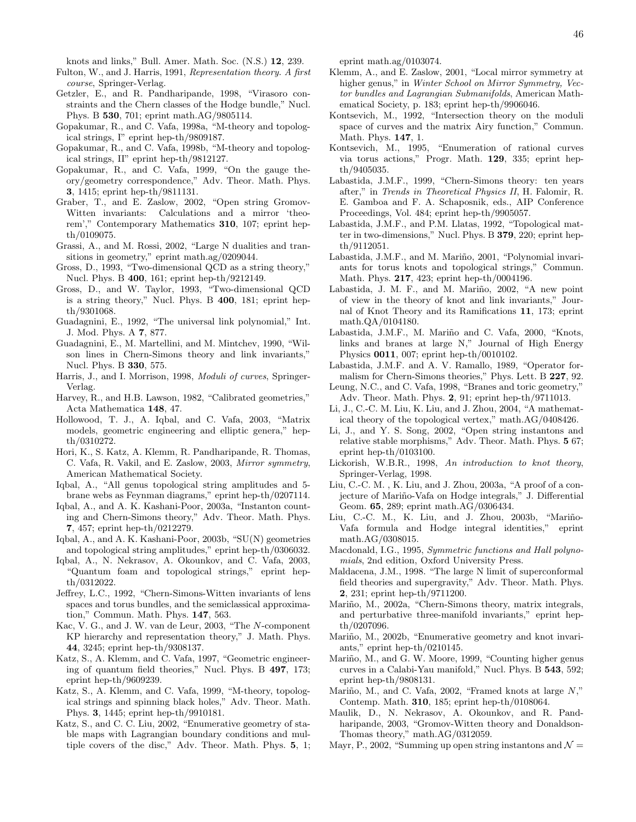knots and links," Bull. Amer. Math. Soc. (N.S.) 12, 239.

- Fulton, W., and J. Harris, 1991, Representation theory. A first course, Springer-Verlag.
- Getzler, E., and R. Pandharipande, 1998, "Virasoro constraints and the Chern classes of the Hodge bundle," Nucl. Phys. B 530, 701; eprint math.AG/9805114.
- Gopakumar, R., and C. Vafa, 1998a, "M-theory and topological strings, I" eprint hep-th/9809187.
- Gopakumar, R., and C. Vafa, 1998b, "M-theory and topological strings, II" eprint hep-th/9812127.
- Gopakumar, R., and C. Vafa, 1999, "On the gauge theory/geometry correspondence," Adv. Theor. Math. Phys. 3, 1415; eprint hep-th/9811131.
- Graber, T., and E. Zaslow, 2002, "Open string Gromov-Witten invariants: Calculations and a mirror 'theorem'," Contemporary Mathematics 310, 107; eprint hepth/0109075.
- Grassi, A., and M. Rossi, 2002, "Large N dualities and transitions in geometry," eprint math.ag/0209044.
- Gross, D., 1993, "Two-dimensional QCD as a string theory," Nucl. Phys. B 400, 161; eprint hep-th/9212149.
- Gross, D., and W. Taylor, 1993, "Two-dimensional QCD is a string theory," Nucl. Phys. B 400, 181; eprint hepth/9301068.
- Guadagnini, E., 1992, "The universal link polynomial," Int. J. Mod. Phys. A 7, 877.
- Guadagnini, E., M. Martellini, and M. Mintchev, 1990, "Wilson lines in Chern-Simons theory and link invariants," Nucl. Phys. B 330, 575.
- Harris, J., and I. Morrison, 1998, Moduli of curves, Springer-Verlag.
- Harvey, R., and H.B. Lawson, 1982, "Calibrated geometries," Acta Mathematica 148, 47.
- Hollowood, T. J., A. Iqbal, and C. Vafa, 2003, "Matrix models, geometric engineering and elliptic genera," hepth/0310272.
- Hori, K., S. Katz, A. Klemm, R. Pandharipande, R. Thomas, C. Vafa, R. Vakil, and E. Zaslow, 2003, Mirror symmetry, American Mathematical Society.
- Iqbal, A., "All genus topological string amplitudes and 5 brane webs as Feynman diagrams," eprint hep-th/0207114.
- Iqbal, A., and A. K. Kashani-Poor, 2003a, "Instanton counting and Chern-Simons theory," Adv. Theor. Math. Phys. 7, 457; eprint hep-th/0212279.
- Iqbal, A., and A. K. Kashani-Poor, 2003b, "SU(N) geometries and topological string amplitudes," eprint hep-th/0306032.
- Iqbal, A., N. Nekrasov, A. Okounkov, and C. Vafa, 2003, "Quantum foam and topological strings," eprint hepth/0312022.
- Jeffrey, L.C., 1992, "Chern-Simons-Witten invariants of lens spaces and torus bundles, and the semiclassical approximation," Commun. Math. Phys. 147, 563.
- Kac, V. G., and J. W. van de Leur, 2003, "The N-component KP hierarchy and representation theory," J. Math. Phys. 44, 3245; eprint hep-th/9308137.
- Katz, S., A. Klemm, and C. Vafa, 1997, "Geometric engineering of quantum field theories," Nucl. Phys. B 497, 173; eprint hep-th/9609239.
- Katz, S., A. Klemm, and C. Vafa, 1999, "M-theory, topological strings and spinning black holes," Adv. Theor. Math. Phys. 3, 1445; eprint hep-th/9910181.
- Katz, S., and C. C. Liu, 2002, "Enumerative geometry of stable maps with Lagrangian boundary conditions and multiple covers of the disc," Adv. Theor. Math. Phys. 5, 1;

eprint math.ag/0103074.

- Klemm, A., and E. Zaslow, 2001, "Local mirror symmetry at higher genus," in *Winter School on Mirror Symmetry, Vec*tor bundles and Lagrangian Submanifolds, American Mathematical Society, p. 183; eprint hep-th/9906046.
- Kontsevich, M., 1992, "Intersection theory on the moduli space of curves and the matrix Airy function," Commun. Math. Phys. 147, 1.
- Kontsevich, M., 1995, "Enumeration of rational curves via torus actions," Progr. Math. 129, 335; eprint hepth/9405035.
- Labastida, J.M.F., 1999, "Chern-Simons theory: ten years after," in Trends in Theoretical Physics II, H. Falomir, R. E. Gamboa and F. A. Schaposnik, eds., AIP Conference Proceedings, Vol. 484; eprint hep-th/9905057.
- Labastida, J.M.F., and P.M. Llatas, 1992, "Topological matter in two-dimensions," Nucl. Phys. B 379, 220; eprint hepth/9112051.
- Labastida, J.M.F., and M. Mariño, 2001, "Polynomial invariants for torus knots and topological strings," Commun. Math. Phys. 217, 423; eprint hep-th/0004196.
- Labastida, J. M. F., and M. Mariño, 2002, "A new point of view in the theory of knot and link invariants," Journal of Knot Theory and its Ramifications 11, 173; eprint math.QA/0104180.
- Labastida, J.M.F., M. Mariño and C. Vafa, 2000, "Knots, links and branes at large N," Journal of High Energy Physics 0011, 007; eprint hep-th/0010102.
- Labastida, J.M.F. and A. V. Ramallo, 1989, "Operator formalism for Chern-Simons theories," Phys. Lett. B 227, 92.
- Leung, N.C., and C. Vafa, 1998, "Branes and toric geometry," Adv. Theor. Math. Phys. 2, 91; eprint hep-th/9711013.
- Li, J., C.-C. M. Liu, K. Liu, and J. Zhou, 2004, "A mathematical theory of the topological vertex," math.AG/0408426.
- Li, J., and Y. S. Song, 2002, "Open string instantons and relative stable morphisms," Adv. Theor. Math. Phys. 5 67; eprint hep-th/0103100.
- Lickorish, W.B.R., 1998, An introduction to knot theory, Springer-Verlag, 1998.
- Liu, C.-C. M. , K. Liu, and J. Zhou, 2003a, "A proof of a conjecture of Mariño-Vafa on Hodge integrals," J. Differential Geom. 65, 289; eprint math.AG/0306434.
- Liu, C.-C. M., K. Liu, and J. Zhou, 2003b, "Mariño-Vafa formula and Hodge integral identities," eprint math.AG/0308015.
- Macdonald, I.G., 1995, Symmetric functions and Hall polynomials, 2nd edition, Oxford University Press.
- Maldacena, J.M., 1998. "The large N limit of superconformal field theories and supergravity," Adv. Theor. Math. Phys. 2, 231; eprint hep-th/9711200.
- Mariño, M., 2002a, "Chern-Simons theory, matrix integrals, and perturbative three-manifold invariants," eprint hepth/0207096.
- Mariño, M., 2002b, "Enumerative geometry and knot invariants," eprint hep-th/0210145.
- Mariño, M., and G. W. Moore, 1999, "Counting higher genus curves in a Calabi-Yau manifold," Nucl. Phys. B 543, 592; eprint hep-th/9808131.
- Mariño, M., and C. Vafa, 2002, "Framed knots at large  $N$ ," Contemp. Math. 310, 185; eprint hep-th/0108064.
- Maulik, D., N. Nekrasov, A. Okounkov, and R. Pandharipande, 2003, "Gromov-Witten theory and Donaldson-Thomas theory," math.AG/0312059.
- Mayr, P., 2002, "Summing up open string instantons and  $\mathcal{N} =$